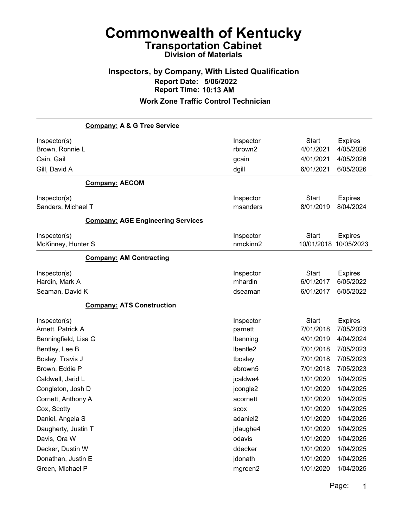## Inspectors, by Company, With Listed Qualification Report Date: 5/06/2022 Report Time: 10:13 AM

|                                 | <b>Company: A &amp; G Tree Service</b>   |                      |                           |                             |
|---------------------------------|------------------------------------------|----------------------|---------------------------|-----------------------------|
| Inspector(s)<br>Brown, Ronnie L |                                          | Inspector<br>rbrown2 | <b>Start</b><br>4/01/2021 | <b>Expires</b><br>4/05/2026 |
| Cain, Gail                      |                                          | gcain                | 4/01/2021                 | 4/05/2026                   |
| Gill, David A                   |                                          | dgill                | 6/01/2021                 | 6/05/2026                   |
|                                 | <b>Company: AECOM</b>                    |                      |                           |                             |
| Inspector(s)                    |                                          | Inspector            | <b>Start</b>              | <b>Expires</b>              |
| Sanders, Michael T              |                                          | msanders             | 8/01/2019                 | 8/04/2024                   |
|                                 | <b>Company: AGE Engineering Services</b> |                      |                           |                             |
| Inspector(s)                    |                                          | Inspector            | <b>Start</b>              | <b>Expires</b>              |
| McKinney, Hunter S              |                                          | nmckinn2             | 10/01/2018                | 10/05/2023                  |
|                                 | <b>Company: AM Contracting</b>           |                      |                           |                             |
| Inspector(s)                    |                                          | Inspector            | <b>Start</b>              | <b>Expires</b>              |
| Hardin, Mark A                  |                                          | mhardin              | 6/01/2017                 | 6/05/2022                   |
| Seaman, David K                 |                                          | dseaman              | 6/01/2017                 | 6/05/2022                   |
|                                 | <b>Company: ATS Construction</b>         |                      |                           |                             |
| Inspector(s)                    |                                          | Inspector            | <b>Start</b>              | <b>Expires</b>              |
| Arnett, Patrick A               |                                          | parnett              | 7/01/2018                 | 7/05/2023                   |
| Benningfield, Lisa G            |                                          | Ibenning             | 4/01/2019                 | 4/04/2024                   |
| Bentley, Lee B                  |                                          | Ibentle2             | 7/01/2018                 | 7/05/2023                   |
| Bosley, Travis J                |                                          | tbosley              | 7/01/2018                 | 7/05/2023                   |
| Brown, Eddie P                  |                                          | ebrown5              | 7/01/2018                 | 7/05/2023                   |
| Caldwell, Jarid L               |                                          | jcaldwe4             | 1/01/2020                 | 1/04/2025                   |
| Congleton, Josh D               |                                          | jcongle2             | 1/01/2020                 | 1/04/2025                   |
| Cornett, Anthony A              |                                          | acornett             | 1/01/2020                 | 1/04/2025                   |
| Cox, Scotty                     |                                          | <b>SCOX</b>          | 1/01/2020                 | 1/04/2025                   |
| Daniel, Angela S                |                                          | adaniel <sub>2</sub> | 1/01/2020                 | 1/04/2025                   |
| Daugherty, Justin T             |                                          | jdaughe4             | 1/01/2020                 | 1/04/2025                   |
| Davis, Ora W                    |                                          | odavis               | 1/01/2020                 | 1/04/2025                   |
| Decker, Dustin W                |                                          | ddecker              | 1/01/2020                 | 1/04/2025                   |
| Donathan, Justin E              |                                          | jdonath              | 1/01/2020                 | 1/04/2025                   |
| Green, Michael P                |                                          | mgreen2              | 1/01/2020                 | 1/04/2025                   |
|                                 |                                          |                      |                           |                             |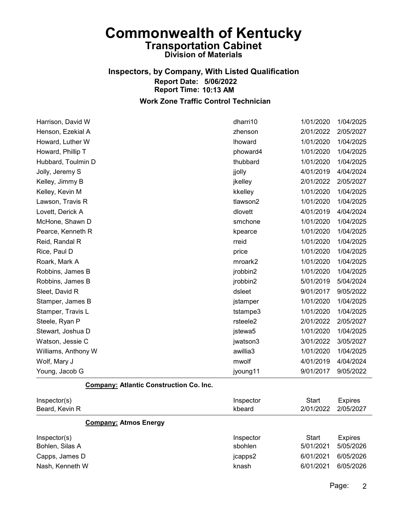#### Inspectors, by Company, With Listed Qualification Report Date: 5/06/2022 Report Time: 10:13 AM Work Zone Traffic Control Technician

Harrison, David W dharri10 1/01/2020 1/04/2025 Henson, Ezekial A zhenson 2/01/2022 2/05/2027 Howard, Luther W lhoward 1/01/2020 1/04/2025 Howard, Phillip T phoward4 1/01/2020 1/04/2025 Hubbard, Toulmin D thubbard 1/01/2020 1/04/2025 Jolly, Jeremy S jjolly 4/01/2019 4/04/2024 Kelley, Jimmy B **interval and the set of the set of the set of the set of the set of the set of the set of the set of the set of the set of the set of the set of the set of the set of the set of the set of the set of the s** Kelley, Kevin M kkelley 1/01/2020 1/04/2025 Lawson, Travis R tlawson2 1/01/2020 1/04/2025 Lovett, Derick A dlovett 4/01/2019 4/04/2024 McHone, Shawn D smchone 1/01/2020 1/04/2025 Pearce, Kenneth R kpearce 2010 1/01/2020 1/04/2025 Reid, Randal R rreid 1/01/2020 1/04/2025 Rice, Paul D price 1/01/2020 1/04/2025 Roark, Mark A mroark2 1/01/2020 1/04/2025 Robbins, James B jrobbin2 1/01/2020 1/04/2025 Robbins, James B jrobbin2 5/01/2019 5/04/2024 Sleet, David R dsleet 9/01/2017 9/05/2022 Stamper, James B jstamper 1/01/2020 1/04/2025 Stamper, Travis L tstampe3 1/01/2020 1/04/2025 Steele, Ryan P rsteele2 2/01/2022 2/05/2027 Stewart, Joshua D jstewa5 1/01/2020 1/04/2025 Watson, Jessie C jwatson3 3/01/2022 3/05/2027 Williams, Anthony W awillia3 1/01/2020 1/04/2025 Wolf, Mary J mwolf 4/01/2019 4/04/2024 Young, Jacob G jyoung11 9/01/2017 9/05/2022

Company: Atlantic Construction Co. Inc.

| Inspector(s)<br>Beard, Kevin R  | Inspector<br>kbeard  | Start<br>2/01/2022 | <b>Expires</b><br>2/05/2027 |
|---------------------------------|----------------------|--------------------|-----------------------------|
| <b>Company: Atmos Energy</b>    |                      |                    |                             |
| Inspector(s)<br>Bohlen, Silas A | Inspector<br>sbohlen | Start<br>5/01/2021 | <b>Expires</b><br>5/05/2026 |
| Capps, James D                  | jcapps2              | 6/01/2021          | 6/05/2026                   |
| Nash, Kenneth W                 | knash                | 6/01/2021          | 6/05/2026                   |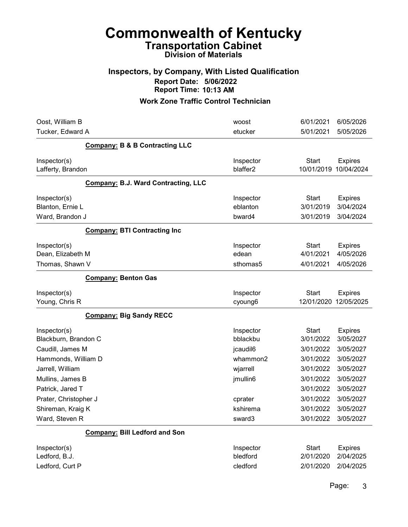# Commonwealth of Kentucky Transportation Cabinet

## Division of Materials

#### Inspectors, by Company, With Listed Qualification Report Date: 5/06/2022 Report Time: 10:13 AM

| Oost, William B                                          |                                            | woost                             | 6/01/2021                              | 6/05/2026                                |
|----------------------------------------------------------|--------------------------------------------|-----------------------------------|----------------------------------------|------------------------------------------|
| Tucker, Edward A                                         |                                            | etucker                           | 5/01/2021                              | 5/05/2026                                |
|                                                          | <b>Company: B &amp; B Contracting LLC</b>  |                                   |                                        |                                          |
| Inspector(s)<br>Lafferty, Brandon                        |                                            | Inspector<br>blaffer2             | <b>Start</b><br>10/01/2019             | <b>Expires</b><br>10/04/2024             |
|                                                          | <b>Company: B.J. Ward Contracting, LLC</b> |                                   |                                        |                                          |
| Inspector(s)<br>Blanton, Ernie L<br>Ward, Brandon J      |                                            | Inspector<br>eblanton<br>bward4   | <b>Start</b><br>3/01/2019<br>3/01/2019 | <b>Expires</b><br>3/04/2024<br>3/04/2024 |
|                                                          | <b>Company: BTI Contracting Inc</b>        |                                   |                                        |                                          |
| Inspector(s)<br>Dean, Elizabeth M<br>Thomas, Shawn V     |                                            | Inspector<br>edean<br>sthomas5    | <b>Start</b><br>4/01/2021<br>4/01/2021 | <b>Expires</b><br>4/05/2026<br>4/05/2026 |
|                                                          | <b>Company: Benton Gas</b>                 |                                   |                                        |                                          |
| Inspector(s)<br>Young, Chris R                           |                                            | Inspector<br>cyoung6              | <b>Start</b><br>12/01/2020             | <b>Expires</b><br>12/05/2025             |
|                                                          | <b>Company: Big Sandy RECC</b>             |                                   |                                        |                                          |
| Inspector(s)<br>Blackburn, Brandon C<br>Caudill, James M |                                            | Inspector<br>bblackbu<br>jcaudil6 | <b>Start</b><br>3/01/2022<br>3/01/2022 | <b>Expires</b><br>3/05/2027<br>3/05/2027 |
| Hammonds, William D                                      |                                            | whammon2                          | 3/01/2022                              | 3/05/2027                                |
| Jarrell, William<br>Mullins, James B<br>Patrick, Jared T |                                            | wjarrell<br>jmullin6              | 3/01/2022<br>3/01/2022<br>3/01/2022    | 3/05/2027<br>3/05/2027<br>3/05/2027      |
| Prater, Christopher J                                    |                                            | cprater                           | 3/01/2022                              | 3/05/2027                                |
| Shireman, Kraig K                                        |                                            | kshirema                          | 3/01/2022                              | 3/05/2027                                |
| Ward, Steven R                                           |                                            | sward3                            | 3/01/2022                              | 3/05/2027                                |
|                                                          | <b>Company: Bill Ledford and Son</b>       |                                   |                                        |                                          |
| Inspector(s)<br>Ledford, B.J.<br>Ledford, Curt P         |                                            | Inspector<br>bledford<br>cledford | <b>Start</b><br>2/01/2020<br>2/01/2020 | <b>Expires</b><br>2/04/2025<br>2/04/2025 |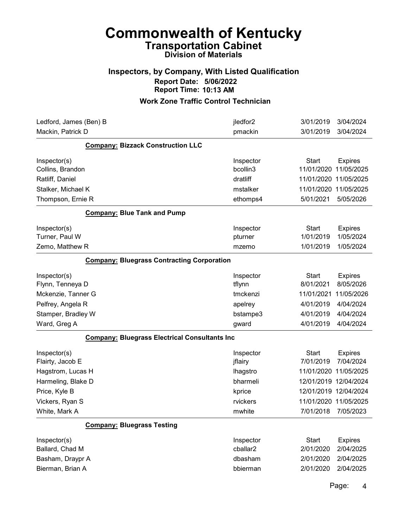### Inspectors, by Company, With Listed Qualification Report Date: 5/06/2022 Report Time: 10:13 AM

#### Work Zone Traffic Control Technician

| Ledford, James (Ben) B                               | jledfor2        | 3/01/2019<br>3/04/2024         |
|------------------------------------------------------|-----------------|--------------------------------|
| Mackin, Patrick D                                    | pmackin         | 3/04/2024<br>3/01/2019         |
| <b>Company: Bizzack Construction LLC</b>             |                 |                                |
| Inspector(s)                                         | Inspector       | <b>Start</b><br><b>Expires</b> |
| Collins, Brandon                                     | bcollin3        | 11/05/2025<br>11/01/2020       |
| Ratliff, Daniel                                      | dratliff        | 11/01/2020 11/05/2025          |
| Stalker, Michael K                                   | mstalker        | 11/01/2020 11/05/2025          |
| Thompson, Ernie R                                    | ethomps4        | 5/01/2021<br>5/05/2026         |
| <b>Company: Blue Tank and Pump</b>                   |                 |                                |
| Inspector(s)                                         | Inspector       | <b>Start</b><br><b>Expires</b> |
| Turner, Paul W                                       | pturner         | 1/01/2019<br>1/05/2024         |
| Zemo, Matthew R                                      | mzemo           | 1/01/2019<br>1/05/2024         |
| <b>Company: Bluegrass Contracting Corporation</b>    |                 |                                |
| Inspector(s)                                         | Inspector       | <b>Start</b><br><b>Expires</b> |
| Flynn, Tenneya D                                     | tflynn          | 8/01/2021<br>8/05/2026         |
| Mckenzie, Tanner G                                   | tmckenzi        | 11/01/2021<br>11/05/2026       |
| Pelfrey, Angela R                                    | apelrey         | 4/01/2019<br>4/04/2024         |
| Stamper, Bradley W                                   | bstampe3        | 4/04/2024<br>4/01/2019         |
| Ward, Greg A                                         | gward           | 4/01/2019<br>4/04/2024         |
| <b>Company: Bluegrass Electrical Consultants Inc</b> |                 |                                |
| Inspector(s)                                         | Inspector       | <b>Start</b><br><b>Expires</b> |
| Flairty, Jacob E                                     | jflairy         | 7/04/2024<br>7/01/2019         |
| Hagstrom, Lucas H                                    | <b>Ihagstro</b> | 11/01/2020 11/05/2025          |
| Harmeling, Blake D                                   | bharmeli        | 12/01/2019 12/04/2024          |
| Price, Kyle B                                        | kprice          | 12/01/2019 12/04/2024          |
| Vickers, Ryan S                                      | rvickers        | 11/01/2020 11/05/2025          |
| White, Mark A                                        | mwhite          | 7/01/2018<br>7/05/2023         |
| <b>Company: Bluegrass Testing</b>                    |                 |                                |
| Inspector(s)                                         | Inspector       | <b>Start</b><br><b>Expires</b> |
| Ballard, Chad M                                      | cballar2        | 2/01/2020<br>2/04/2025         |
| Basham, Draypr A                                     | dbasham         | 2/04/2025<br>2/01/2020         |
| Bierman, Brian A                                     | bbierman        | 2/01/2020<br>2/04/2025         |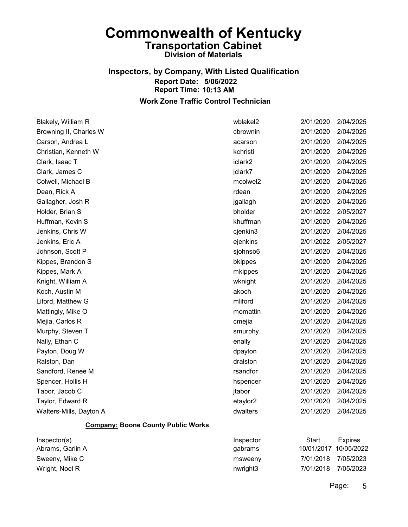## Inspectors, by Company, With Listed Qualification Report Date: 5/06/2022 Report Time: 10:13 AM

#### Work Zone Traffic Control Technician

| Blakely, William R      | wblakel2 | 2/01/2020 | 2/04/2025 |
|-------------------------|----------|-----------|-----------|
| Browning II, Charles W  | cbrownin | 2/01/2020 | 2/04/2025 |
| Carson, Andrea L        | acarson  | 2/01/2020 | 2/04/2025 |
| Christian, Kenneth W    | kchristi | 2/01/2020 | 2/04/2025 |
| Clark, Isaac T          | iclark2  | 2/01/2020 | 2/04/2025 |
| Clark, James C          | jclark7  | 2/01/2020 | 2/04/2025 |
| Colwell, Michael B      | mcolwel2 | 2/01/2020 | 2/04/2025 |
| Dean, Rick A            | rdean    | 2/01/2020 | 2/04/2025 |
| Gallagher, Josh R       | jgallagh | 2/01/2020 | 2/04/2025 |
| Holder, Brian S         | bholder  | 2/01/2022 | 2/05/2027 |
| Huffman, Kevin S        | khuffman | 2/01/2020 | 2/04/2025 |
| Jenkins, Chris W        | cjenkin3 | 2/01/2020 | 2/04/2025 |
| Jenkins, Eric A         | ejenkins | 2/01/2022 | 2/05/2027 |
| Johnson, Scott P        | sjohnso6 | 2/01/2020 | 2/04/2025 |
| Kippes, Brandon S       | bkippes  | 2/01/2020 | 2/04/2025 |
| Kippes, Mark A          | mkippes  | 2/01/2020 | 2/04/2025 |
| Knight, William A       | wknight  | 2/01/2020 | 2/04/2025 |
| Koch, Austin M          | akoch    | 2/01/2020 | 2/04/2025 |
| Liford, Matthew G       | mliford  | 2/01/2020 | 2/04/2025 |
| Mattingly, Mike O       | momattin | 2/01/2020 | 2/04/2025 |
| Mejia, Carlos R         | cmejia   | 2/01/2020 | 2/04/2025 |
| Murphy, Steven T        | smurphy  | 2/01/2020 | 2/04/2025 |
| Nally, Ethan C          | enally   | 2/01/2020 | 2/04/2025 |
| Payton, Doug W          | dpayton  | 2/01/2020 | 2/04/2025 |
| Ralston, Dan            | dralston | 2/01/2020 | 2/04/2025 |
| Sandford, Renee M       | rsandfor | 2/01/2020 | 2/04/2025 |
| Spencer, Hollis H       | hspencer | 2/01/2020 | 2/04/2025 |
| Tabor, Jacob C          | jtabor   | 2/01/2020 | 2/04/2025 |
| Taylor, Edward R        | etaylor2 | 2/01/2020 | 2/04/2025 |
| Walters-Mills, Dayton A | dwalters | 2/01/2020 | 2/04/2025 |

#### Company: Boone County Public Works

| Inspector(s)     | Inspector | Start                 | Expires   |
|------------------|-----------|-----------------------|-----------|
| Abrams, Garlin A | qabrams   | 10/01/2017 10/05/2022 |           |
| Sweeny, Mike C   | msweeny   | 7/01/2018             | 7/05/2023 |
| Wright, Noel R   | nwright3  | 7/01/2018             | 7/05/2023 |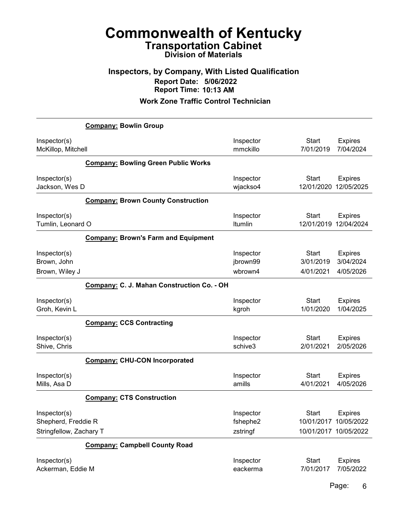### Inspectors, by Company, With Listed Qualification Report Date: 5/06/2022 Report Time: 10:13 AM

#### Work Zone Traffic Control Technician

|                                                                | <b>Company: Bowlin Group</b>               |                                   |                                                                |                                          |
|----------------------------------------------------------------|--------------------------------------------|-----------------------------------|----------------------------------------------------------------|------------------------------------------|
| Inspector(s)<br>McKillop, Mitchell                             |                                            | Inspector<br>mmckillo             | <b>Start</b><br>7/01/2019                                      | <b>Expires</b><br>7/04/2024              |
|                                                                | <b>Company: Bowling Green Public Works</b> |                                   |                                                                |                                          |
| Inspector(s)<br>Jackson, Wes D                                 |                                            | Inspector<br>wjackso4             | <b>Start</b><br>12/01/2020                                     | <b>Expires</b><br>12/05/2025             |
|                                                                | <b>Company: Brown County Construction</b>  |                                   |                                                                |                                          |
| Inspector(s)<br>Tumlin, Leonard O                              |                                            | Inspector<br>Itumlin              | <b>Start</b><br>12/01/2019                                     | <b>Expires</b><br>12/04/2024             |
|                                                                | <b>Company: Brown's Farm and Equipment</b> |                                   |                                                                |                                          |
| Inspector(s)<br>Brown, John<br>Brown, Wiley J                  |                                            | Inspector<br>jbrown99<br>wbrown4  | <b>Start</b><br>3/01/2019<br>4/01/2021                         | <b>Expires</b><br>3/04/2024<br>4/05/2026 |
|                                                                | Company: C. J. Mahan Construction Co. - OH |                                   |                                                                |                                          |
| Inspector(s)<br>Groh, Kevin L                                  |                                            | Inspector<br>kgroh                | <b>Start</b><br>1/01/2020                                      | <b>Expires</b><br>1/04/2025              |
|                                                                | <b>Company: CCS Contracting</b>            |                                   |                                                                |                                          |
| Inspector(s)<br>Shive, Chris                                   |                                            | Inspector<br>schive3              | <b>Start</b><br>2/01/2021                                      | <b>Expires</b><br>2/05/2026              |
|                                                                | <b>Company: CHU-CON Incorporated</b>       |                                   |                                                                |                                          |
| Inspector(s)<br>Mills, Asa D                                   |                                            | Inspector<br>amills               | <b>Start</b><br>4/01/2021                                      | <b>Expires</b><br>4/05/2026              |
|                                                                | <b>Company: CTS Construction</b>           |                                   |                                                                |                                          |
| Inspector(s)<br>Shepherd, Freddie R<br>Stringfellow, Zachary T |                                            | Inspector<br>fshephe2<br>zstringf | <b>Start</b><br>10/01/2017 10/05/2022<br>10/01/2017 10/05/2022 | <b>Expires</b>                           |
|                                                                | <b>Company: Campbell County Road</b>       |                                   |                                                                |                                          |
| Inspector(s)<br>Ackerman, Eddie M                              |                                            | Inspector<br>eackerma             | <b>Start</b><br>7/01/2017                                      | <b>Expires</b><br>7/05/2022              |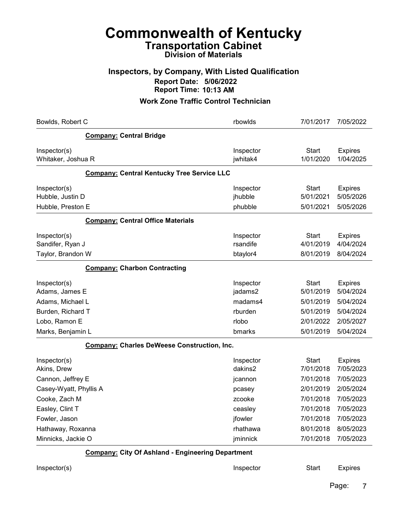#### Inspectors, by Company, With Listed Qualification Report Date: 5/06/2022 Report Time: 10:13 AM

| Bowlds, Robert C                                         | rbowlds                           | 7/01/2017                              | 7/05/2022                                |
|----------------------------------------------------------|-----------------------------------|----------------------------------------|------------------------------------------|
| <b>Company: Central Bridge</b>                           |                                   |                                        |                                          |
| Inspector(s)<br>Whitaker, Joshua R                       | Inspector<br>jwhitak4             | <b>Start</b><br>1/01/2020              | <b>Expires</b><br>1/04/2025              |
| <b>Company: Central Kentucky Tree Service LLC</b>        |                                   |                                        |                                          |
| Inspector(s)<br>Hubble, Justin D<br>Hubble, Preston E    | Inspector<br>jhubble<br>phubble   | <b>Start</b><br>5/01/2021<br>5/01/2021 | <b>Expires</b><br>5/05/2026<br>5/05/2026 |
| <b>Company: Central Office Materials</b>                 |                                   |                                        |                                          |
| Inspector(s)<br>Sandifer, Ryan J<br>Taylor, Brandon W    | Inspector<br>rsandife<br>btaylor4 | <b>Start</b><br>4/01/2019<br>8/01/2019 | <b>Expires</b><br>4/04/2024<br>8/04/2024 |
| <b>Company: Charbon Contracting</b>                      |                                   |                                        |                                          |
| Inspector(s)<br>Adams, James E                           | Inspector<br>jadams2              | <b>Start</b><br>5/01/2019              | <b>Expires</b><br>5/04/2024              |
| Adams, Michael L<br>Burden, Richard T                    | madams4<br>rburden                | 5/01/2019<br>5/01/2019                 | 5/04/2024<br>5/04/2024                   |
| Lobo, Ramon E                                            | rlobo                             | 2/01/2022                              | 2/05/2027                                |
| Marks, Benjamin L                                        | bmarks                            | 5/01/2019                              | 5/04/2024                                |
| <b>Company: Charles DeWeese Construction, Inc.</b>       |                                   |                                        |                                          |
| Inspector(s)<br>Akins, Drew                              | Inspector<br>dakins2              | <b>Start</b><br>7/01/2018              | <b>Expires</b><br>7/05/2023              |
| Cannon, Jeffrey E                                        | jcannon                           | 7/01/2018                              | 7/05/2023                                |
| Casey-Wyatt, Phyllis A                                   | pcasey                            | 2/01/2019                              | 2/05/2024                                |
| Cooke, Zach M<br>Easley, Clint T                         | zcooke<br>ceasley                 | 7/01/2018<br>7/01/2018                 | 7/05/2023<br>7/05/2023                   |
| Fowler, Jason                                            | jfowler                           | 7/01/2018                              | 7/05/2023                                |
| Hathaway, Roxanna                                        | rhathawa                          | 8/01/2018                              | 8/05/2023                                |
| Minnicks, Jackie O                                       | jminnick                          | 7/01/2018                              | 7/05/2023                                |
| <b>Company: City Of Ashland - Engineering Department</b> |                                   |                                        |                                          |
| Inspector(s)                                             | Inspector                         | <b>Start</b>                           | <b>Expires</b>                           |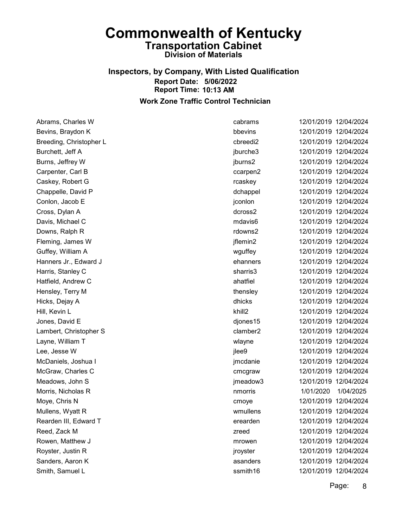#### Inspectors, by Company, With Listed Qualification Report Date: 5/06/2022 Report Time: 10:13 AM Work Zone Traffic Control Technician

Abrams, Charles W cabrams 12/01/2019 12/04/2024 Bevins, Braydon K **bbevins** 12/01/2019 12/04/2024 Breeding, Christopher L cbreedi2 12/01/2019 12/04/2024 Burchett, Jeff A **intervalse and the set of the set of the set of the set of the set of the set of the set of the set of the set of the set of the set of the set of the set of the set of the set of the set of the set of th** Burns, Jeffrey W jburns2 12/01/2019 12/04/2024 Carpenter, Carl B ccarpen2 12/01/2019 12/04/2024 Caskey, Robert G rcaskey 12/01/2019 12/04/2024 Chappelle, David P dchappel dchappel 12/01/2019 12/04/2024 Conlon, Jacob E jconlon 12/01/2019 12/04/2024 Cross, Dylan A dcross2 12/01/2019 12/04/2024 Davis, Michael C mdavis6 12/01/2019 12/04/2024 Downs, Ralph R rdowns2 12/01/2019 12/04/2024 Fleming, James W jflemin2 12/01/2019 12/04/2024 Guffey, William A wguffey 12/01/2019 12/04/2024 Hanners Jr., Edward J ehanners 12/01/2019 12/04/2024 Harris, Stanley C sharris3 12/01/2019 12/04/2024 Hatfield, Andrew C ahatfiel 12/01/2019 12/04/2024 Hensley, Terry M thensley 12/01/2019 12/04/2024 Hicks, Dejay A dhicks 12/01/2019 12/04/2024 Hill, Kevin L khill2 12/01/2019 12/04/2024 Jones, David E djones15 12/01/2019 12/04/2024 Lambert, Christopher S clamber2 12/01/2019 12/04/2024 Layne, William T wlayne 12/01/2019 12/04/2024 Lee, Jesse W jlee9 12/01/2019 12/04/2024 McDaniels, Joshua I jmcdanie 12/01/2019 12/04/2024 McGraw, Charles C cmcgraw 12/01/2019 12/04/2024 Meadows, John S jmeadow3 12/01/2019 12/04/2024 Morris, Nicholas R nmorris 1/01/2020 1/04/2025 Moye, Chris N cmoye 12/01/2019 12/04/2024 Mullens, Wyatt R wmullens 12/01/2019 12/04/2024 Rearden III, Edward T erearden 12/01/2019 12/04/2024 Reed, Zack M zreed 12/01/2019 12/04/2024 Rowen, Matthew J mrowen 12/01/2019 12/04/2024 Royster, Justin R jroyster 12/01/2019 12/04/2024 Sanders, Aaron K asanders 12/01/2019 12/04/2024 Smith, Samuel L ssmith16 12/01/2019 12/04/2024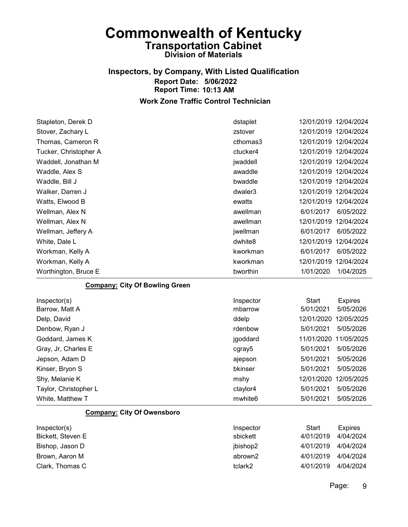### Inspectors, by Company, With Listed Qualification Report Date: 5/06/2022 Report Time: 10:13 AM

#### Work Zone Traffic Control Technician

| Stapleton, Derek D                    | dstaplet            | 12/01/2019 12/04/2024          |
|---------------------------------------|---------------------|--------------------------------|
| Stover, Zachary L                     | zstover             | 12/01/2019 12/04/2024          |
| Thomas, Cameron R                     | cthomas3            | 12/01/2019 12/04/2024          |
| Tucker, Christopher A                 | ctucker4            | 12/01/2019 12/04/2024          |
| Waddell, Jonathan M                   | jwaddell            | 12/01/2019 12/04/2024          |
| Waddle, Alex S                        | awaddle             | 12/01/2019 12/04/2024          |
| Waddle, Bill J                        | bwaddle             | 12/01/2019 12/04/2024          |
| Walker, Darren J                      | dwaler3             | 12/01/2019 12/04/2024          |
| Watts, Elwood B                       | ewatts              | 12/01/2019 12/04/2024          |
| Wellman, Alex N                       | awellman            | 6/01/2017<br>6/05/2022         |
| Wellman, Alex N                       | awellman            | 12/01/2019 12/04/2024          |
| Wellman, Jeffery A                    | jwellman            | 6/01/2017<br>6/05/2022         |
| White, Dale L                         | dwhite8             | 12/01/2019<br>12/04/2024       |
| Workman, Kelly A                      | kworkman            | 6/01/2017<br>6/05/2022         |
| Workman, Kelly A                      | kworkman            | 12/01/2019<br>12/04/2024       |
| Worthington, Bruce E                  | bworthin            | 1/01/2020<br>1/04/2025         |
| <b>Company: City Of Bowling Green</b> |                     |                                |
| Inspector(s)                          | Inspector           | <b>Start</b><br><b>Expires</b> |
| Barrow, Matt A                        | mbarrow             | 5/01/2021<br>5/05/2026         |
| Delp, David                           | ddelp               | 12/01/2020 12/05/2025          |
| Denbow, Ryan J                        | rdenbow             | 5/01/2021<br>5/05/2026         |
| Goddard, James K                      | jgoddard            | 11/01/2020<br>11/05/2025       |
| Gray, Jr, Charles E                   | cgray5              | 5/01/2021<br>5/05/2026         |
| Jepson, Adam D                        | ajepson             | 5/01/2021<br>5/05/2026         |
| Kinser, Bryon S                       | bkinser             | 5/01/2021<br>5/05/2026         |
| Shy, Melanie K                        | mshy                | 12/01/2020<br>12/05/2025       |
| Taylor, Christopher L                 | ctaylor4            | 5/01/2021<br>5/05/2026         |
| White, Matthew T                      | mwhite <sub>6</sub> | 5/01/2021<br>5/05/2026         |

#### Company: City Of Owensboro

| Inspector(s)      | Inspector | Start     | <b>Expires</b> |
|-------------------|-----------|-----------|----------------|
| Bickett, Steven E | sbickett  | 4/01/2019 | 4/04/2024      |
| Bishop, Jason D   | jbishop2  | 4/01/2019 | 4/04/2024      |
| Brown, Aaron M    | abrown2   | 4/01/2019 | 4/04/2024      |
| Clark. Thomas C   | tclark2   | 4/01/2019 | 4/04/2024      |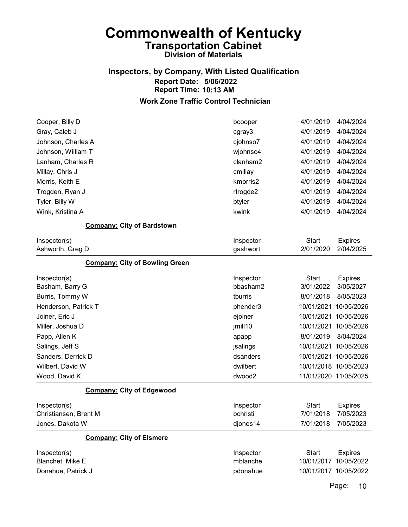### Inspectors, by Company, With Listed Qualification Report Date: 5/06/2022 Report Time: 10:13 AM

#### Work Zone Traffic Control Technician

| Cooper, Billy D                       | bcooper   | 4/01/2019             | 4/04/2024      |
|---------------------------------------|-----------|-----------------------|----------------|
| Gray, Caleb J                         | cgray3    | 4/01/2019             | 4/04/2024      |
| Johnson, Charles A                    | cjohnso7  | 4/01/2019             | 4/04/2024      |
| Johnson, William T                    | wjohnso4  | 4/01/2019             | 4/04/2024      |
| Lanham, Charles R                     | clanham2  | 4/01/2019             | 4/04/2024      |
| Millay, Chris J                       | cmillay   | 4/01/2019             | 4/04/2024      |
| Morris, Keith E                       | kmorris2  | 4/01/2019             | 4/04/2024      |
| Trogden, Ryan J                       | rtrogde2  | 4/01/2019             | 4/04/2024      |
| Tyler, Billy W                        | btyler    | 4/01/2019             | 4/04/2024      |
| Wink, Kristina A                      | kwink     | 4/01/2019             | 4/04/2024      |
| <b>Company: City of Bardstown</b>     |           |                       |                |
| Inspector(s)                          | Inspector | <b>Start</b>          | <b>Expires</b> |
| Ashworth, Greg D                      | gashwort  | 2/01/2020             | 2/04/2025      |
| <b>Company: City of Bowling Green</b> |           |                       |                |
| Inspector(s)                          | Inspector | <b>Start</b>          | <b>Expires</b> |
| Basham, Barry G                       | bbasham2  | 3/01/2022             | 3/05/2027      |
| Burris, Tommy W                       | tburris   | 8/01/2018             | 8/05/2023      |
| Henderson, Patrick T                  | phender3  | 10/01/2021            | 10/05/2026     |
| Joiner, Eric J                        | ejoiner   | 10/01/2021            | 10/05/2026     |
| Miller, Joshua D                      | jmill10   | 10/01/2021            | 10/05/2026     |
| Papp, Allen K                         | apapp     | 8/01/2019             | 8/04/2024      |
| Salings, Jeff S                       | jsalings  | 10/01/2021            | 10/05/2026     |
| Sanders, Derrick D                    | dsanders  | 10/01/2021 10/05/2026 |                |
| Wilbert, David W                      | dwilbert  | 10/01/2018 10/05/2023 |                |
| Wood, David K                         | dwood2    | 11/01/2020 11/05/2025 |                |
| <b>Company: City of Edgewood</b>      |           |                       |                |
| Inspector(s)                          | Inspector | <b>Start</b>          | <b>Expires</b> |
| Christiansen, Brent M                 | bchristi  | 7/01/2018             | 7/05/2023      |
| Jones, Dakota W                       | djones14  | 7/01/2018             | 7/05/2023      |
| <b>Company: City of Elsmere</b>       |           |                       |                |
| Inspector(s)                          | Inspector | <b>Start</b>          | <b>Expires</b> |
| Blanchet, Mike E                      | mblanche  | 10/01/2017            | 10/05/2022     |
| Donahue, Patrick J                    | pdonahue  | 10/01/2017 10/05/2022 |                |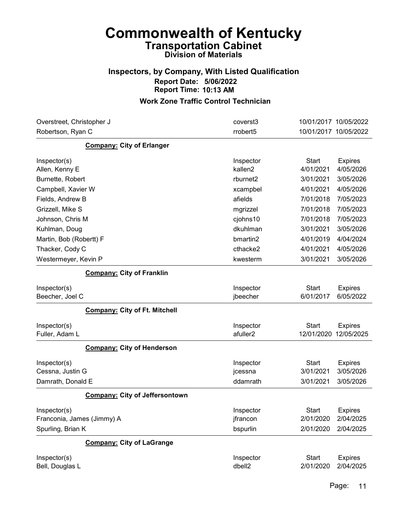### Inspectors, by Company, With Listed Qualification Report Date: 5/06/2022 Report Time: 10:13 AM

| Overstreet, Christopher J             | coverst3             | 10/01/2017 10/05/2022          |
|---------------------------------------|----------------------|--------------------------------|
| Robertson, Ryan C                     | rrobert5             | 10/01/2017 10/05/2022          |
| <b>Company: City of Erlanger</b>      |                      |                                |
| Inspector(s)                          | Inspector            | <b>Start</b><br><b>Expires</b> |
| Allen, Kenny E                        | kallen <sub>2</sub>  | 4/01/2021<br>4/05/2026         |
| Burnette, Robert                      | rburnet <sub>2</sub> | 3/01/2021<br>3/05/2026         |
| Campbell, Xavier W                    | xcampbel             | 4/01/2021<br>4/05/2026         |
| Fields, Andrew B                      | afields              | 7/01/2018<br>7/05/2023         |
| Grizzell, Mike S                      | mgrizzel             | 7/01/2018<br>7/05/2023         |
| Johnson, Chris M                      | cjohns10             | 7/01/2018<br>7/05/2023         |
| Kuhlman, Doug                         | dkuhlman             | 3/01/2021<br>3/05/2026         |
| Martin, Bob (Robertt) F               | bmartin2             | 4/01/2019<br>4/04/2024         |
| Thacker, Cody C                       | cthacke2             | 4/01/2021<br>4/05/2026         |
| Westermeyer, Kevin P                  | kwesterm             | 3/01/2021<br>3/05/2026         |
| <b>Company: City of Franklin</b>      |                      |                                |
| Inspector(s)                          | Inspector            | <b>Start</b><br><b>Expires</b> |
| Beecher, Joel C                       | jbeecher             | 6/01/2017<br>6/05/2022         |
| <b>Company: City of Ft. Mitchell</b>  |                      |                                |
| Inspector(s)                          | Inspector            | <b>Start</b><br><b>Expires</b> |
| Fuller, Adam L                        | afuller2             | 12/01/2020<br>12/05/2025       |
| <b>Company: City of Henderson</b>     |                      |                                |
| Inspector(s)                          | Inspector            | <b>Start</b><br><b>Expires</b> |
| Cessna, Justin G                      | jcessna              | 3/05/2026<br>3/01/2021         |
| Damrath, Donald E                     | ddamrath             | 3/01/2021<br>3/05/2026         |
| <b>Company: City of Jeffersontown</b> |                      |                                |
| Inspector(s)                          | Inspector            | <b>Start</b><br><b>Expires</b> |
| Franconia, James (Jimmy) A            | jfrancon             | 2/01/2020<br>2/04/2025         |
| Spurling, Brian K                     | bspurlin             | 2/01/2020<br>2/04/2025         |
| <b>Company: City of LaGrange</b>      |                      |                                |
| Inspector(s)                          | Inspector            | <b>Start</b><br><b>Expires</b> |
| Bell, Douglas L                       | dbell2               | 2/01/2020<br>2/04/2025         |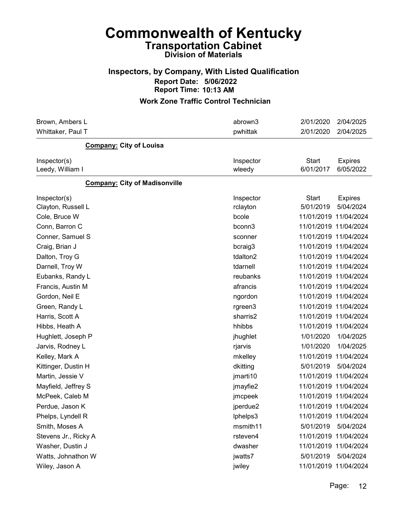#### Inspectors, by Company, With Listed Qualification Report Date: 5/06/2022 Report Time: 10:13 AM

| Brown, Ambers L                      | abrown3               | 2/01/2020<br>2/04/2025                                   |
|--------------------------------------|-----------------------|----------------------------------------------------------|
| Whittaker, Paul T                    | pwhittak              | 2/04/2025<br>2/01/2020                                   |
| <b>Company: City of Louisa</b>       |                       |                                                          |
| Inspector(s)<br>Leedy, William I     | Inspector<br>wleedy   | <b>Start</b><br><b>Expires</b><br>6/01/2017<br>6/05/2022 |
| <b>Company: City of Madisonville</b> |                       |                                                          |
| Inspector(s)<br>Clayton, Russell L   | Inspector<br>rclayton | <b>Start</b><br><b>Expires</b><br>5/01/2019<br>5/04/2024 |
| Cole, Bruce W                        | bcole                 | 11/01/2019 11/04/2024                                    |
| Conn, Barron C                       | bconn3                | 11/01/2019 11/04/2024                                    |
| Conner, Samuel S                     | sconner               | 11/01/2019 11/04/2024                                    |
| Craig, Brian J                       | bcraig3               | 11/01/2019 11/04/2024                                    |
| Dalton, Troy G                       | tdalton2              | 11/01/2019 11/04/2024                                    |
| Darnell, Troy W                      | tdarnell              | 11/01/2019 11/04/2024                                    |
| Eubanks, Randy L                     | reubanks              | 11/01/2019 11/04/2024                                    |
| Francis, Austin M                    | afrancis              | 11/01/2019 11/04/2024                                    |
| Gordon, Neil E                       | ngordon               | 11/01/2019 11/04/2024                                    |
| Green, Randy L                       | rgreen3               | 11/01/2019 11/04/2024                                    |
| Harris, Scott A                      | sharris2              | 11/01/2019 11/04/2024                                    |
| Hibbs, Heath A                       | hhibbs                | 11/01/2019 11/04/2024                                    |
| Hughlett, Joseph P                   | jhughlet              | 1/01/2020<br>1/04/2025                                   |
| Jarvis, Rodney L                     | rjarvis               | 1/01/2020<br>1/04/2025                                   |
| Kelley, Mark A                       | mkelley               | 11/01/2019 11/04/2024                                    |
| Kittinger, Dustin H                  | dkitting              | 5/01/2019<br>5/04/2024                                   |
| Martin, Jessie V                     | jmarti10              | 11/01/2019 11/04/2024                                    |
| Mayfield, Jeffrey S                  | jmayfie2              | 11/01/2019 11/04/2024                                    |
| McPeek, Caleb M                      | jmcpeek               | 11/01/2019 11/04/2024                                    |
| Perdue, Jason K                      | jperdue2              | 11/01/2019 11/04/2024                                    |
| Phelps, Lyndell R                    | lphelps3              | 11/01/2019 11/04/2024                                    |
| Smith, Moses A                       | msmith11              | 5/01/2019<br>5/04/2024                                   |
| Stevens Jr., Ricky A                 | rsteven4              | 11/01/2019 11/04/2024                                    |
| Washer, Dustin J                     | dwasher               | 11/01/2019 11/04/2024                                    |
| Watts, Johnathon W                   | jwatts7               | 5/01/2019<br>5/04/2024                                   |
| Wiley, Jason A                       | jwiley                | 11/01/2019 11/04/2024                                    |
|                                      |                       |                                                          |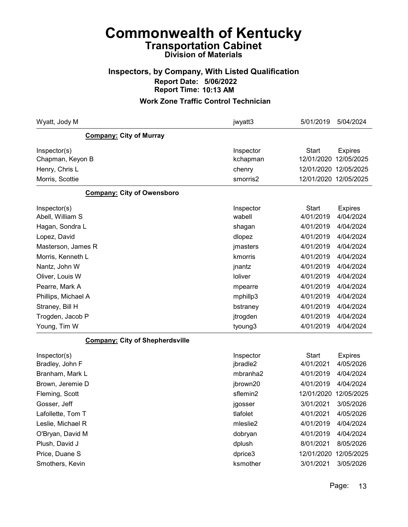### Inspectors, by Company, With Listed Qualification Report Date: 5/06/2022 Report Time: 10:13 AM

| Wyatt, Jody M                          | jwyatt3               | 5/01/2019                  | 5/04/2024                    |
|----------------------------------------|-----------------------|----------------------------|------------------------------|
| <b>Company: City of Murray</b>         |                       |                            |                              |
| Inspector(s)<br>Chapman, Keyon B       | Inspector<br>kchapman | <b>Start</b><br>12/01/2020 | <b>Expires</b><br>12/05/2025 |
| Henry, Chris L                         | chenry                |                            | 12/01/2020 12/05/2025        |
| Morris, Scottie                        | smorris2              |                            | 12/01/2020 12/05/2025        |
| <b>Company: City of Owensboro</b>      |                       |                            |                              |
| Inspector(s)                           | Inspector             | <b>Start</b>               | <b>Expires</b>               |
| Abell, William S                       | wabell                | 4/01/2019                  | 4/04/2024                    |
| Hagan, Sondra L                        | shagan                | 4/01/2019                  | 4/04/2024                    |
| Lopez, David                           | dlopez                | 4/01/2019                  | 4/04/2024                    |
| Masterson, James R                     | jmasters              | 4/01/2019                  | 4/04/2024                    |
| Morris, Kenneth L                      | kmorris               | 4/01/2019                  | 4/04/2024                    |
| Nantz, John W                          | jnantz                | 4/01/2019                  | 4/04/2024                    |
| Oliver, Louis W                        | loliver               | 4/01/2019                  | 4/04/2024                    |
| Pearre, Mark A                         | mpearre               | 4/01/2019                  | 4/04/2024                    |
| Phillips, Michael A                    | mphillp3              | 4/01/2019                  | 4/04/2024                    |
| Straney, Bill H                        | bstraney              | 4/01/2019                  | 4/04/2024                    |
| Trogden, Jacob P                       | jtrogden              | 4/01/2019                  | 4/04/2024                    |
| Young, Tim W                           | tyoung3               | 4/01/2019                  | 4/04/2024                    |
| <b>Company: City of Shepherdsville</b> |                       |                            |                              |
| Inspector(s)<br>Bradley, John F        | Inspector<br>jbradle2 | <b>Start</b><br>4/01/2021  | <b>Expires</b><br>4/05/2026  |
| Branham, Mark L                        | mbranha2              | 4/01/2019                  | 4/04/2024                    |
| Brown, Jeremie D                       | jbrown20              | 4/01/2019                  | 4/04/2024                    |
| Fleming, Scott                         | sflemin2              |                            | 12/01/2020 12/05/2025        |
| Gosser, Jeff                           | jgosser               | 3/01/2021                  | 3/05/2026                    |
| Lafollette, Tom T                      | tlafolet              | 4/01/2021                  | 4/05/2026                    |
| Leslie, Michael R                      | mleslie2              | 4/01/2019                  | 4/04/2024                    |
| O'Bryan, David M                       | dobryan               | 4/01/2019                  | 4/04/2024                    |
| Plush, David J                         | dplush                | 8/01/2021                  | 8/05/2026                    |
| Price, Duane S                         | dprice3               | 12/01/2020                 | 12/05/2025                   |
| Smothers, Kevin                        | ksmother              | 3/01/2021                  | 3/05/2026                    |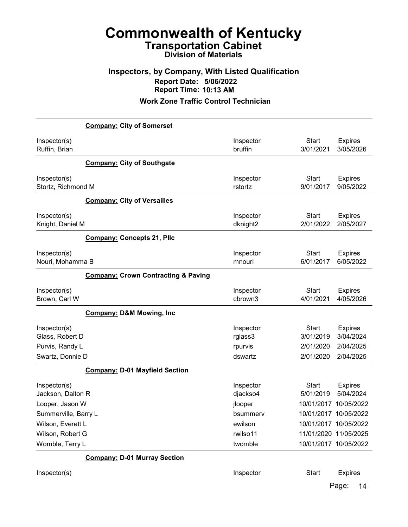### Inspectors, by Company, With Listed Qualification Report Date: 5/06/2022 Report Time: 10:13 AM

Work Zone Traffic Control Technician

|                                                                        | <b>Company: City of Somerset</b>               |                                            |                                                     |                                                       |
|------------------------------------------------------------------------|------------------------------------------------|--------------------------------------------|-----------------------------------------------------|-------------------------------------------------------|
| Inspector(s)<br>Ruffin, Brian                                          |                                                | Inspector<br>bruffin                       | <b>Start</b><br>3/01/2021                           | <b>Expires</b><br>3/05/2026                           |
|                                                                        | <b>Company: City of Southgate</b>              |                                            |                                                     |                                                       |
| Inspector(s)<br>Stortz, Richmond M                                     |                                                | Inspector<br>rstortz                       | <b>Start</b><br>9/01/2017                           | <b>Expires</b><br>9/05/2022                           |
|                                                                        | <b>Company: City of Versailles</b>             |                                            |                                                     |                                                       |
| Inspector(s)<br>Knight, Daniel M                                       |                                                | Inspector<br>dknight2                      | <b>Start</b><br>2/01/2022                           | <b>Expires</b><br>2/05/2027                           |
|                                                                        | <b>Company: Concepts 21, Plic</b>              |                                            |                                                     |                                                       |
| Inspector(s)<br>Nouri, Mohamma B                                       |                                                | Inspector<br>mnouri                        | <b>Start</b><br>6/01/2017                           | <b>Expires</b><br>6/05/2022                           |
|                                                                        | <b>Company: Crown Contracting &amp; Paving</b> |                                            |                                                     |                                                       |
| Inspector(s)<br>Brown, Carl W                                          |                                                | Inspector<br>cbrown3                       | <b>Start</b><br>4/01/2021                           | <b>Expires</b><br>4/05/2026                           |
|                                                                        | <b>Company: D&amp;M Mowing, Inc</b>            |                                            |                                                     |                                                       |
| Inspector(s)<br>Glass, Robert D<br>Purvis, Randy L<br>Swartz, Donnie D |                                                | Inspector<br>rglass3<br>rpurvis<br>dswartz | <b>Start</b><br>3/01/2019<br>2/01/2020<br>2/01/2020 | <b>Expires</b><br>3/04/2024<br>2/04/2025<br>2/04/2025 |
|                                                                        | <b>Company: D-01 Mayfield Section</b>          |                                            |                                                     |                                                       |
| Inspector(s)<br>Jackson, Dalton R                                      |                                                | Inspector<br>djackso4                      | Start<br>5/01/2019                                  | <b>Expires</b><br>5/04/2024                           |
| Looper, Jason W<br>Summerville, Barry L                                |                                                | jlooper<br>bsummerv                        | 10/01/2017<br>10/01/2017                            | 10/05/2022<br>10/05/2022                              |
| Wilson, Everett L                                                      |                                                | ewilson                                    |                                                     | 10/01/2017 10/05/2022                                 |
| Wilson, Robert G                                                       |                                                | rwilso11                                   |                                                     | 11/01/2020 11/05/2025                                 |
| Womble, Terry L                                                        |                                                | twomble                                    |                                                     | 10/01/2017 10/05/2022                                 |
|                                                                        | <b>Company: D-01 Murray Section</b>            |                                            |                                                     |                                                       |
| Inspector(s)                                                           |                                                | Inspector                                  | <b>Start</b>                                        | <b>Expires</b>                                        |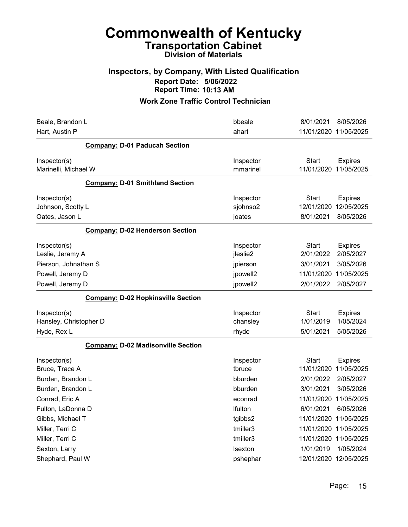#### Inspectors, by Company, With Listed Qualification Report Date: 5/06/2022 Report Time: 10:13 AM

| Beale, Brandon L                          | bbeale                | 8/01/2021<br>8/05/2026                              |
|-------------------------------------------|-----------------------|-----------------------------------------------------|
| Hart, Austin P                            | ahart                 | 11/01/2020 11/05/2025                               |
| <b>Company: D-01 Paducah Section</b>      |                       |                                                     |
| Inspector(s)<br>Marinelli, Michael W      | Inspector<br>mmarinel | Start<br><b>Expires</b><br>11/01/2020<br>11/05/2025 |
| <b>Company: D-01 Smithland Section</b>    |                       |                                                     |
| Inspector(s)                              | Inspector             | Start<br><b>Expires</b>                             |
| Johnson, Scotty L                         | sjohnso2              | 12/05/2025<br>12/01/2020                            |
| Oates, Jason L                            | joates                | 8/01/2021<br>8/05/2026                              |
| <b>Company: D-02 Henderson Section</b>    |                       |                                                     |
| Inspector(s)                              | Inspector             | Start<br><b>Expires</b>                             |
| Leslie, Jeramy A                          | jleslie2              | 2/01/2022<br>2/05/2027                              |
| Pierson, Johnathan S                      | jpierson              | 3/01/2021<br>3/05/2026                              |
| Powell, Jeremy D                          | jpowell2              | 11/01/2020<br>11/05/2025                            |
| Powell, Jeremy D                          | jpowell2              | 2/01/2022<br>2/05/2027                              |
| <b>Company: D-02 Hopkinsville Section</b> |                       |                                                     |
| Inspector(s)                              | Inspector             | <b>Start</b><br><b>Expires</b>                      |
| Hansley, Christopher D                    | chansley              | 1/01/2019<br>1/05/2024                              |
| Hyde, Rex L                               | rhyde                 | 5/05/2026<br>5/01/2021                              |
| <b>Company: D-02 Madisonville Section</b> |                       |                                                     |
| Inspector(s)                              | Inspector             | <b>Start</b><br><b>Expires</b>                      |
| Bruce, Trace A                            | tbruce                | 11/01/2020<br>11/05/2025                            |
| Burden, Brandon L                         | bburden               | 2/01/2022<br>2/05/2027                              |
| Burden, Brandon L                         | bburden               | 3/01/2021<br>3/05/2026                              |
| Conrad, Eric A                            | econrad               | 11/01/2020<br>11/05/2025                            |
| Fulton, LaDonna D                         | Ifulton               | 6/01/2021<br>6/05/2026                              |
| Gibbs, Michael T                          | tgibbs2               | 11/01/2020<br>11/05/2025                            |
| Miller, Terri C                           | tmiller3              | 11/01/2020 11/05/2025                               |
| Miller, Terri C                           | tmiller3              | 11/01/2020 11/05/2025                               |
| Sexton, Larry                             | <b>Isexton</b>        | 1/01/2019<br>1/05/2024                              |
| Shephard, Paul W                          | pshephar              | 12/01/2020 12/05/2025                               |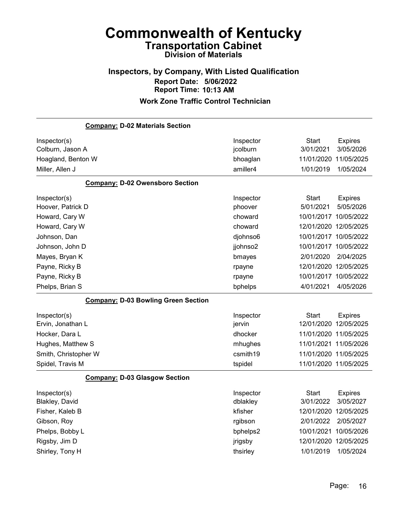## Inspectors, by Company, With Listed Qualification Report Date: 5/06/2022 Report Time: 10:13 AM

|                      | <b>Company: D-02 Materials Section</b>     |           |                       |                       |
|----------------------|--------------------------------------------|-----------|-----------------------|-----------------------|
| Inspector(s)         |                                            | Inspector | <b>Start</b>          | <b>Expires</b>        |
| Colburn, Jason A     |                                            | jcolburn  | 3/01/2021             | 3/05/2026             |
| Hoagland, Benton W   |                                            | bhoaglan  | 11/01/2020            | 11/05/2025            |
| Miller, Allen J      |                                            | amiller4  | 1/01/2019             | 1/05/2024             |
|                      | <b>Company: D-02 Owensboro Section</b>     |           |                       |                       |
| Inspector(s)         |                                            | Inspector | <b>Start</b>          | <b>Expires</b>        |
| Hoover, Patrick D    |                                            | phoover   | 5/01/2021             | 5/05/2026             |
| Howard, Cary W       |                                            | choward   | 10/01/2017 10/05/2022 |                       |
| Howard, Cary W       |                                            | choward   | 12/01/2020 12/05/2025 |                       |
| Johnson, Dan         |                                            | djohnso6  |                       | 10/01/2017 10/05/2022 |
| Johnson, John D      |                                            | jjohnso2  | 10/01/2017 10/05/2022 |                       |
| Mayes, Bryan K       |                                            | bmayes    | 2/01/2020             | 2/04/2025             |
| Payne, Ricky B       |                                            | rpayne    | 12/01/2020 12/05/2025 |                       |
| Payne, Ricky B       |                                            | rpayne    | 10/01/2017 10/05/2022 |                       |
| Phelps, Brian S      |                                            | bphelps   | 4/01/2021             | 4/05/2026             |
|                      | <b>Company: D-03 Bowling Green Section</b> |           |                       |                       |
| Inspector(s)         |                                            | Inspector | <b>Start</b>          | <b>Expires</b>        |
| Ervin, Jonathan L    |                                            | jervin    | 12/01/2020 12/05/2025 |                       |
| Hocker, Dara L       |                                            | dhocker   |                       | 11/01/2020 11/05/2025 |
| Hughes, Matthew S    |                                            | mhughes   | 11/01/2021 11/05/2026 |                       |
| Smith, Christopher W |                                            | csmith19  | 11/01/2020 11/05/2025 |                       |
| Spidel, Travis M     |                                            | tspidel   | 11/01/2020 11/05/2025 |                       |
|                      | <b>Company: D-03 Glasgow Section</b>       |           |                       |                       |
| Inspector(s)         |                                            | Inspector | Start                 | <b>Expires</b>        |
| Blakley, David       |                                            | dblakley  | 3/01/2022             | 3/05/2027             |
| Fisher, Kaleb B      |                                            | kfisher   | 12/01/2020            | 12/05/2025            |
| Gibson, Roy          |                                            | rgibson   | 2/01/2022             | 2/05/2027             |
| Phelps, Bobby L      |                                            | bphelps2  | 10/01/2021            | 10/05/2026            |
| Rigsby, Jim D        |                                            | jrigsby   | 12/01/2020            | 12/05/2025            |
| Shirley, Tony H      |                                            | thsirley  | 1/01/2019             | 1/05/2024             |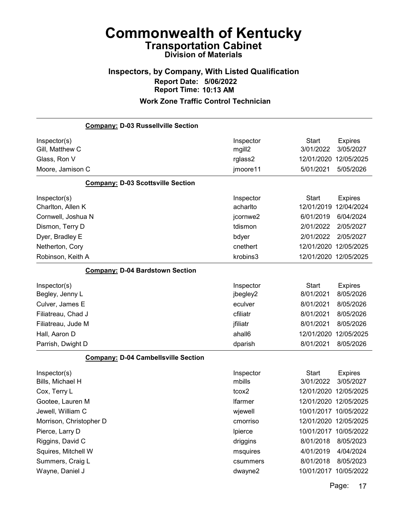### Inspectors, by Company, With Listed Qualification Report Date: 5/06/2022 Report Time: 10:13 AM

#### Work Zone Traffic Control Technician

| <b>Company: D-03 Russellville Section</b>  |                |              |                       |
|--------------------------------------------|----------------|--------------|-----------------------|
| Inspector(s)                               | Inspector      | <b>Start</b> | <b>Expires</b>        |
| Gill, Matthew C                            | mgill2         | 3/01/2022    | 3/05/2027             |
| Glass, Ron V                               | rglass2        | 12/01/2020   | 12/05/2025            |
| Moore, Jamison C                           | jmoore11       | 5/01/2021    | 5/05/2026             |
| <b>Company: D-03 Scottsville Section</b>   |                |              |                       |
| Inspector(s)                               | Inspector      | <b>Start</b> | <b>Expires</b>        |
| Charlton, Allen K                          | acharlto       | 12/01/2019   | 12/04/2024            |
| Cornwell, Joshua N                         | jcornwe2       | 6/01/2019    | 6/04/2024             |
| Dismon, Terry D                            | tdismon        | 2/01/2022    | 2/05/2027             |
| Dyer, Bradley E                            | bdyer          | 2/01/2022    | 2/05/2027             |
| Netherton, Cory                            | cnethert       | 12/01/2020   | 12/05/2025            |
| Robinson, Keith A                          | krobins3       |              | 12/01/2020 12/05/2025 |
| <b>Company: D-04 Bardstown Section</b>     |                |              |                       |
| Inspector(s)                               | Inspector      | <b>Start</b> | <b>Expires</b>        |
| Begley, Jenny L                            | jbegley2       | 8/01/2021    | 8/05/2026             |
| Culver, James E                            | eculver        | 8/01/2021    | 8/05/2026             |
| Filiatreau, Chad J                         | cfiliatr       | 8/01/2021    | 8/05/2026             |
| Filiatreau, Jude M                         | jfiliatr       | 8/01/2021    | 8/05/2026             |
| Hall, Aaron D                              | ahall6         | 12/01/2020   | 12/05/2025            |
| Parrish, Dwight D                          | dparish        | 8/01/2021    | 8/05/2026             |
| <b>Company: D-04 Cambellsville Section</b> |                |              |                       |
| Inspector(s)                               | Inspector      | <b>Start</b> | <b>Expires</b>        |
| Bills, Michael H                           | mbills         | 3/01/2022    | 3/05/2027             |
| Cox, Terry L                               | tcox2          |              | 12/01/2020 12/05/2025 |
| Gootee, Lauren M                           | <b>Ifarmer</b> |              | 12/01/2020 12/05/2025 |
| Jewell, William C                          | wjewell        |              | 10/01/2017 10/05/2022 |
| Morrison, Christopher D                    | cmorriso       |              | 12/01/2020 12/05/2025 |
| Pierce, Larry D                            | Ipierce        |              | 10/01/2017 10/05/2022 |
| Riggins, David C                           | driggins       | 8/01/2018    | 8/05/2023             |
| Squires, Mitchell W                        | msquires       | 4/01/2019    | 4/04/2024             |
| Summers, Craig L                           | csummers       | 8/01/2018    | 8/05/2023             |
| Wayne, Daniel J                            | dwayne2        |              | 10/01/2017 10/05/2022 |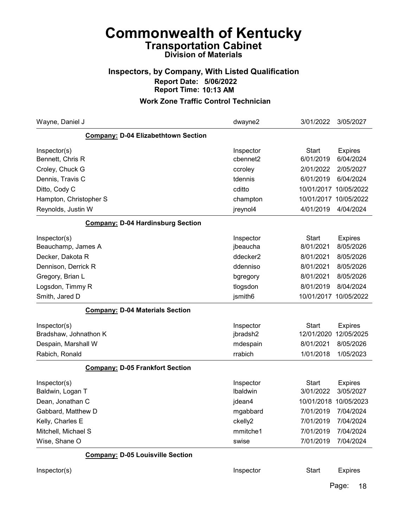### Inspectors, by Company, With Listed Qualification Report Date: 5/06/2022 Report Time: 10:13 AM

| Wayne, Daniel J                          | dwayne2   | 3/01/2022    | 3/05/2027             |
|------------------------------------------|-----------|--------------|-----------------------|
| Company: D-04 Elizabethtown Section      |           |              |                       |
| Inspector(s)                             | Inspector | <b>Start</b> | <b>Expires</b>        |
| Bennett, Chris R                         | cbennet2  | 6/01/2019    | 6/04/2024             |
| Croley, Chuck G                          | ccroley   | 2/01/2022    | 2/05/2027             |
| Dennis, Travis C                         | tdennis   | 6/01/2019    | 6/04/2024             |
| Ditto, Cody C                            | cditto    | 10/01/2017   | 10/05/2022            |
| Hampton, Christopher S                   | champton  |              | 10/01/2017 10/05/2022 |
| Reynolds, Justin W                       | jreynol4  | 4/01/2019    | 4/04/2024             |
| <b>Company: D-04 Hardinsburg Section</b> |           |              |                       |
| Inspector(s)                             | Inspector | <b>Start</b> | <b>Expires</b>        |
| Beauchamp, James A                       | jbeaucha  | 8/01/2021    | 8/05/2026             |
| Decker, Dakota R                         | ddecker2  | 8/01/2021    | 8/05/2026             |
| Dennison, Derrick R                      | ddenniso  | 8/01/2021    | 8/05/2026             |
| Gregory, Brian L                         | bgregory  | 8/01/2021    | 8/05/2026             |
| Logsdon, Timmy R                         | tlogsdon  | 8/01/2019    | 8/04/2024             |
| Smith, Jared D                           | jsmith6   | 10/01/2017   | 10/05/2022            |
| <b>Company: D-04 Materials Section</b>   |           |              |                       |
| Inspector(s)                             | Inspector | <b>Start</b> | <b>Expires</b>        |
| Bradshaw, Johnathon K                    | jbradsh2  | 12/01/2020   | 12/05/2025            |
| Despain, Marshall W                      | mdespain  | 8/01/2021    | 8/05/2026             |
| Rabich, Ronald                           | rrabich   | 1/01/2018    | 1/05/2023             |
| <b>Company: D-05 Frankfort Section</b>   |           |              |                       |
| Inspector(s)                             | Inspector | <b>Start</b> | <b>Expires</b>        |
| Baldwin, Logan T                         | Ibaldwin  | 3/01/2022    | 3/05/2027             |
| Dean, Jonathan C                         | jdean4    | 10/01/2018   | 10/05/2023            |
| Gabbard, Matthew D                       | mgabbard  | 7/01/2019    | 7/04/2024             |
| Kelly, Charles E                         | ckelly2   | 7/01/2019    | 7/04/2024             |
| Mitchell, Michael S                      | mmitche1  | 7/01/2019    | 7/04/2024             |
| Wise, Shane O                            | swise     | 7/01/2019    | 7/04/2024             |
| <b>Company: D-05 Louisville Section</b>  |           |              |                       |
| Inspector(s)                             | Inspector | <b>Start</b> | <b>Expires</b>        |
|                                          |           |              | Page:<br>18           |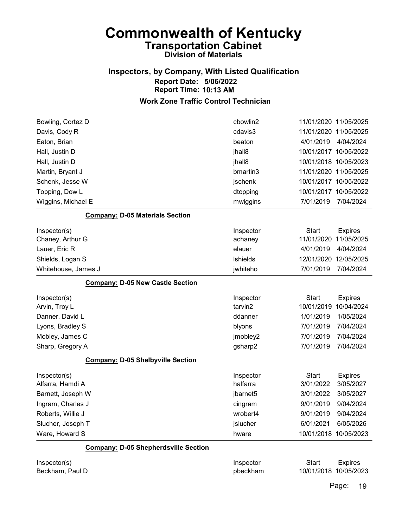### Inspectors, by Company, With Listed Qualification Report Date: 5/06/2022 Report Time: 10:13 AM

#### Work Zone Traffic Control Technician

| Bowling, Cortez D                           | cbowlin2  |              | 11/01/2020 11/05/2025 |
|---------------------------------------------|-----------|--------------|-----------------------|
| Davis, Cody R                               | cdavis3   |              | 11/01/2020 11/05/2025 |
| Eaton, Brian                                | beaton    | 4/01/2019    | 4/04/2024             |
| Hall, Justin D                              | jhall8    |              | 10/01/2017 10/05/2022 |
| Hall, Justin D                              | jhall8    |              | 10/01/2018 10/05/2023 |
| Martin, Bryant J                            | bmartin3  |              | 11/01/2020 11/05/2025 |
| Schenk, Jesse W                             | jschenk   |              | 10/01/2017 10/05/2022 |
| Topping, Dow L                              | dtopping  |              | 10/01/2017 10/05/2022 |
| Wiggins, Michael E                          | mwiggins  | 7/01/2019    | 7/04/2024             |
| <b>Company: D-05 Materials Section</b>      |           |              |                       |
| Inspector(s)                                | Inspector | <b>Start</b> | <b>Expires</b>        |
| Chaney, Arthur G                            | achaney   | 11/01/2020   | 11/05/2025            |
| Lauer, Eric R                               | elauer    | 4/01/2019    | 4/04/2024             |
| Shields, Logan S                            | Ishields  | 12/01/2020   | 12/05/2025            |
| Whitehouse, James J                         | jwhiteho  | 7/01/2019    | 7/04/2024             |
| <b>Company: D-05 New Castle Section</b>     |           |              |                       |
| Inspector(s)                                | Inspector | <b>Start</b> | <b>Expires</b>        |
| Arvin, Troy L                               | tarvin2   | 10/01/2019   | 10/04/2024            |
| Danner, David L                             | ddanner   | 1/01/2019    | 1/05/2024             |
| Lyons, Bradley S                            | blyons    | 7/01/2019    | 7/04/2024             |
| Mobley, James C                             | jmobley2  | 7/01/2019    | 7/04/2024             |
| Sharp, Gregory A                            | gsharp2   | 7/01/2019    | 7/04/2024             |
| <b>Company: D-05 Shelbyville Section</b>    |           |              |                       |
| Inspector(s)                                | Inspector | <b>Start</b> | <b>Expires</b>        |
| Alfarra, Hamdi A                            | halfarra  | 3/01/2022    | 3/05/2027             |
| Barnett, Joseph W                           | jbarnet5  | 3/01/2022    | 3/05/2027             |
| Ingram, Charles J                           | cingram   | 9/01/2019    | 9/04/2024             |
| Roberts, Willie J                           | wrobert4  | 9/01/2019    | 9/04/2024             |
| Slucher, Joseph T                           | jslucher  | 6/01/2021    | 6/05/2026             |
| Ware, Howard S                              | hware     |              | 10/01/2018 10/05/2023 |
| <b>Company: D-05 Shepherdsville Section</b> |           |              |                       |
| Inspector(s)                                | Inspector | <b>Start</b> | <b>Expires</b>        |

Beckham, Paul D **D D Example 2018 pbeckham** 10/01/2018 10/05/2023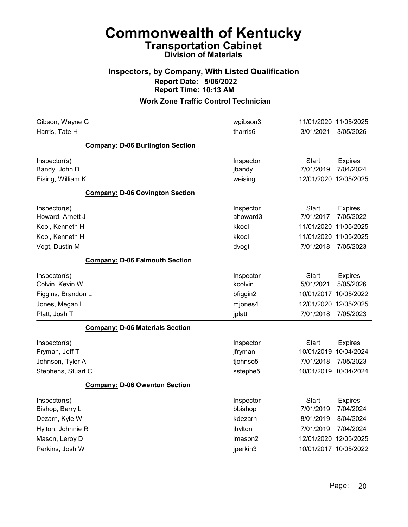### Inspectors, by Company, With Listed Qualification Report Date: 5/06/2022 Report Time: 10:13 AM

| Gibson, Wayne G                         | wgibson3  | 11/01/2020 11/05/2025          |
|-----------------------------------------|-----------|--------------------------------|
| Harris, Tate H                          | tharris6  | 3/05/2026<br>3/01/2021         |
| <b>Company: D-06 Burlington Section</b> |           |                                |
| Inspector(s)                            | Inspector | Start<br><b>Expires</b>        |
| Bandy, John D                           | jbandy    | 7/04/2024<br>7/01/2019         |
| Eising, William K                       | weising   | 12/01/2020 12/05/2025          |
| <b>Company: D-06 Covington Section</b>  |           |                                |
| Inspector(s)                            | Inspector | <b>Start</b><br><b>Expires</b> |
| Howard, Arnett J                        | ahoward3  | 7/01/2017<br>7/05/2022         |
| Kool, Kenneth H                         | kkool     | 11/05/2025<br>11/01/2020       |
| Kool, Kenneth H                         | kkool     | 11/05/2025<br>11/01/2020       |
| Vogt, Dustin M                          | dvogt     | 7/01/2018<br>7/05/2023         |
| <b>Company: D-06 Falmouth Section</b>   |           |                                |
| Inspector(s)                            | Inspector | Start<br><b>Expires</b>        |
| Colvin, Kevin W                         | kcolvin   | 5/01/2021<br>5/05/2026         |
| Figgins, Brandon L                      | bfiggin2  | 10/05/2022<br>10/01/2017       |
| Jones, Megan L                          | mjones4   | 12/05/2025<br>12/01/2020       |
| Platt, Josh T                           | jplatt    | 7/01/2018<br>7/05/2023         |
| <b>Company: D-06 Materials Section</b>  |           |                                |
| Inspector(s)                            | Inspector | <b>Start</b><br><b>Expires</b> |
| Fryman, Jeff T                          | jfryman   | 10/01/2019<br>10/04/2024       |
| Johnson, Tyler A                        | tjohnso5  | 7/01/2018<br>7/05/2023         |
| Stephens, Stuart C                      | sstephe5  | 10/01/2019 10/04/2024          |
| <b>Company: D-06 Owenton Section</b>    |           |                                |
| Inspector(s)                            | Inspector | <b>Start</b><br><b>Expires</b> |
| Bishop, Barry L                         | bbishop   | 7/04/2024<br>7/01/2019         |
| Dezarn, Kyle W                          | kdezarn   | 8/04/2024<br>8/01/2019         |
| Hylton, Johnnie R                       | jhylton   | 7/04/2024<br>7/01/2019         |
| Mason, Leroy D                          | Imason2   | 12/01/2020<br>12/05/2025       |
| Perkins, Josh W                         | jperkin3  | 10/01/2017 10/05/2022          |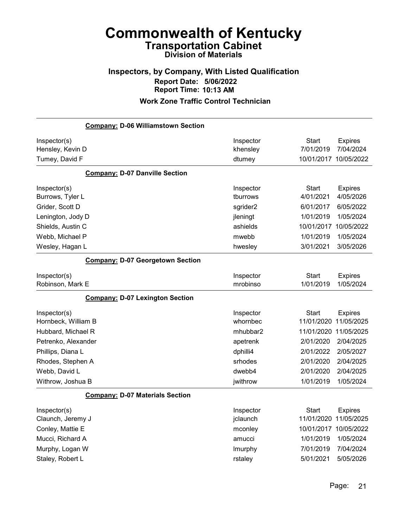### Inspectors, by Company, With Listed Qualification Report Date: 5/06/2022 Report Time: 10:13 AM

| <b>Company: D-06 Williamstown Section</b>          |                                 |                                                    |                              |
|----------------------------------------------------|---------------------------------|----------------------------------------------------|------------------------------|
| Inspector(s)<br>Hensley, Kevin D<br>Tumey, David F | Inspector<br>khensley<br>dtumey | <b>Start</b><br>7/01/2019<br>10/01/2017 10/05/2022 | <b>Expires</b><br>7/04/2024  |
| <b>Company: D-07 Danville Section</b>              |                                 |                                                    |                              |
| Inspector(s)<br>Burrows, Tyler L                   | Inspector<br>tburrows           | <b>Start</b><br>4/01/2021                          | <b>Expires</b><br>4/05/2026  |
| Grider, Scott D                                    | sgrider2                        | 6/01/2017                                          | 6/05/2022                    |
| Lenington, Jody D                                  | jleningt                        | 1/01/2019                                          | 1/05/2024                    |
| Shields, Austin C                                  | ashields                        | 10/01/2017                                         | 10/05/2022                   |
| Webb, Michael P                                    | mwebb                           | 1/01/2019                                          | 1/05/2024                    |
| Wesley, Hagan L                                    | hwesley                         | 3/01/2021                                          | 3/05/2026                    |
| <b>Company: D-07 Georgetown Section</b>            |                                 |                                                    |                              |
| Inspector(s)<br>Robinson, Mark E                   | Inspector<br>mrobinso           | Start<br>1/01/2019                                 | <b>Expires</b><br>1/05/2024  |
| <b>Company: D-07 Lexington Section</b>             |                                 |                                                    |                              |
| Inspector(s)<br>Hornbeck, William B                | Inspector<br>whornbec           | <b>Start</b><br>11/01/2020                         | <b>Expires</b><br>11/05/2025 |
| Hubbard, Michael R                                 | mhubbar2                        | 11/01/2020 11/05/2025                              |                              |
| Petrenko, Alexander                                | apetrenk                        | 2/01/2020                                          | 2/04/2025                    |
| Phillips, Diana L                                  | dphilli4                        | 2/01/2022                                          | 2/05/2027                    |
| Rhodes, Stephen A                                  | srhodes                         | 2/01/2020                                          | 2/04/2025                    |
| Webb, David L                                      | dwebb4                          | 2/01/2020                                          | 2/04/2025                    |
| Withrow, Joshua B                                  | jwithrow                        | 1/01/2019                                          | 1/05/2024                    |
| <b>Company: D-07 Materials Section</b>             |                                 |                                                    |                              |
| Inspector(s)<br>Claunch, Jeremy J                  | Inspector<br>jclaunch           | <b>Start</b><br>11/01/2020 11/05/2025              | <b>Expires</b>               |
| Conley, Mattie E                                   | mconley                         |                                                    | 10/01/2017 10/05/2022        |
| Mucci, Richard A                                   | amucci                          | 1/01/2019                                          | 1/05/2024                    |
| Murphy, Logan W                                    | Imurphy                         | 7/01/2019                                          | 7/04/2024                    |
| Staley, Robert L                                   | rstaley                         | 5/01/2021                                          | 5/05/2026                    |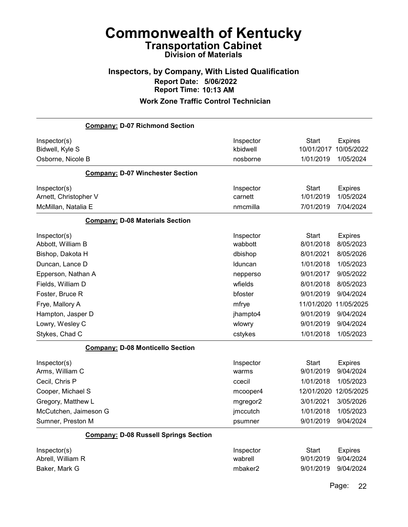### Inspectors, by Company, With Listed Qualification Report Date: 5/06/2022 Report Time: 10:13 AM

#### Work Zone Traffic Control Technician

| <b>Company: D-07 Richmond Section</b>        |           |              |                |
|----------------------------------------------|-----------|--------------|----------------|
| Inspector(s)                                 | Inspector | <b>Start</b> | <b>Expires</b> |
| Bidwell, Kyle S                              | kbidwell  | 10/01/2017   | 10/05/2022     |
| Osborne, Nicole B                            | nosborne  | 1/01/2019    | 1/05/2024      |
| <b>Company: D-07 Winchester Section</b>      |           |              |                |
| Inspector(s)                                 | Inspector | <b>Start</b> | <b>Expires</b> |
| Arnett, Christopher V                        | carnett   | 1/01/2019    | 1/05/2024      |
| McMillan, Natalia E                          | nmcmilla  | 7/01/2019    | 7/04/2024      |
| <b>Company: D-08 Materials Section</b>       |           |              |                |
| Inspector(s)                                 | Inspector | <b>Start</b> | <b>Expires</b> |
| Abbott, William B                            | wabbott   | 8/01/2018    | 8/05/2023      |
| Bishop, Dakota H                             | dbishop   | 8/01/2021    | 8/05/2026      |
| Duncan, Lance D                              | Iduncan   | 1/01/2018    | 1/05/2023      |
| Epperson, Nathan A                           | nepperso  | 9/01/2017    | 9/05/2022      |
| Fields, William D                            | wfields   | 8/01/2018    | 8/05/2023      |
| Foster, Bruce R                              | bfoster   | 9/01/2019    | 9/04/2024      |
| Frye, Mallory A                              | mfrye     | 11/01/2020   | 11/05/2025     |
| Hampton, Jasper D                            | jhampto4  | 9/01/2019    | 9/04/2024      |
| Lowry, Wesley C                              | wlowry    | 9/01/2019    | 9/04/2024      |
| Stykes, Chad C                               | cstykes   | 1/01/2018    | 1/05/2023      |
| <b>Company: D-08 Monticello Section</b>      |           |              |                |
| Inspector(s)                                 | Inspector | <b>Start</b> | <b>Expires</b> |
| Arms, William C                              | warms     | 9/01/2019    | 9/04/2024      |
| Cecil, Chris P                               | ccecil    | 1/01/2018    | 1/05/2023      |
| Cooper, Michael S                            | mcooper4  | 12/01/2020   | 12/05/2025     |
| Gregory, Matthew L                           | mgregor2  | 3/01/2021    | 3/05/2026      |
| McCutchen, Jaimeson G                        | jmccutch  | 1/01/2018    | 1/05/2023      |
| Sumner, Preston M                            | psumner   | 9/01/2019    | 9/04/2024      |
| <b>Company: D-08 Russell Springs Section</b> |           |              |                |
| Inspector(s)                                 | Inspector | <b>Start</b> | <b>Expires</b> |
| Abrell, William R                            | wabrell   | 9/01/2019    | 9/04/2024      |
| Baker, Mark G                                | mbaker2   | 9/01/2019    | 9/04/2024      |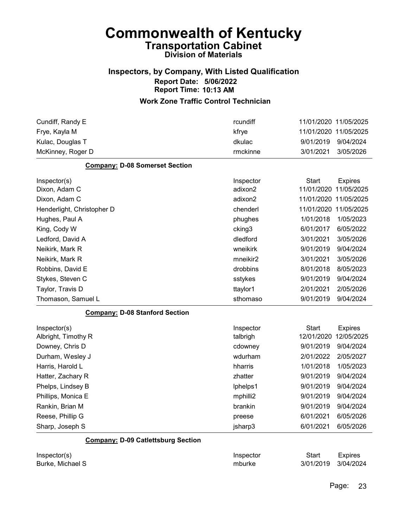### Inspectors, by Company, With Listed Qualification Report Date: 5/06/2022 Report Time: 10:13 AM

| Cundiff, Randy E                          | rcundiff  | 11/01/2020 11/05/2025 |                |
|-------------------------------------------|-----------|-----------------------|----------------|
| Frye, Kayla M                             | kfrye     | 11/01/2020 11/05/2025 |                |
| Kulac, Douglas T                          | dkulac    | 9/01/2019             | 9/04/2024      |
| McKinney, Roger D                         | rmckinne  | 3/01/2021             | 3/05/2026      |
| <b>Company: D-08 Somerset Section</b>     |           |                       |                |
| Inspector(s)                              | Inspector | <b>Start</b>          | <b>Expires</b> |
| Dixon, Adam C                             | adixon2   | 11/01/2020            | 11/05/2025     |
| Dixon, Adam C                             | adixon2   | 11/01/2020 11/05/2025 |                |
| Henderlight, Christopher D                | chenderl  | 11/01/2020            | 11/05/2025     |
| Hughes, Paul A                            | phughes   | 1/01/2018             | 1/05/2023      |
| King, Cody W                              | cking3    | 6/01/2017             | 6/05/2022      |
| Ledford, David A                          | dledford  | 3/01/2021             | 3/05/2026      |
| Neikirk, Mark R                           | wneikirk  | 9/01/2019             | 9/04/2024      |
| Neikirk, Mark R                           | mneikir2  | 3/01/2021             | 3/05/2026      |
| Robbins, David E                          | drobbins  | 8/01/2018             | 8/05/2023      |
| Stykes, Steven C                          | sstykes   | 9/01/2019             | 9/04/2024      |
| Taylor, Travis D                          | ttaylor1  | 2/01/2021             | 2/05/2026      |
| Thomason, Samuel L                        | sthomaso  | 9/01/2019             | 9/04/2024      |
| <b>Company: D-08 Stanford Section</b>     |           |                       |                |
| Inspector(s)                              | Inspector | <b>Start</b>          | <b>Expires</b> |
| Albright, Timothy R                       | talbrigh  | 12/01/2020            | 12/05/2025     |
| Downey, Chris D                           | cdowney   | 9/01/2019             | 9/04/2024      |
| Durham, Wesley J                          | wdurham   | 2/01/2022             | 2/05/2027      |
| Harris, Harold L                          | hharris   | 1/01/2018             | 1/05/2023      |
| Hatter, Zachary R                         | zhatter   | 9/01/2019             | 9/04/2024      |
| Phelps, Lindsey B                         | lphelps1  | 9/01/2019             | 9/04/2024      |
| Phillips, Monica E                        | mphilli2  | 9/01/2019             | 9/04/2024      |
| Rankin, Brian M                           | brankin   | 9/01/2019             | 9/04/2024      |
| Reese, Phillip G                          | preese    | 6/01/2021             | 6/05/2026      |
| Sharp, Joseph S                           | jsharp3   | 6/01/2021             | 6/05/2026      |
| <b>Company: D-09 Catlettsburg Section</b> |           |                       |                |

| Inspector(s)     | Inspector | Start               | <b>Expires</b> |
|------------------|-----------|---------------------|----------------|
| Burke, Michael S | mburke    | 3/01/2019 3/04/2024 |                |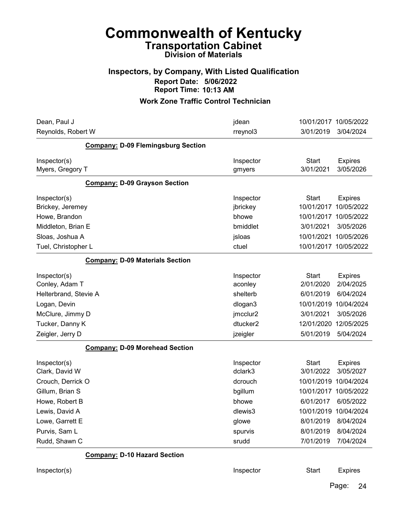#### Inspectors, by Company, With Listed Qualification Report Date: 5/06/2022 Report Time: 10:13 AM

#### Work Zone Traffic Control Technician

| Dean, Paul J                              | jdean               | 10/01/2017 10/05/2022     |                             |
|-------------------------------------------|---------------------|---------------------------|-----------------------------|
| Reynolds, Robert W                        | rreynol3            | 3/01/2019                 | 3/04/2024                   |
| <b>Company: D-09 Flemingsburg Section</b> |                     |                           |                             |
| Inspector(s)<br>Myers, Gregory T          | Inspector<br>gmyers | <b>Start</b><br>3/01/2021 | <b>Expires</b><br>3/05/2026 |
| <b>Company: D-09 Grayson Section</b>      |                     |                           |                             |
| Inspector(s)                              | Inspector           | <b>Start</b>              | <b>Expires</b>              |
| Brickey, Jeremey                          | jbrickey            | 10/01/2017                | 10/05/2022                  |
| Howe, Brandon                             | bhowe               | 10/01/2017                | 10/05/2022                  |
| Middleton, Brian E                        | bmiddlet            | 3/01/2021                 | 3/05/2026                   |
| Sloas, Joshua A                           | jsloas              | 10/01/2021                | 10/05/2026                  |
| Tuel, Christopher L                       | ctuel               | 10/01/2017                | 10/05/2022                  |
| <b>Company: D-09 Materials Section</b>    |                     |                           |                             |
| Inspector(s)                              | Inspector           | <b>Start</b>              | <b>Expires</b>              |
| Conley, Adam T                            | aconley             | 2/01/2020                 | 2/04/2025                   |
| Helterbrand, Stevie A                     | shelterb            | 6/01/2019                 | 6/04/2024                   |
| Logan, Devin                              | dlogan3             | 10/01/2019                | 10/04/2024                  |
| McClure, Jimmy D                          | jmcclur2            | 3/01/2021                 | 3/05/2026                   |
| Tucker, Danny K                           | dtucker2            | 12/01/2020                | 12/05/2025                  |
| Zeigler, Jerry D                          | jzeigler            | 5/01/2019                 | 5/04/2024                   |
| <b>Company: D-09 Morehead Section</b>     |                     |                           |                             |
| Inspector(s)                              | Inspector           | <b>Start</b>              | <b>Expires</b>              |
| Clark, David W                            | dclark3             | 3/01/2022                 | 3/05/2027                   |
| Crouch, Derrick O                         | dcrouch             | 10/01/2019                | 10/04/2024                  |
| Gillum, Brian S                           | bgillum             | 10/01/2017                | 10/05/2022                  |
| Howe, Robert B                            | bhowe               | 6/01/2017                 | 6/05/2022                   |
| Lewis, David A                            | dlewis3             | 10/01/2019 10/04/2024     |                             |
| Lowe, Garrett E                           | glowe               | 8/01/2019                 | 8/04/2024                   |
| Purvis, Sam L                             | spurvis             | 8/01/2019                 | 8/04/2024                   |
| Rudd, Shawn C                             | srudd               | 7/01/2019                 | 7/04/2024                   |
| <b>Company: D-10 Hazard Section</b>       |                     |                           |                             |
| Inspector(s)                              | Inspector           | <b>Start</b>              | <b>Expires</b>              |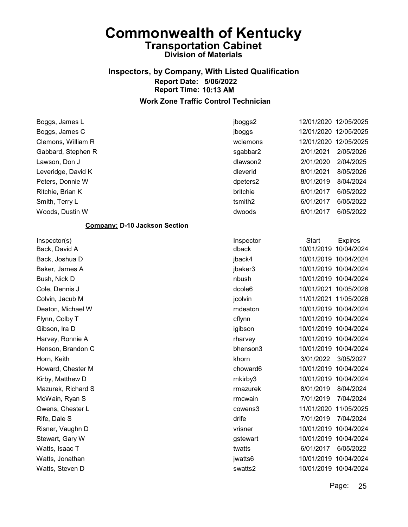## Inspectors, by Company, With Listed Qualification Report Date: 5/06/2022 Report Time: 10:13 AM

#### Work Zone Traffic Control Technician

| Boggs, James L     | jboggs2  | 12/01/2020 12/05/2025  |
|--------------------|----------|------------------------|
| Boggs, James C     | jboggs   | 12/01/2020 12/05/2025  |
| Clemons, William R | wclemons | 12/01/2020 12/05/2025  |
| Gabbard, Stephen R | sgabbar2 | 2/05/2026<br>2/01/2021 |
| Lawson, Don J      | dlawson2 | 2/01/2020<br>2/04/2025 |
| Leveridge, David K | dleverid | 8/01/2021<br>8/05/2026 |
| Peters, Donnie W   | dpeters2 | 8/01/2019<br>8/04/2024 |
| Ritchie, Brian K   | britchie | 6/05/2022<br>6/01/2017 |
| Smith, Terry L     | tsmith2  | 6/05/2022<br>6/01/2017 |
| Woods, Dustin W    | dwoods   | 6/05/2022<br>6/01/2017 |

#### Company: D-10 Jackson Section

| Inspector(s)       | Inspector          | <b>Start</b>          | <b>Expires</b> |
|--------------------|--------------------|-----------------------|----------------|
| Back, David A      | dback              | 10/01/2019            | 10/04/2024     |
| Back, Joshua D     | jback4             | 10/01/2019 10/04/2024 |                |
| Baker, James A     | jbaker3            | 10/01/2019 10/04/2024 |                |
| Bush, Nick D       | nbush              | 10/01/2019 10/04/2024 |                |
| Cole, Dennis J     | dcole <sub>6</sub> | 10/01/2021 10/05/2026 |                |
| Colvin, Jacub M    | jcolvin            | 11/01/2021 11/05/2026 |                |
| Deaton, Michael W  | mdeaton            | 10/01/2019 10/04/2024 |                |
| Flynn, Colby T     | cflynn             | 10/01/2019 10/04/2024 |                |
| Gibson, Ira D      | igibson            | 10/01/2019 10/04/2024 |                |
| Harvey, Ronnie A   | rharvey            | 10/01/2019 10/04/2024 |                |
| Henson, Brandon C  | bhenson3           | 10/01/2019 10/04/2024 |                |
| Horn, Keith        | khorn              | 3/01/2022             | 3/05/2027      |
| Howard, Chester M  | choward6           | 10/01/2019 10/04/2024 |                |
| Kirby, Matthew D   | mkirby3            | 10/01/2019            | 10/04/2024     |
| Mazurek, Richard S | rmazurek           | 8/01/2019             | 8/04/2024      |
| McWain, Ryan S     | rmcwain            | 7/01/2019             | 7/04/2024      |
| Owens, Chester L   | cowens3            | 11/01/2020 11/05/2025 |                |
| Rife, Dale S       | drife              | 7/01/2019             | 7/04/2024      |
| Risner, Vaughn D   | vrisner            | 10/01/2019            | 10/04/2024     |
| Stewart, Gary W    | gstewart           | 10/01/2019 10/04/2024 |                |
| Watts, Isaac T     | twatts             | 6/01/2017             | 6/05/2022      |
| Watts, Jonathan    | jwatts6            | 10/01/2019 10/04/2024 |                |
| Watts, Steven D    | swatts2            | 10/01/2019 10/04/2024 |                |
|                    |                    |                       |                |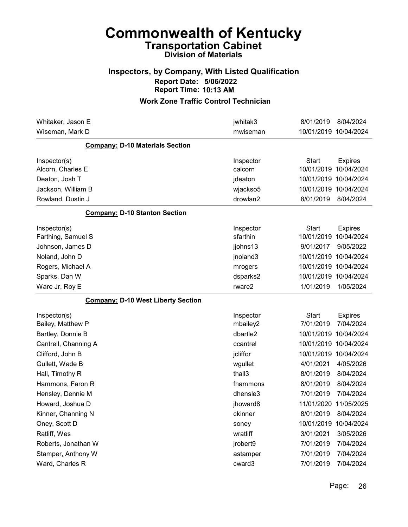### Inspectors, by Company, With Listed Qualification Report Date: 5/06/2022 Report Time: 10:13 AM

| Whitaker, Jason E                         | jwhitak3  | 8/01/2019             | 8/04/2024             |
|-------------------------------------------|-----------|-----------------------|-----------------------|
| Wiseman, Mark D                           | mwiseman  | 10/01/2019 10/04/2024 |                       |
| <b>Company: D-10 Materials Section</b>    |           |                       |                       |
| Inspector(s)                              | Inspector | <b>Start</b>          | <b>Expires</b>        |
| Alcorn, Charles E                         | calcorn   | 10/01/2019            | 10/04/2024            |
| Deaton, Josh T                            | jdeaton   | 10/01/2019 10/04/2024 |                       |
| Jackson, William B                        | wjackso5  | 10/01/2019 10/04/2024 |                       |
| Rowland, Dustin J                         | drowlan2  | 8/01/2019             | 8/04/2024             |
| <b>Company: D-10 Stanton Section</b>      |           |                       |                       |
| Inspector(s)                              | Inspector | <b>Start</b>          | <b>Expires</b>        |
| Farthing, Samuel S                        | sfarthin  | 10/01/2019            | 10/04/2024            |
| Johnson, James D                          | jjohns13  | 9/01/2017             | 9/05/2022             |
| Noland, John D                            | jnoland3  | 10/01/2019 10/04/2024 |                       |
| Rogers, Michael A                         | mrogers   | 10/01/2019 10/04/2024 |                       |
| Sparks, Dan W                             | dsparks2  | 10/01/2019 10/04/2024 |                       |
| Ware Jr, Roy E                            | rware2    | 1/01/2019             | 1/05/2024             |
| <b>Company: D-10 West Liberty Section</b> |           |                       |                       |
| Inspector(s)                              | Inspector | <b>Start</b>          | <b>Expires</b>        |
| Bailey, Matthew P                         | mbailey2  | 7/01/2019             | 7/04/2024             |
| Bartley, Donnie B                         | dbartle2  | 10/01/2019 10/04/2024 |                       |
| Cantrell, Channing A                      | ccantrel  | 10/01/2019 10/04/2024 |                       |
| Clifford, John B                          | jcliffor  | 10/01/2019 10/04/2024 |                       |
| Gullett, Wade B                           | wgullet   | 4/01/2021             | 4/05/2026             |
| Hall, Timothy R                           | thall3    | 8/01/2019             | 8/04/2024             |
| Hammons, Faron R                          | fhammons  | 8/01/2019             | 8/04/2024             |
| Hensley, Dennie M                         | dhensle3  | 7/01/2019             | 7/04/2024             |
| Howard, Joshua D                          | jhoward8  |                       | 11/01/2020 11/05/2025 |
| Kinner, Channing N                        | ckinner   | 8/01/2019             | 8/04/2024             |
| Oney, Scott D                             | soney     | 10/01/2019            | 10/04/2024            |
| Ratliff, Wes                              | wratliff  | 3/01/2021             | 3/05/2026             |
| Roberts, Jonathan W                       | jrobert9  | 7/01/2019             | 7/04/2024             |
| Stamper, Anthony W                        | astamper  | 7/01/2019             | 7/04/2024             |
| Ward, Charles R                           | cward3    | 7/01/2019             | 7/04/2024             |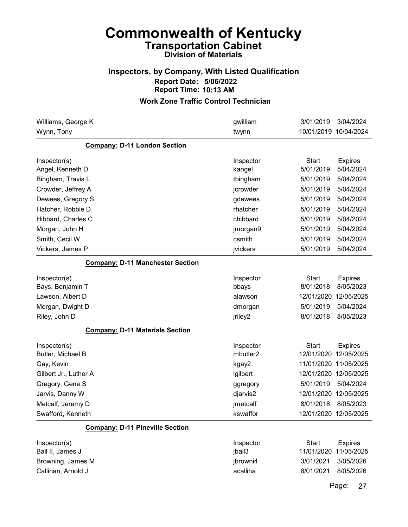### Inspectors, by Company, With Listed Qualification Report Date: 5/06/2022 Report Time: 10:13 AM

| Williams, George K                      | gwilliam  | 3/01/2019             | 3/04/2024      |
|-----------------------------------------|-----------|-----------------------|----------------|
| Wynn, Tony                              | twynn     | 10/01/2019 10/04/2024 |                |
| <b>Company: D-11 London Section</b>     |           |                       |                |
| Inspector(s)                            | Inspector | <b>Start</b>          | <b>Expires</b> |
| Angel, Kenneth D                        | kangel    | 5/01/2019             | 5/04/2024      |
| Bingham, Travis L                       | tbingham  | 5/01/2019             | 5/04/2024      |
| Crowder, Jeffrey A                      | jcrowder  | 5/01/2019             | 5/04/2024      |
| Dewees, Gregory S                       | gdewees   | 5/01/2019             | 5/04/2024      |
| Hatcher, Robbie D                       | rhatcher  | 5/01/2019             | 5/04/2024      |
| Hibbard, Charles C                      | chibbard  | 5/01/2019             | 5/04/2024      |
| Morgan, John H                          | jmorgan9  | 5/01/2019             | 5/04/2024      |
| Smith, Cecil W                          | csmith    | 5/01/2019             | 5/04/2024      |
| Vickers, James P                        | jvickers  | 5/01/2019             | 5/04/2024      |
| <b>Company: D-11 Manchester Section</b> |           |                       |                |
| Inspector(s)                            | Inspector | <b>Start</b>          | <b>Expires</b> |
| Bays, Benjamin T                        | bbays     | 8/01/2018             | 8/05/2023      |
| Lawson, Albert D                        | alawson   | 12/01/2020            | 12/05/2025     |
| Morgan, Dwight D                        | dmorgan   | 5/01/2019             | 5/04/2024      |
| Riley, John D                           | jriley2   | 8/01/2018             | 8/05/2023      |
| <b>Company: D-11 Materials Section</b>  |           |                       |                |
| Inspector(s)                            | Inspector | <b>Start</b>          | <b>Expires</b> |
| Butler, Michael B                       | mbutler2  | 12/01/2020            | 12/05/2025     |
| Gay, Kevin                              | kgay2     | 11/01/2020 11/05/2025 |                |
| Gilbert Jr., Luther A                   | Igilbert  | 12/01/2020 12/05/2025 |                |
| Gregory, Gene S                         | ggregory  | 5/01/2019             | 5/04/2024      |
| Jarvis, Danny W                         | djarvis2  | 12/01/2020            | 12/05/2025     |
| Metcalf, Jeremy D                       | jmetcalf  | 8/01/2018             | 8/05/2023      |
| Swafford, Kenneth                       | kswaffor  | 12/01/2020 12/05/2025 |                |
| <b>Company: D-11 Pineville Section</b>  |           |                       |                |
| Inspector(s)                            | Inspector | <b>Start</b>          | <b>Expires</b> |
| Ball II, James J                        | jball3    | 11/01/2020            | 11/05/2025     |
| Browning, James M                       | jbrowni4  | 3/01/2021             | 3/05/2026      |
| Callihan, Arnold J                      | acalliha  | 8/01/2021             | 8/05/2026      |
|                                         |           |                       |                |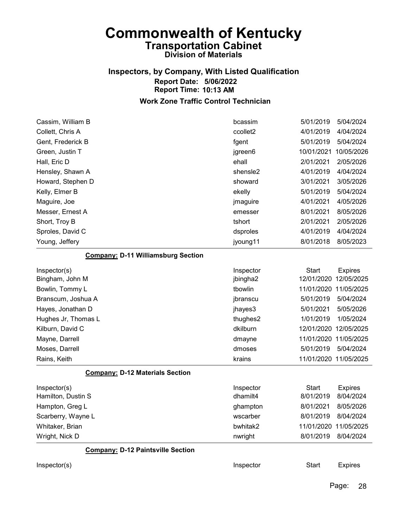## Inspectors, by Company, With Listed Qualification Report Date: 5/06/2022 Report Time: 10:13 AM

| Cassim, William B                         | bcassim   | 5/01/2019           | 5/04/2024             |
|-------------------------------------------|-----------|---------------------|-----------------------|
| Collett, Chris A                          | ccollet2  | 4/01/2019           | 4/04/2024             |
| Gent, Frederick B                         | fgent     | 5/01/2019           | 5/04/2024             |
| Green, Justin T                           | jgreen6   | 10/01/2021          | 10/05/2026            |
| Hall, Eric D                              | ehall     | 2/01/2021           | 2/05/2026             |
| Hensley, Shawn A                          | shensle2  | 4/01/2019           | 4/04/2024             |
| Howard, Stephen D                         | showard   | 3/01/2021           | 3/05/2026             |
| Kelly, Elmer B                            | ekelly    | 5/01/2019           | 5/04/2024             |
| Maguire, Joe                              | jmaguire  | 4/01/2021           | 4/05/2026             |
| Messer, Ernest A                          | emesser   | 8/01/2021           | 8/05/2026             |
| Short, Troy B                             | tshort    | 2/01/2021           | 2/05/2026             |
| Sproles, David C                          | dsproles  | 4/01/2019           | 4/04/2024             |
| Young, Jeffery                            | jyoung11  | 8/01/2018           | 8/05/2023             |
| <b>Company: D-11 Williamsburg Section</b> |           |                     |                       |
| Inspector(s)                              | Inspector | <b>Start</b>        | <b>Expires</b>        |
| Bingham, John M                           | jbingha2  | 12/01/2020          | 12/05/2025            |
| Bowlin, Tommy L                           | tbowlin   | 11/01/2020          | 11/05/2025            |
| Branscum, Joshua A                        | jbranscu  | 5/01/2019           | 5/04/2024             |
| Hayes, Jonathan D                         | jhayes3   | 5/01/2021           | 5/05/2026             |
| Hughes Jr, Thomas L                       | thughes2  | 1/01/2019           | 1/05/2024             |
| Kilburn, David C                          | dkilburn  | 12/01/2020          | 12/05/2025            |
| Mayne, Darrell                            | dmayne    | 11/01/2020          | 11/05/2025            |
| Moses, Darrell                            | dmoses    | 5/01/2019           | 5/04/2024             |
| Rains, Keith                              | krains    |                     | 11/01/2020 11/05/2025 |
| <b>Company: D-12 Materials Section</b>    |           |                     |                       |
| Inspector(s)                              | Inspector | <b>Start</b>        | <b>Expires</b>        |
| Hamilton, Dustin S                        | dhamilt4  | 8/01/2019           | 8/04/2024             |
| Hampton, Greg L                           | ghampton  | 8/01/2021           | 8/05/2026             |
| Scarberry, Wayne L                        | wscarber  | 8/01/2019 8/04/2024 |                       |
| Whitaker, Brian                           | bwhitak2  |                     | 11/01/2020 11/05/2025 |
| Wright, Nick D                            | nwright   | 8/01/2019           | 8/04/2024             |
| <b>Company: D-12 Paintsville Section</b>  |           |                     |                       |
| Inspector(s)                              | Inspector | <b>Start</b>        | <b>Expires</b>        |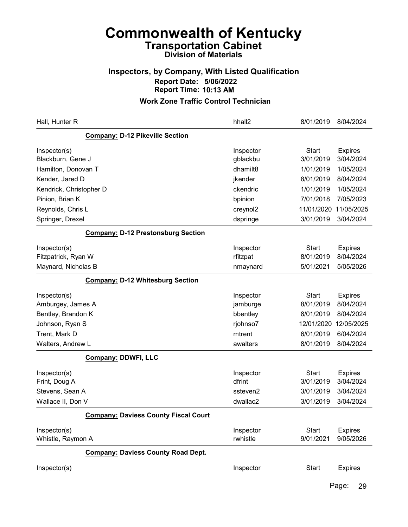### Inspectors, by Company, With Listed Qualification Report Date: 5/06/2022 Report Time: 10:13 AM

| Hall, Hunter R                              | hhall2                | 8/01/2019                 | 8/04/2024                   |
|---------------------------------------------|-----------------------|---------------------------|-----------------------------|
| <b>Company: D-12 Pikeville Section</b>      |                       |                           |                             |
| Inspector(s)<br>Blackburn, Gene J           | Inspector<br>gblackbu | <b>Start</b><br>3/01/2019 | <b>Expires</b><br>3/04/2024 |
| Hamilton, Donovan T                         | dhamilt8              | 1/01/2019                 | 1/05/2024                   |
| Kender, Jared D                             | jkender               | 8/01/2019                 | 8/04/2024                   |
| Kendrick, Christopher D                     | ckendric              | 1/01/2019                 | 1/05/2024                   |
| Pinion, Brian K                             | bpinion               | 7/01/2018                 | 7/05/2023                   |
| Reynolds, Chris L                           | creynol2              | 11/01/2020                | 11/05/2025                  |
| Springer, Drexel                            | dspringe              | 3/01/2019                 | 3/04/2024                   |
| <b>Company: D-12 Prestonsburg Section</b>   |                       |                           |                             |
| Inspector(s)                                | Inspector             | <b>Start</b>              | <b>Expires</b>              |
| Fitzpatrick, Ryan W                         | rfitzpat              | 8/01/2019                 | 8/04/2024                   |
| Maynard, Nicholas B                         | nmaynard              | 5/01/2021                 | 5/05/2026                   |
| <b>Company: D-12 Whitesburg Section</b>     |                       |                           |                             |
| Inspector(s)                                | Inspector             | <b>Start</b>              | <b>Expires</b>              |
| Amburgey, James A                           | jamburge              | 8/01/2019                 | 8/04/2024                   |
| Bentley, Brandon K                          | bbentley              | 8/01/2019                 | 8/04/2024                   |
| Johnson, Ryan S                             | rjohnso7              | 12/01/2020                | 12/05/2025                  |
| Trent, Mark D                               | mtrent                | 6/01/2019                 | 6/04/2024                   |
| Walters, Andrew L                           | awalters              | 8/01/2019                 | 8/04/2024                   |
| <b>Company: DDWFI, LLC</b>                  |                       |                           |                             |
| Inspector(s)<br>Frint, Doug A               | Inspector<br>dfrint   | <b>Start</b><br>3/01/2019 | <b>Expires</b><br>3/04/2024 |
| Stevens, Sean A                             | ssteven2              | 3/01/2019                 | 3/04/2024                   |
| Wallace II, Don V                           | dwallac2              | 3/01/2019                 | 3/04/2024                   |
| <b>Company: Daviess County Fiscal Court</b> |                       |                           |                             |
| Inspector(s)                                | Inspector             | <b>Start</b>              | <b>Expires</b>              |
| Whistle, Raymon A                           | rwhistle              | 9/01/2021                 | 9/05/2026                   |
| <b>Company: Daviess County Road Dept.</b>   |                       |                           |                             |
| Inspector(s)                                | Inspector             | <b>Start</b>              | <b>Expires</b>              |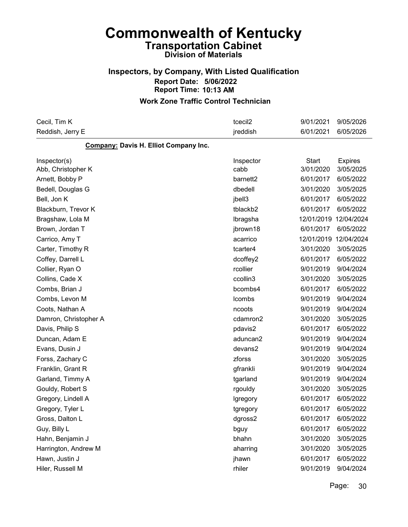### Inspectors, by Company, With Listed Qualification Report Date: 5/06/2022 Report Time: 10:13 AM

#### Work Zone Traffic Control Technician

| Cecil, Tim K                          | tcecil2              | 9/01/2021    | 9/05/2026      |
|---------------------------------------|----------------------|--------------|----------------|
| Reddish, Jerry E                      | jreddish             | 6/01/2021    | 6/05/2026      |
| Company: Davis H. Elliot Company Inc. |                      |              |                |
| Inspector(s)                          | Inspector            | <b>Start</b> | <b>Expires</b> |
| Abb, Christopher K                    | cabb                 | 3/01/2020    | 3/05/2025      |
| Arnett, Bobby P                       | barnett <sub>2</sub> | 6/01/2017    | 6/05/2022      |
| Bedell, Douglas G                     | dbedell              | 3/01/2020    | 3/05/2025      |
| Bell, Jon K                           | jbell3               | 6/01/2017    | 6/05/2022      |
| Blackburn, Trevor K                   | tblackb2             | 6/01/2017    | 6/05/2022      |
| Bragshaw, Lola M                      | Ibragsha             | 12/01/2019   | 12/04/2024     |
| Brown, Jordan T                       | jbrown18             | 6/01/2017    | 6/05/2022      |
| Carrico, Amy T                        | acarrico             | 12/01/2019   | 12/04/2024     |
| Carter, Timothy R                     | tcarter4             | 3/01/2020    | 3/05/2025      |
| Coffey, Darrell L                     | dcoffey2             | 6/01/2017    | 6/05/2022      |
| Collier, Ryan O                       | rcollier             | 9/01/2019    | 9/04/2024      |
| Collins, Cade X                       | ccollin3             | 3/01/2020    | 3/05/2025      |
| Combs, Brian J                        | bcombs4              | 6/01/2017    | 6/05/2022      |
| Combs, Levon M                        | <b>Icombs</b>        | 9/01/2019    | 9/04/2024      |
| Coots, Nathan A                       | ncoots               | 9/01/2019    | 9/04/2024      |
| Damron, Christopher A                 | cdamron2             | 3/01/2020    | 3/05/2025      |
| Davis, Philip S                       | pdavis2              | 6/01/2017    | 6/05/2022      |
| Duncan, Adam E                        | aduncan2             | 9/01/2019    | 9/04/2024      |
| Evans, Dusin J                        | devans2              | 9/01/2019    | 9/04/2024      |
| Forss, Zachary C                      | zforss               | 3/01/2020    | 3/05/2025      |
| Franklin, Grant R                     | gfrankli             | 9/01/2019    | 9/04/2024      |
| Garland, Timmy A                      | tgarland             | 9/01/2019    | 9/04/2024      |
| Gouldy, Robert S                      | rgouldy              | 3/01/2020    | 3/05/2025      |
| Gregory, Lindell A                    | Igregory             | 6/01/2017    | 6/05/2022      |
| Gregory, Tyler L                      | tgregory             | 6/01/2017    | 6/05/2022      |
| Gross, Dalton L                       | dgross2              | 6/01/2017    | 6/05/2022      |
| Guy, Billy L                          | bguy                 | 6/01/2017    | 6/05/2022      |
| Hahn, Benjamin J                      | bhahn                | 3/01/2020    | 3/05/2025      |
| Harrington, Andrew M                  | aharring             | 3/01/2020    | 3/05/2025      |
| Hawn, Justin J                        | jhawn                | 6/01/2017    | 6/05/2022      |
| Hiler, Russell M                      | rhiler               | 9/01/2019    | 9/04/2024      |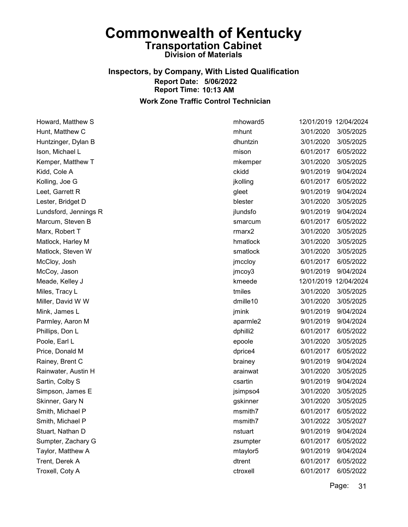#### Inspectors, by Company, With Listed Qualification Report Date: 5/06/2022 Report Time: 10:13 AM Work Zone Traffic Control Technician

Howard, Matthew S mhoward5 12/01/2019 12/04/2024 Hunt, Matthew C mhunt 3/01/2020 3/05/2025 Huntzinger, Dylan B dhuntzin 3/01/2020 3/05/2025 Ison, Michael L mison 6/01/2017 6/05/2022 Kemper, Matthew T **Matthew T** and the matter of the matter of the matter of the matter of the matter of the matter of the matter of the matter of the matter of the matter of the matter of the matter of the matter of the ma Kidd, Cole A ckidd 9/01/2019 9/04/2024 Kolling, Joe G is a control of the control of the set of the set of the intervals of the intervals of the interval of the intervals of the intervals of the intervals of the intervals of the intervals of the intervals of th Leet, Garrett R gleet 9/01/2019 9/04/2024 Lester, Bridget D blester 3/01/2020 3/05/2025 Lundsford, Jennings R jlundsfo 9/01/2019 9/04/2024 Marcum, Steven B smarcum 6/01/2017 6/05/2022 Marx, Robert T rmarx2 3/01/2020 3/05/2025 Matlock, Harley M hmatlock 3/01/2020 3/05/2025 Matlock, Steven W smatlock 3/01/2020 3/05/2025 McCloy, Josh jmccloy 6/01/2017 6/05/2022 McCoy, Jason jmcoy3 9/01/2019 9/04/2024 Meade, Kelley J **Meade**, Kelley J **Kmeede** 22/01/2019 12/04/2024 Miles, Tracy L tmiles 3/01/2020 3/05/2025 Miller, David W W dmille10 3/01/2020 3/05/2025 Mink, James L jmink 9/01/2019 9/04/2024 Parmley, Aaron M aparmle2 9/01/2019 9/04/2024 Phillips, Don L dphilli2 6/01/2017 6/05/2022 Poole, Earl L epoole 3/01/2020 3/05/2025 Price, Donald M dprice4 6/01/2017 6/05/2022 Rainey, Brent C brainey 9/01/2019 9/04/2024 Rainwater, Austin H arainwat 3/01/2020 3/05/2025 Sartin, Colby S csartin 9/01/2019 9/04/2024 Simpson, James E jsimpso4 3/01/2020 3/05/2025 Skinner, Gary N gskinner 3/01/2020 3/05/2025 Smith, Michael P msmith7 6/01/2017 6/05/2022 Smith, Michael P msmith7 3/01/2022 3/05/2027 Stuart, Nathan D nstuart 9/01/2019 9/04/2024 Sumpter, Zachary G zsumpter 6/01/2017 6/05/2022 Taylor, Matthew A mtaylor5 9/01/2019 9/04/2024 Trent, Derek A dtrent 6/01/2017 6/05/2022 Troxell, Coty A ctroxell 6/01/2017 6/05/2022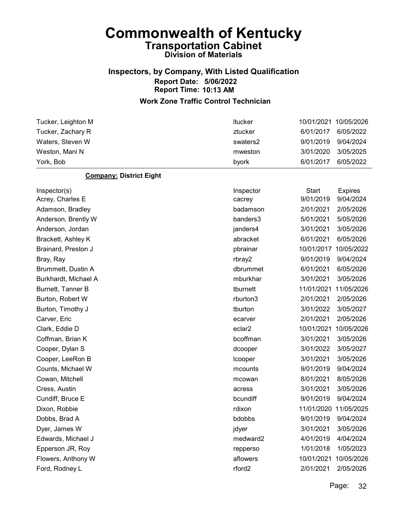### Inspectors, by Company, With Listed Qualification Report Date: 5/06/2022 Report Time: 10:13 AM

#### Work Zone Traffic Control Technician

| Tucker, Leighton M             | Itucker   | 10/01/2021   | 10/05/2026            |
|--------------------------------|-----------|--------------|-----------------------|
| Tucker, Zachary R              | ztucker   | 6/01/2017    | 6/05/2022             |
| Waters, Steven W               | swaters2  | 9/01/2019    | 9/04/2024             |
| Weston, Mani N                 | mweston   | 3/01/2020    | 3/05/2025             |
| York, Bob                      | byork     | 6/01/2017    | 6/05/2022             |
| <b>Company: District Eight</b> |           |              |                       |
| Inspector(s)                   | Inspector | <b>Start</b> | <b>Expires</b>        |
| Acrey, Charles E               | cacrey    | 9/01/2019    | 9/04/2024             |
| Adamson, Bradley               | badamson  | 2/01/2021    | 2/05/2026             |
| Anderson, Brently W            | banders3  | 5/01/2021    | 5/05/2026             |
| Anderson, Jordan               | janders4  | 3/01/2021    | 3/05/2026             |
| Brackett, Ashley K             | abracket  | 6/01/2021    | 6/05/2026             |
| Brainard, Preston J            | pbrainar  | 10/01/2017   | 10/05/2022            |
| Bray, Ray                      | rbray2    | 9/01/2019    | 9/04/2024             |
| Brummett, Dustin A             | dbrummet  | 6/01/2021    | 6/05/2026             |
| Burkhardt, Michael A           | mburkhar  | 3/01/2021    | 3/05/2026             |
| Burnett, Tanner B              | tburnett  | 11/01/2021   | 11/05/2026            |
| Burton, Robert W               | rburton3  | 2/01/2021    | 2/05/2026             |
| Burton, Timothy J              | tburton   | 3/01/2022    | 3/05/2027             |
| Carver, Eric                   | ecarver   | 2/01/2021    | 2/05/2026             |
| Clark, Eddie D                 | eclar2    | 10/01/2021   | 10/05/2026            |
| Coffman, Brian K               | bcoffman  | 3/01/2021    | 3/05/2026             |
| Cooper, Dylan S                | dcooper   | 3/01/2022    | 3/05/2027             |
| Cooper, LeeRon B               | Icooper   | 3/01/2021    | 3/05/2026             |
| Counts, Michael W              | mcounts   | 9/01/2019    | 9/04/2024             |
| Cowan, Mitchell                | mcowan    | 8/01/2021    | 8/05/2026             |
| Cress, Austin                  | acress    | 3/01/2021    | 3/05/2026             |
| Cundiff, Bruce E               | bcundiff  | 9/01/2019    | 9/04/2024             |
| Dixon, Robbie                  | rdixon    |              | 11/01/2020 11/05/2025 |
| Dobbs, Brad A                  | bdobbs    | 9/01/2019    | 9/04/2024             |
| Dyer, James W                  | jdyer     | 3/01/2021    | 3/05/2026             |

Edwards, Michael J medward2 4/01/2019 4/04/2024 Epperson JR, Roy **Example 2018** repperso 1/01/2018 1/05/2023 Flowers, Anthony W aflowers 10/01/2021 10/05/2026

Ford, Rodney L rford2 2/01/2021 2/05/2026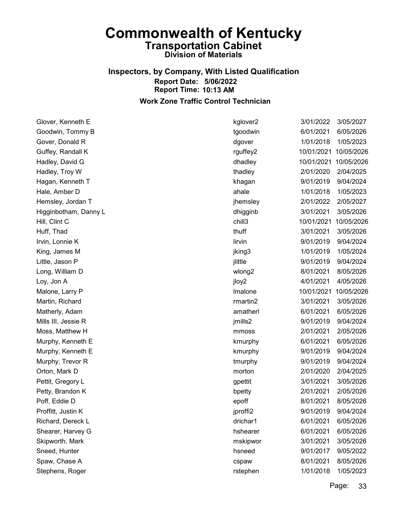#### Inspectors, by Company, With Listed Qualification Report Date: 5/06/2022 Report Time: 10:13 AM Work Zone Traffic Control Technician

Glover, Kenneth E kglover2 3/01/2022 3/05/2027 Goodwin, Tommy B tgoodwin 6/01/2021 6/05/2026 Gover, Donald R dgover 1/01/2018 1/05/2023 Guffey, Randall K rguffey2 10/01/2021 10/05/2026 Hadley, David G dhadley 10/01/2021 10/05/2026 Hadley, Troy W thadley 2/01/2020 2/04/2025 Hagan, Kenneth T khagan 9/01/2019 9/04/2024 Hale, Amber D ahale 1/01/2018 1/05/2023 Hemsley, Jordan T jhemsley 2/01/2022 2/05/2027 Higginbotham, Danny L dhigginb 3/01/2021 3/05/2026 Hill, Clint C chill3 10/01/2021 10/05/2026 Huff, Thad thuff 3/01/2021 3/05/2026 Irvin, Lonnie K lirvin 9/01/2019 9/04/2024 King, James M jking3 1/01/2019 1/05/2024 Little, Jason P **illuminum P** just be example to the property of  $\frac{1}{2}$  in the  $\frac{1}{2}$  g/01/2019 9/04/2024 Long, William D wlong2 8/01/2021 8/05/2026 Loy, Jon A jloy2 4/01/2021 4/05/2026 Malone, Larry P **lmalone** 10/01/2021 10/05/2026 Martin, Richard rmartin2 3/01/2021 3/05/2026 Matherly, Adam **amatherl 6/01/2021** 6/05/2026 Mills III, Jessie R jmills2 9/01/2019 9/04/2024 Moss, Matthew H mmoss 2/01/2021 2/05/2026 Murphy, Kenneth E **Kmurphy 6/01/2021** 6/05/2026 Murphy, Kenneth E kmurphy 9/01/2019 9/04/2024 Murphy, Trevor R tmurphy 9/01/2019 9/04/2024 Orton, Mark D morton 2/01/2020 2/04/2025 Pettit, Gregory L gpettit 3/01/2021 3/05/2026 Petty, Brandon K bpetty 2/01/2021 2/05/2026 Poff, Eddie D epoff 8/01/2021 8/05/2026 Proffitt, Justin K jproffi2 9/01/2019 9/04/2024 Richard, Dereck L drichar1 6/01/2021 6/05/2026 Shearer, Harvey G hshearer 6/01/2021 6/05/2026 Skipworth, Mark mskipwor 3/01/2021 3/05/2026 Sneed, Hunter hsneed 9/01/2017 9/05/2022 Spaw, Chase A cspaw 8/01/2021 8/05/2026 Stephens, Roger rstephen 1/01/2018 1/05/2023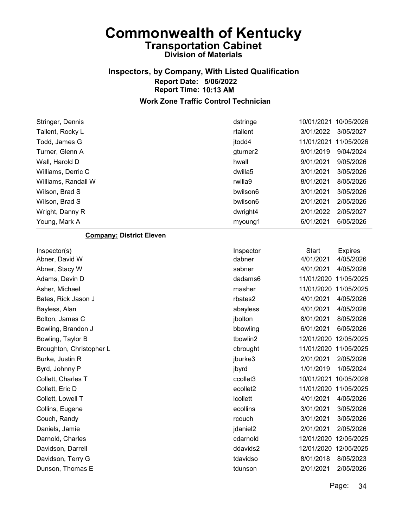## Inspectors, by Company, With Listed Qualification Report Date: 5/06/2022 Report Time: 10:13 AM

| Stringer, Dennis                | dstringe        | 10/01/2021            | 10/05/2026     |
|---------------------------------|-----------------|-----------------------|----------------|
| Tallent, Rocky L                | rtallent        | 3/01/2022             | 3/05/2027      |
| Todd, James G                   | jtodd4          | 11/01/2021            | 11/05/2026     |
| Turner, Glenn A                 | gturner2        | 9/01/2019             | 9/04/2024      |
| Wall, Harold D                  | hwall           | 9/01/2021             | 9/05/2026      |
| Williams, Derric C              | dwilla5         | 3/01/2021             | 3/05/2026      |
| Williams, Randall W             | rwilla9         | 8/01/2021             | 8/05/2026      |
| Wilson, Brad S                  | bwilson6        | 3/01/2021             | 3/05/2026      |
| Wilson, Brad S                  | bwilson6        | 2/01/2021             | 2/05/2026      |
| Wright, Danny R                 | dwright4        | 2/01/2022             | 2/05/2027      |
| Young, Mark A                   | myoung1         | 6/01/2021             | 6/05/2026      |
| <b>Company: District Eleven</b> |                 |                       |                |
| Inspector(s)                    | Inspector       | <b>Start</b>          | <b>Expires</b> |
| Abner, David W                  | dabner          | 4/01/2021             | 4/05/2026      |
| Abner, Stacy W                  | sabner          | 4/01/2021             | 4/05/2026      |
| Adams, Devin D                  | dadams6         | 11/01/2020            | 11/05/2025     |
| Asher, Michael                  | masher          | 11/01/2020 11/05/2025 |                |
| Bates, Rick Jason J             | rbates2         | 4/01/2021             | 4/05/2026      |
| Bayless, Alan                   | abayless        | 4/01/2021             | 4/05/2026      |
| Bolton, James C                 | jbolton         | 8/01/2021             | 8/05/2026      |
| Bowling, Brandon J              | bbowling        | 6/01/2021             | 6/05/2026      |
| Bowling, Taylor B               | tbowlin2        | 12/01/2020 12/05/2025 |                |
| Broughton, Christopher L        | cbrought        | 11/01/2020 11/05/2025 |                |
| Burke, Justin R                 | jburke3         | 2/01/2021             | 2/05/2026      |
| Byrd, Johnny P                  | jbyrd           | 1/01/2019             | 1/05/2024      |
| Collett, Charles T              | ccollet3        | 10/01/2021            | 10/05/2026     |
| Collett, Eric D                 | ecollet2        | 11/01/2020 11/05/2025 |                |
| Collett, Lowell T               | <b>Icollett</b> | 4/01/2021             | 4/05/2026      |
| Collins, Eugene                 | ecollins        | 3/01/2021             | 3/05/2026      |
| Couch, Randy                    | rcouch          | 3/01/2021             | 3/05/2026      |
| Daniels, Jamie                  | jdaniel2        | 2/01/2021             | 2/05/2026      |
| Darnold, Charles                | cdarnold        | 12/01/2020 12/05/2025 |                |
| Davidson, Darrell               | ddavids2        | 12/01/2020 12/05/2025 |                |
| Davidson, Terry G               | tdavidso        | 8/01/2018             | 8/05/2023      |
| Dunson, Thomas E                | tdunson         | 2/01/2021             | 2/05/2026      |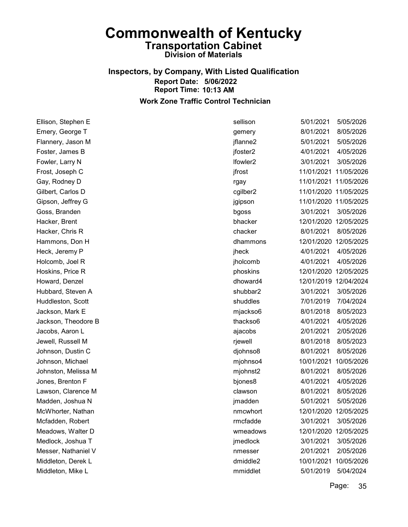#### Inspectors, by Company, With Listed Qualification Report Date: 5/06/2022 Report Time: 10:13 AM Work Zone Traffic Control Technician

| Ellison, Stephen E  | sellison             | 5/01/2021             | 5/05/2026  |
|---------------------|----------------------|-----------------------|------------|
| Emery, George T     | gemery               | 8/01/2021             | 8/05/2026  |
| Flannery, Jason M   | jflanne2             | 5/01/2021             | 5/05/2026  |
| Foster, James B     | jfoster2             | 4/01/2021             | 4/05/2026  |
| Fowler, Larry N     | Ifowler <sub>2</sub> | 3/01/2021             | 3/05/2026  |
| Frost, Joseph C     | jfrost               | 11/01/2021 11/05/2026 |            |
| Gay, Rodney D       | rgay                 | 11/01/2021 11/05/2026 |            |
| Gilbert, Carlos D   | cgilber2             | 11/01/2020 11/05/2025 |            |
| Gipson, Jeffrey G   | jgipson              | 11/01/2020 11/05/2025 |            |
| Goss, Branden       | bgoss                | 3/01/2021             | 3/05/2026  |
| Hacker, Brent       | bhacker              | 12/01/2020 12/05/2025 |            |
| Hacker, Chris R     | chacker              | 8/01/2021             | 8/05/2026  |
| Hammons, Don H      | dhammons             | 12/01/2020 12/05/2025 |            |
| Heck, Jeremy P      | jheck                | 4/01/2021             | 4/05/2026  |
| Holcomb, Joel R     | jholcomb             | 4/01/2021             | 4/05/2026  |
| Hoskins, Price R    | phoskins             | 12/01/2020 12/05/2025 |            |
| Howard, Denzel      | dhoward4             | 12/01/2019 12/04/2024 |            |
| Hubbard, Steven A   | shubbar2             | 3/01/2021             | 3/05/2026  |
| Huddleston, Scott   | shuddles             | 7/01/2019             | 7/04/2024  |
| Jackson, Mark E     | mjackso6             | 8/01/2018             | 8/05/2023  |
| Jackson, Theodore B | thackso6             | 4/01/2021             | 4/05/2026  |
| Jacobs, Aaron L     | ajacobs              | 2/01/2021             | 2/05/2026  |
| Jewell, Russell M   | rjewell              | 8/01/2018             | 8/05/2023  |
| Johnson, Dustin C   | djohnso8             | 8/01/2021             | 8/05/2026  |
| Johnson, Michael    | mjohnso4             | 10/01/2021            | 10/05/2026 |
| Johnston, Melissa M | mjohnst2             | 8/01/2021             | 8/05/2026  |
| Jones, Brenton F    | bjones8              | 4/01/2021             | 4/05/2026  |
| Lawson, Clarence M  | clawson              | 8/01/2021             | 8/05/2026  |
| Madden, Joshua N    | jmadden              | 5/01/2021             | 5/05/2026  |
| McWhorter, Nathan   | nmcwhort             | 12/01/2020 12/05/2025 |            |
| Mcfadden, Robert    | rmcfadde             | 3/01/2021             | 3/05/2026  |
| Meadows, Walter D   | wmeadows             | 12/01/2020            | 12/05/2025 |
| Medlock, Joshua T   | jmedlock             | 3/01/2021             | 3/05/2026  |
| Messer, Nathaniel V | nmesser              | 2/01/2021             | 2/05/2026  |
| Middleton, Derek L  | dmiddle2             | 10/01/2021            | 10/05/2026 |
| Middleton, Mike L   | mmiddlet             | 5/01/2019             | 5/04/2024  |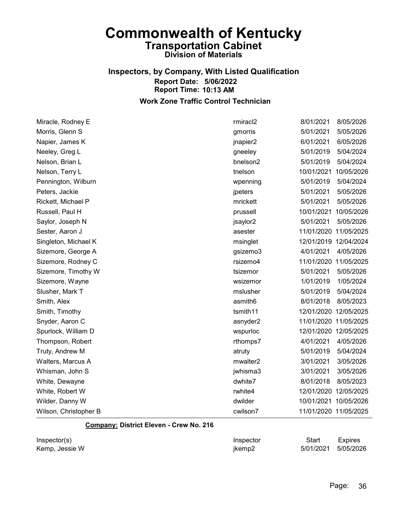#### Inspectors, by Company, With Listed Qualification Report Date: 5/06/2022 Report Time: 10:13 AM Work Zone Traffic Control Technician

Miracle, Rodney E rmiracl2 8/01/2021 8/05/2026 Morris, Glenn S gmorris 5/01/2021 5/05/2026 Napier, James K jnapier2 6/01/2021 6/05/2026 Neeley, Greg L Greg L gneeley 5/01/2019 5/04/2024 Nelson, Brian L bnelson2 5/01/2019 5/04/2024 Nelson, Terry L tnelson 10/01/2021 10/05/2026 Pennington, Wilburn wpenning 5/01/2019 5/04/2024 Peters, Jackie jpeters 5/01/2021 5/05/2026 Rickett, Michael P mrickett 5/01/2021 5/05/2026 Russell, Paul H prussell 10/01/2021 10/05/2026 Saylor, Joseph N jsaylor2 5/01/2021 5/05/2026 Sester, Aaron J asester 11/01/2020 11/05/2025 Singleton, Michael K **Michael K** msinglet 12/01/2019 12/04/2024 Sizemore, George A gsizemo3 4/01/2021 4/05/2026 Sizemore, Rodney C rsizemo4 11/01/2020 11/05/2025 Sizemore, Timothy W **the Contract of the Contract of the Contract of the Structure of the Structure of the Structure of the Structure of the Structure of the Structure of the Structure of the Structure of the Structure of** Sizemore, Wayne **Wayne 2008** Wayne wsizemor 2010 1/01/2019 1/05/2024 Slusher, Mark T mslusher 5/01/2019 5/04/2024 Smith, Alex asmith6 8/01/2018 8/05/2023 Smith, Timothy **the Contract of the Contract of the Contract of the Contract of the Contract of the Contract of the Contract of the Contract of the Contract of the Contract of the Contract of the Contract of the Contract o** Snyder, Aaron C asnyder2 11/01/2020 11/05/2025 Spurlock, William D wspurloc 12/01/2020 12/05/2025 Thompson, Robert rthomps7 4/01/2021 4/05/2026 Truty, Andrew M atruty 5/01/2019 5/04/2024 Walters, Marcus A mwalter2 3/01/2021 3/05/2026 Whisman, John S jwhisma3 3/01/2021 3/05/2026 White, Dewayne dwhite7 8/01/2018 8/05/2023 White, Robert W rwhite4 12/01/2020 12/05/2025 Wilder, Danny W dwilder 10/01/2021 10/05/2026 Wilson, Christopher B cwilson7 11/01/2020 11/05/2025

#### Company: District Eleven - Crew No. 216

| Inspector(s)   | Inspector | Start               | <b>Expires</b> |
|----------------|-----------|---------------------|----------------|
| Kemp, Jessie W | jkemp2    | 5/01/2021 5/05/2026 |                |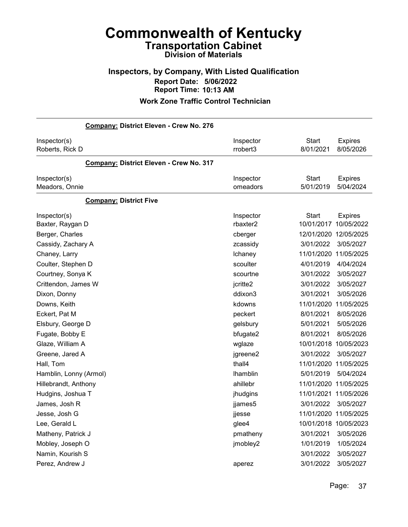### Inspectors, by Company, With Listed Qualification Report Date: 5/06/2022 Report Time: 10:13 AM

| Company: District Eleven - Crew No. 276 |                       |                                                            |
|-----------------------------------------|-----------------------|------------------------------------------------------------|
| Inspector(s)<br>Roberts, Rick D         | Inspector<br>rrobert3 | <b>Start</b><br><b>Expires</b><br>8/01/2021<br>8/05/2026   |
| Company: District Eleven - Crew No. 317 |                       |                                                            |
| Inspector(s)<br>Meadors, Onnie          | Inspector<br>omeadors | <b>Start</b><br><b>Expires</b><br>5/01/2019<br>5/04/2024   |
| <b>Company: District Five</b>           |                       |                                                            |
| Inspector(s)<br>Baxter, Raygan D        | Inspector<br>rbaxter2 | <b>Start</b><br><b>Expires</b><br>10/01/2017<br>10/05/2022 |
| Berger, Charles                         | cberger               | 12/01/2020<br>12/05/2025                                   |
| Cassidy, Zachary A                      | zcassidy              | 3/01/2022<br>3/05/2027                                     |
| Chaney, Larry                           | Ichaney               | 11/01/2020<br>11/05/2025                                   |
| Coulter, Stephen D                      | scoulter              | 4/01/2019<br>4/04/2024                                     |
| Courtney, Sonya K                       | scourtne              | 3/01/2022<br>3/05/2027                                     |
| Crittendon, James W                     | jcritte2              | 3/01/2022<br>3/05/2027                                     |
| Dixon, Donny                            | ddixon3               | 3/01/2021<br>3/05/2026                                     |
| Downs, Keith                            | kdowns                | 11/01/2020<br>11/05/2025                                   |
| Eckert, Pat M                           | peckert               | 8/01/2021<br>8/05/2026                                     |
| Elsbury, George D                       | gelsbury              | 5/01/2021<br>5/05/2026                                     |
| Fugate, Bobby E                         | bfugate2              | 8/01/2021<br>8/05/2026                                     |
| Glaze, William A                        | wglaze                | 10/01/2018<br>10/05/2023                                   |
| Greene, Jared A                         | jgreene2              | 3/01/2022<br>3/05/2027                                     |
| Hall, Tom                               | thall4                | 11/01/2020<br>11/05/2025                                   |
| Hamblin, Lonny (Armol)                  | <b>Ihamblin</b>       | 5/01/2019<br>5/04/2024                                     |
| Hillebrandt, Anthony                    | ahillebr              | 11/01/2020<br>11/05/2025                                   |
| Hudgins, Joshua T                       | jhudgins              | 11/01/2021<br>11/05/2026                                   |
| James, Josh R                           | jjames5               | 3/01/2022<br>3/05/2027                                     |
| Jesse, Josh G                           | ijesse                | 11/01/2020 11/05/2025                                      |
| Lee, Gerald L                           | glee4                 | 10/01/2018 10/05/2023                                      |
| Matheny, Patrick J                      | pmatheny              | 3/01/2021<br>3/05/2026                                     |
| Mobley, Joseph O                        | jmobley2              | 1/01/2019<br>1/05/2024                                     |
| Namin, Kourish S                        |                       | 3/01/2022<br>3/05/2027                                     |
| Perez, Andrew J                         | aperez                | 3/01/2022<br>3/05/2027                                     |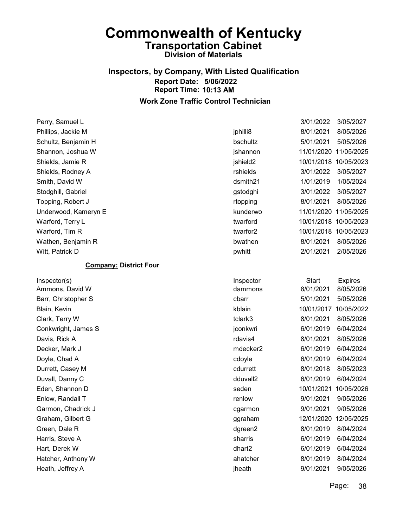### Inspectors, by Company, With Listed Qualification Report Date: 5/06/2022 Report Time: 10:13 AM Work Zone Traffic Control Technician

Perry, Samuel L<br>
3/01/2022 3/05/2027 Phillips, Jackie M jphilli8 8/01/2021 8/05/2026 Schultz, Benjamin H bschultz 5/01/2021 5/05/2026 Shannon, Joshua W jshannon 11/01/2020 11/05/2025 Shields, Jamie R jshield2 10/01/2018 10/05/2023 Shields, Rodney A rshields 3/01/2022 3/05/2027 Smith, David W dsmith21 1/01/2019 1/05/2024 Stodghill, Gabriel gstodghi 3/01/2022 3/05/2027 Topping, Robert J rtopping 8/01/2021 8/05/2026 Underwood, Kameryn E kunderwo 11/01/2020 11/05/2025 Warford, Terry L twarford 10/01/2018 10/05/2023 Warford, Tim R twarfor2 10/01/2018 10/05/2023 Wathen, Benjamin R bwathen 8/01/2021 8/05/2026 Witt, Patrick D pwhitt 2/01/2021 2/05/2026

#### Company: District Four

| Inspector(s)        | Inspector            | Start      | <b>Expires</b> |
|---------------------|----------------------|------------|----------------|
| Ammons, David W     | dammons              | 8/01/2021  | 8/05/2026      |
| Barr, Christopher S | cbarr                | 5/01/2021  | 5/05/2026      |
| Blain, Kevin        | kblain               | 10/01/2017 | 10/05/2022     |
| Clark, Terry W      | tclark3              | 8/01/2021  | 8/05/2026      |
| Conkwright, James S | jconkwri             | 6/01/2019  | 6/04/2024      |
| Davis, Rick A       | rdavis4              | 8/01/2021  | 8/05/2026      |
| Decker, Mark J      | mdecker <sub>2</sub> | 6/01/2019  | 6/04/2024      |
| Doyle, Chad A       | cdoyle               | 6/01/2019  | 6/04/2024      |
| Durrett, Casey M    | cdurrett             | 8/01/2018  | 8/05/2023      |
| Duvall, Danny C     | dduvall2             | 6/01/2019  | 6/04/2024      |
| Eden, Shannon D     | seden                | 10/01/2021 | 10/05/2026     |
| Enlow, Randall T    | renlow               | 9/01/2021  | 9/05/2026      |
| Garmon, Chadrick J  | cgarmon              | 9/01/2021  | 9/05/2026      |
| Graham, Gilbert G   | ggraham              | 12/01/2020 | 12/05/2025     |
| Green, Dale R       | dgreen2              | 8/01/2019  | 8/04/2024      |
| Harris, Steve A     | sharris              | 6/01/2019  | 6/04/2024      |
| Hart, Derek W       | dhart <sub>2</sub>   | 6/01/2019  | 6/04/2024      |
| Hatcher, Anthony W  | ahatcher             | 8/01/2019  | 8/04/2024      |
| Heath, Jeffrey A    | jheath               | 9/01/2021  | 9/05/2026      |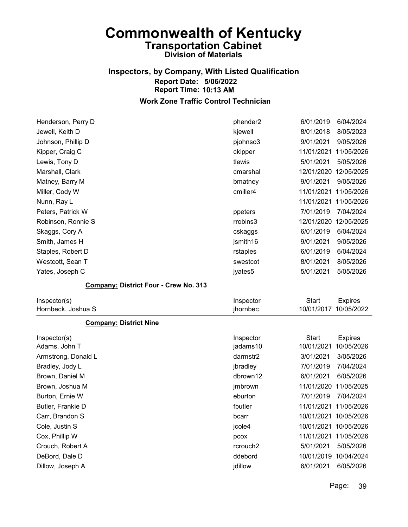# Inspectors, by Company, With Listed Qualification Report Date: 5/06/2022 Report Time: 10:13 AM

| Henderson, Perry D                    | phender2  | 6/01/2019    | 6/04/2024      |
|---------------------------------------|-----------|--------------|----------------|
| Jewell, Keith D                       | kjewell   | 8/01/2018    | 8/05/2023      |
| Johnson, Phillip D                    | pjohnso3  | 9/01/2021    | 9/05/2026      |
| Kipper, Craig C                       | ckipper   | 11/01/2021   | 11/05/2026     |
| Lewis, Tony D                         | tlewis    | 5/01/2021    | 5/05/2026      |
| Marshall, Clark                       | cmarshal  | 12/01/2020   | 12/05/2025     |
| Matney, Barry M                       | bmatney   | 9/01/2021    | 9/05/2026      |
| Miller, Cody W                        | cmiller4  | 11/01/2021   | 11/05/2026     |
| Nunn, Ray L                           |           | 11/01/2021   | 11/05/2026     |
| Peters, Patrick W                     | ppeters   | 7/01/2019    | 7/04/2024      |
| Robinson, Ronnie S                    | rrobins3  | 12/01/2020   | 12/05/2025     |
| Skaggs, Cory A                        | cskaggs   | 6/01/2019    | 6/04/2024      |
| Smith, James H                        | jsmith16  | 9/01/2021    | 9/05/2026      |
| Staples, Robert D                     | rstaples  | 6/01/2019    | 6/04/2024      |
| Westcott, Sean T                      | swestcot  | 8/01/2021    | 8/05/2026      |
| Yates, Joseph C                       | jyates5   | 5/01/2021    | 5/05/2026      |
| Company: District Four - Crew No. 313 |           |              |                |
| Inspector(s)                          | Inspector | <b>Start</b> | <b>Expires</b> |
| Hornbeck, Joshua S                    | jhornbec  | 10/01/2017   | 10/05/2022     |
| <b>Company: District Nine</b>         |           |              |                |
| Inspector(s)                          | Inspector | <b>Start</b> | <b>Expires</b> |
| Adams, John T                         | jadams10  | 10/01/2021   | 10/05/2026     |
| Armstrong, Donald L                   | darmstr2  | 3/01/2021    | 3/05/2026      |
| Bradley, Jody L                       | jbradley  | 7/01/2019    | 7/04/2024      |
| Brown, Daniel M                       | dbrown12  | 6/01/2021    | 6/05/2026      |

| Brown, Daniel M   | dbrown12             | 6/01/2021<br>6/05/2026   |
|-------------------|----------------------|--------------------------|
| Brown, Joshua M   | jmbrown              | 11/01/2020 11/05/2025    |
| Burton, Ernie W   | eburton              | 7/04/2024<br>7/01/2019   |
| Butler, Frankie D | fbutler              | 11/01/2021 11/05/2026    |
| Carr, Brandon S   | bcarr                | 10/01/2021 10/05/2026    |
| Cole, Justin S    | jcole4               | 10/01/2021 10/05/2026    |
| Cox, Phillip W    | pcox                 | 11/01/2021 11/05/2026    |
| Crouch, Robert A  | rcrouch <sub>2</sub> | 5/05/2026<br>5/01/2021   |
| DeBord, Dale D    | ddebord              | 10/01/2019<br>10/04/2024 |
| Dillow, Joseph A  | jdillow              | 6/05/2026<br>6/01/2021   |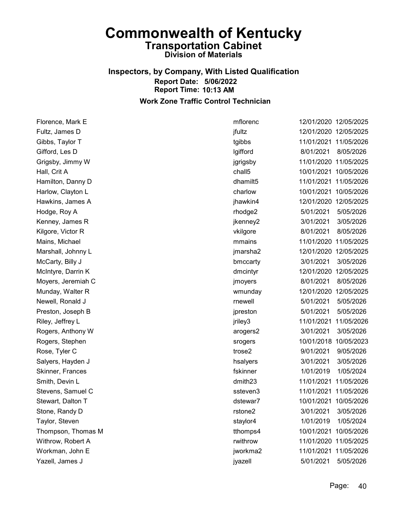### Inspectors, by Company, With Listed Qualification Report Date: 5/06/2022 Report Time: 10:13 AM Work Zone Traffic Control Technician

Florence, Mark E mflorenc 12/01/2020 12/05/2025 Fultz, James D jfultz 12/01/2020 12/05/2025 Gibbs, Taylor T tgibbs 11/01/2021 11/05/2026 Gifford, Les D lgifford 8/01/2021 8/05/2026 Grigsby, Jimmy W jgrigsby 11/01/2020 11/05/2025 Hall, Crit A chall5 10/01/2021 10/05/2026 Hamilton, Danny D dhamilt5 11/01/2021 11/05/2026 Harlow, Clayton L charlow 10/01/2021 10/05/2026 Hawkins, James A jhawkin4 12/01/2020 12/05/2025 Hodge, Roy A rhodge2 5/01/2021 5/05/2026 Kenney, James R jkenney2 3/01/2021 3/05/2026 Kilgore, Victor R vkilgore 8/01/2021 8/05/2026 Mains, Michael mmains 11/01/2020 11/05/2025 Marshall, Johnny L jmarsha2 12/01/2020 12/05/2025 McCarty, Billy J bmccarty 3/01/2021 3/05/2026 McIntyre, Darrin K dmcintyr 12/01/2020 12/05/2025 Moyers, Jeremiah C jmoyers 8/01/2021 8/05/2026 Munday, Walter R wmunday 12/01/2020 12/05/2025 Newell, Ronald J rnewell 5/01/2021 5/05/2026 Preston, Joseph B **interval and the set of the set of the set of the set of the set of the set of the set of the set of the set of the set of the set of the set of the set of the set of the set of the set of the set of the** Riley, Jeffrey L jriley3 11/01/2021 11/05/2026 Rogers, Anthony W arogers2 3/01/2021 3/05/2026 Rogers, Stephen srogers 10/01/2018 10/05/2023 Rose, Tyler C trose2 9/01/2021 9/05/2026 Salyers, Hayden J **have a struck and the set of the set of the set of the set of the set of the set of the set o** Skinner, Frances fskinner 1/01/2019 1/05/2024 Smith, Devin L dmith23 11/01/2021 11/05/2026 Stevens, Samuel C ssteven3 11/01/2021 11/05/2026 Stewart, Dalton T dstewar7 10/01/2021 10/05/2026 Stone, Randy D rstone2 3/01/2021 3/05/2026 Taylor, Steven staylor4 1/01/2019 1/05/2024 Thompson, Thomas M tthomps4 10/01/2021 10/05/2026 Withrow, Robert A rwithrow 11/01/2020 11/05/2025 Workman, John E jworkma2 11/01/2021 11/05/2026 Yazell, James J jyazell 5/01/2021 5/05/2026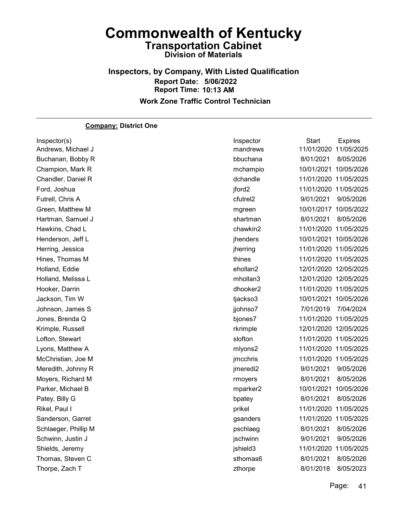Inspectors, by Company, With Listed Qualification Report Date: 5/06/2022 Report Time: 10:13 AM Work Zone Traffic Control Technician

#### Company: District One

| Inspector(s)         | Inspector            | Start                 | <b>Expires</b> |
|----------------------|----------------------|-----------------------|----------------|
| Andrews, Michael J   | mandrews             | 11/01/2020            | 11/05/2025     |
| Buchanan, Bobby R    | bbuchana             | 8/01/2021             | 8/05/2026      |
| Champion, Mark R     | mchampio             | 10/01/2021 10/05/2026 |                |
| Chandler, Daniel R   | dchandle             | 11/01/2020 11/05/2025 |                |
| Ford, Joshua         | jford <sub>2</sub>   | 11/01/2020 11/05/2025 |                |
| Futrell, Chris A     | cfutrel <sub>2</sub> | 9/01/2021             | 9/05/2026      |
| Green, Matthew M     | mgreen               | 10/01/2017 10/05/2022 |                |
| Hartman, Samuel J    | shartman             | 8/01/2021             | 8/05/2026      |
| Hawkins, Chad L      | chawkin2             | 11/01/2020 11/05/2025 |                |
| Henderson, Jeff L    | jhenders             | 10/01/2021 10/05/2026 |                |
| Herring, Jessica     | jherring             | 11/01/2020 11/05/2025 |                |
| Hines, Thomas M      | thines               | 11/01/2020 11/05/2025 |                |
| Holland, Eddie       | ehollan2             | 12/01/2020 12/05/2025 |                |
| Holland, Melissa L   | mhollan3             | 12/01/2020 12/05/2025 |                |
| Hooker, Darrin       | dhooker2             | 11/01/2020 11/05/2025 |                |
| Jackson, Tim W       | tjackso3             | 10/01/2021 10/05/2026 |                |
| Johnson, James S     | jjohnso7             | 7/01/2019             | 7/04/2024      |
| Jones, Brenda Q      | bjones7              | 11/01/2020 11/05/2025 |                |
| Krimple, Russell     | rkrimple             | 12/01/2020 12/05/2025 |                |
| Lofton, Stewart      | slofton              | 11/01/2020 11/05/2025 |                |
| Lyons, Matthew A     | mlyons2              | 11/01/2020 11/05/2025 |                |
| McChristian, Joe M   | jmcchris             | 11/01/2020 11/05/2025 |                |
| Meredith, Johnny R   | jmeredi2             | 9/01/2021             | 9/05/2026      |
| Moyers, Richard M    | rmoyers              | 8/01/2021             | 8/05/2026      |
| Parker, Michael B    | mparker2             | 10/01/2021            | 10/05/2026     |
| Patey, Billy G       | bpatey               | 8/01/2021             | 8/05/2026      |
| Rikel, Paul I        | prikel               | 11/01/2020 11/05/2025 |                |
| Sanderson, Garret    | gsanders             | 11/01/2020 11/05/2025 |                |
| Schlaeger, Phillip M | pschlaeg             | 8/01/2021             | 8/05/2026      |
| Schwinn, Justin J    | jschwinn             | 9/01/2021             | 9/05/2026      |
| Shields, Jeremy      | jshield3             | 11/01/2020            | 11/05/2025     |
| Thomas, Steven C     | sthomas6             | 8/01/2021             | 8/05/2026      |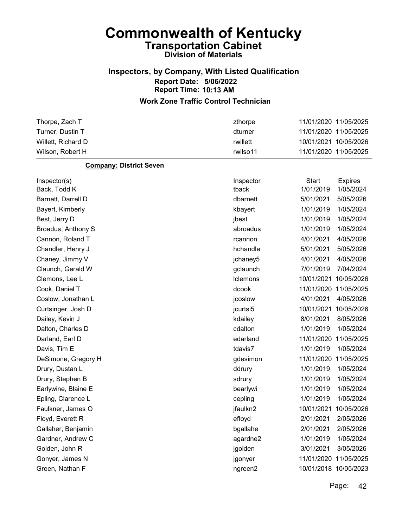### Inspectors, by Company, With Listed Qualification Report Date: 5/06/2022 Report Time: 10:13 AM

#### Work Zone Traffic Control Technician

| Thorpe, Zach T     | zthorpe  | 11/01/2020 11/05/2025 |  |
|--------------------|----------|-----------------------|--|
| Turner. Dustin T   | dturner  | 11/01/2020 11/05/2025 |  |
| Willett. Richard D | rwillett | 10/01/2021 10/05/2026 |  |
| Wilson, Robert H   | rwilso11 | 11/01/2020 11/05/2025 |  |

#### Company: District Seven

| Inspector(s)        | Inspector | <b>Start</b> | <b>Expires</b>        |
|---------------------|-----------|--------------|-----------------------|
| Back, Todd K        | tback     | 1/01/2019    | 1/05/2024             |
| Barnett, Darrell D  | dbarnett  | 5/01/2021    | 5/05/2026             |
| Bayert, Kimberly    | kbayert   | 1/01/2019    | 1/05/2024             |
| Best, Jerry D       | jbest     | 1/01/2019    | 1/05/2024             |
| Broadus, Anthony S  | abroadus  | 1/01/2019    | 1/05/2024             |
| Cannon, Roland T    | rcannon   | 4/01/2021    | 4/05/2026             |
| Chandler, Henry J   | hchandle  | 5/01/2021    | 5/05/2026             |
| Chaney, Jimmy V     | jchaney5  | 4/01/2021    | 4/05/2026             |
| Claunch, Gerald W   | gclaunch  | 7/01/2019    | 7/04/2024             |
| Clemons, Lee L      | Iclemons  | 10/01/2021   | 10/05/2026            |
| Cook, Daniel T      | dcook     |              | 11/01/2020 11/05/2025 |
| Coslow, Jonathan L  | jcoslow   | 4/01/2021    | 4/05/2026             |
| Curtsinger, Josh D  | jcurtsi5  | 10/01/2021   | 10/05/2026            |
| Dailey, Kevin J     | kdailey   | 8/01/2021    | 8/05/2026             |
| Dalton, Charles D   | cdalton   | 1/01/2019    | 1/05/2024             |
| Darland, Earl D     | edarland  | 11/01/2020   | 11/05/2025            |
| Davis, Tim E        | tdavis7   | 1/01/2019    | 1/05/2024             |
| DeSimone, Gregory H | gdesimon  | 11/01/2020   | 11/05/2025            |
| Drury, Dustan L     | ddrury    | 1/01/2019    | 1/05/2024             |
| Drury, Stephen B    | sdrury    | 1/01/2019    | 1/05/2024             |
| Earlywine, Blaine E | bearlywi  | 1/01/2019    | 1/05/2024             |
| Epling, Clarence L  | cepling   | 1/01/2019    | 1/05/2024             |
| Faulkner, James O   | jfaulkn2  | 10/01/2021   | 10/05/2026            |
| Floyd, Everett R    | efloyd    | 2/01/2021    | 2/05/2026             |
| Gallaher, Benjamin  | bgallahe  | 2/01/2021    | 2/05/2026             |
| Gardner, Andrew C   | agardne2  | 1/01/2019    | 1/05/2024             |
| Golden, John R      | jgolden   | 3/01/2021    | 3/05/2026             |
| Gonyer, James N     | jgonyer   |              | 11/01/2020 11/05/2025 |
| Green, Nathan F     | ngreen2   |              | 10/01/2018 10/05/2023 |
|                     |           |              |                       |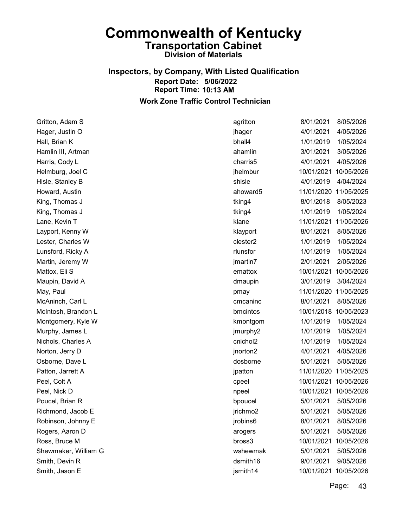### Inspectors, by Company, With Listed Qualification Report Date: 5/06/2022 Report Time: 10:13 AM Work Zone Traffic Control Technician

Gritton, Adam S agritton 8/01/2021 8/05/2026 Hager, Justin O jhager 4/01/2021 4/05/2026 Hall, Brian K bhall4 1/01/2019 1/05/2024 Hamlin III, Artman ahamlin 3/01/2021 3/05/2026 Harris, Cody L charris5 4/01/2021 4/05/2026 Helmburg, Joel C jhelmbur 10/01/2021 10/05/2026 Hisle, Stanley B shisle 4/01/2019 4/04/2024 Howard, Austin ahoward5 11/01/2020 11/05/2025 King, Thomas J **tking4** 8/01/2018 8/05/2023 King, Thomas J tking4 1/01/2019 1/05/2024 Lane, Kevin T klane 11/01/2021 11/05/2026 Layport, Kenny W klayport 8/01/2021 8/05/2026 Lester, Charles W clester2 1/01/2019 1/05/2024 Lunsford, Ricky A rlunsfor 1/01/2019 1/05/2024 Martin, Jeremy W jmartin7 2/01/2021 2/05/2026 Mattox, Eli S emattox 10/01/2021 10/05/2026 Maupin, David A dmaupin 3/01/2019 3/04/2024 May, Paul pmay 11/01/2020 11/05/2025 McAninch, Carl L cmcaninc 8/01/2021 8/05/2026 McIntosh, Brandon L bmcintos 10/01/2018 10/05/2023 Montgomery, Kyle W kmontgom 1/01/2019 1/05/2024 Murphy, James L jmurphy2 1/01/2019 1/05/2024 Nichols, Charles A cnichol2 1/01/2019 1/05/2024 Norton, Jerry D jnorton2 4/01/2021 4/05/2026 Osborne, Dave L dosborne 5/01/2021 5/05/2026 Patton, Jarrett A in the same of the settlement of the settlement of the intervals in the intervals of the intervals in the intervals in the intervals in the intervals in the intervals in the intervals in the intervals in Peel, Colt A cpeel 10/01/2021 10/05/2026 Peel, Nick D npeel 10/01/2021 10/05/2026 Poucel, Brian R bpoucel 5/01/2021 5/05/2026 Richmond, Jacob E jrichmo2 5/01/2021 5/05/2026 Robinson, Johnny E jrobins6 8/01/2021 8/05/2026 Rogers, Aaron D around the state of the control of the control of the control of the control of the control of the control of the control of the control of the control of the control of the control of the control of the co Ross, Bruce M bross3 10/01/2021 10/05/2026 Shewmaker, William G wshewmak 5/01/2021 5/05/2026 Smith, Devin R dsmith16 9/01/2021 9/05/2026 Smith, Jason E **ismith14** 10/01/2021 10/05/2026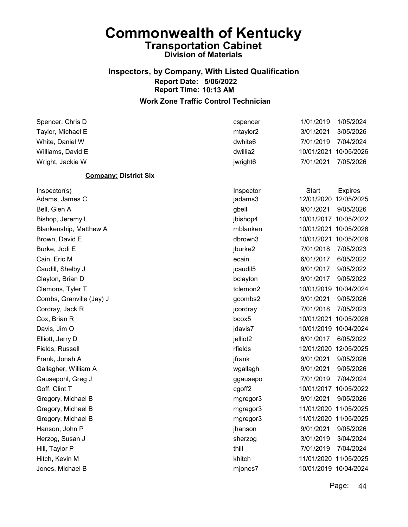### Inspectors, by Company, With Listed Qualification Report Date: 5/06/2022 Report Time: 10:13 AM

### Work Zone Traffic Control Technician

| Spencer, Chris D             | cspencer            | 1/01/2019    | 1/05/2024             |
|------------------------------|---------------------|--------------|-----------------------|
| Taylor, Michael E            | mtaylor2            | 3/01/2021    | 3/05/2026             |
| White, Daniel W              | dwhite <sub>6</sub> | 7/01/2019    | 7/04/2024             |
| Williams, David E            | dwillia2            | 10/01/2021   | 10/05/2026            |
| Wright, Jackie W             | jwright6            | 7/01/2021    | 7/05/2026             |
| <b>Company: District Six</b> |                     |              |                       |
| Inspector(s)                 | Inspector           | <b>Start</b> | <b>Expires</b>        |
| Adams, James C               | jadams3             |              | 12/01/2020 12/05/2025 |
| Bell, Glen A                 | gbell               | 9/01/2021    | 9/05/2026             |
| Bishop, Jeremy L             | jbishop4            |              | 10/01/2017 10/05/2022 |
| Blankenship, Matthew A       | mblanken            |              | 10/01/2021 10/05/2026 |
| Brown, David E               | dbrown3             | 10/01/2021   | 10/05/2026            |
| Burke, Jodi E                | jburke2             | 7/01/2018    | 7/05/2023             |
| Cain, Eric M                 | ecain               | 6/01/2017    | 6/05/2022             |
| Caudill, Shelby J            | jcaudil5            | 9/01/2017    | 9/05/2022             |
| Clayton, Brian D             | bclayton            | 9/01/2017    | 9/05/2022             |
| Clemons, Tyler T             | tclemon2            | 10/01/2019   | 10/04/2024            |
| Combs, Granville (Jay) J     | gcombs2             | 9/01/2021    | 9/05/2026             |
| Cordray, Jack R              | jcordray            | 7/01/2018    | 7/05/2023             |
| Cox, Brian R                 | bcox5               | 10/01/2021   | 10/05/2026            |
| Davis, Jim O                 | jdavis7             |              | 10/01/2019 10/04/2024 |
| Elliott, Jerry D             | jelliot2            | 6/01/2017    | 6/05/2022             |
| Fields, Russell              | rfields             |              | 12/01/2020 12/05/2025 |
| Frank, Jonah A               | jfrank              | 9/01/2021    | 9/05/2026             |
| Gallagher, William A         | wgallagh            | 9/01/2021    | 9/05/2026             |
| Gausepohl, Greg J            | ggausepo            | 7/01/2019    | 7/04/2024             |
| Goff, Clint T                | cgoff <sub>2</sub>  | 10/01/2017   | 10/05/2022            |
| Gregory, Michael B           | mgregor3            | 9/01/2021    | 9/05/2026             |
| Gregory, Michael B           | mgregor3            |              | 11/01/2020 11/05/2025 |
| Gregory, Michael B           | mgregor3            |              | 11/01/2020 11/05/2025 |
| Hanson, John P               | jhanson             | 9/01/2021    | 9/05/2026             |
| Herzog, Susan J              | sherzog             | 3/01/2019    | 3/04/2024             |
| Hill, Taylor P               | thill               | 7/01/2019    | 7/04/2024             |
| Hitch, Kevin M               | khitch              |              | 11/01/2020 11/05/2025 |
| Jones, Michael B             | mjones7             |              | 10/01/2019 10/04/2024 |
|                              |                     |              |                       |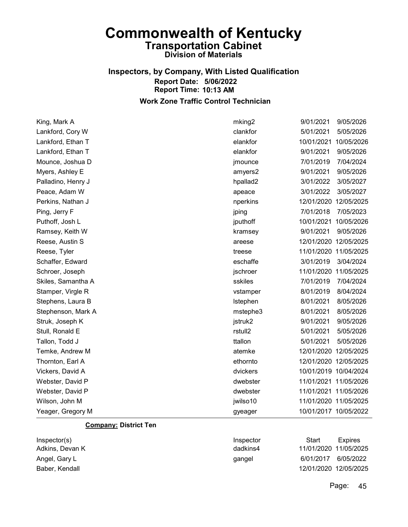### Inspectors, by Company, With Listed Qualification Report Date: 5/06/2022 Report Time: 10:13 AM Work Zone Traffic Control Technician

King, Mark A mking2 9/01/2021 9/05/2026 Lankford, Cory W clankfor 5/01/2021 5/05/2026

| Lankford, Ethan T     | elankfor | 10/01/2021            | 10/05/2026            |
|-----------------------|----------|-----------------------|-----------------------|
| Lankford, Ethan T     | elankfor | 9/01/2021             | 9/05/2026             |
| Mounce, Joshua D      | jmounce  | 7/01/2019             | 7/04/2024             |
| Myers, Ashley E       | amyers2  | 9/01/2021             | 9/05/2026             |
| Palladino, Henry J    | hpallad2 | 3/01/2022             | 3/05/2027             |
| Peace, Adam W         | apeace   | 3/01/2022             | 3/05/2027             |
| Perkins, Nathan J     | nperkins | 12/01/2020            | 12/05/2025            |
| Ping, Jerry F         | jping    | 7/01/2018             | 7/05/2023             |
| Puthoff, Josh L       | jputhoff | 10/01/2021            | 10/05/2026            |
| Ramsey, Keith W       | kramsey  | 9/01/2021             | 9/05/2026             |
| Reese, Austin S       | areese   | 12/01/2020 12/05/2025 |                       |
| Reese, Tyler          | treese   | 11/01/2020 11/05/2025 |                       |
| Schaffer, Edward      | eschaffe | 3/01/2019             | 3/04/2024             |
| Schroer, Joseph       | jschroer | 11/01/2020            | 11/05/2025            |
| Skiles, Samantha A    | sskiles  | 7/01/2019             | 7/04/2024             |
| Stamper, Virgle R     | vstamper | 8/01/2019             | 8/04/2024             |
| Stephens, Laura B     | Istephen | 8/01/2021             | 8/05/2026             |
| Stephenson, Mark A    | mstephe3 | 8/01/2021             | 8/05/2026             |
| Struk, Joseph K       | jstruk2  | 9/01/2021             | 9/05/2026             |
| Stull, Ronald E       | rstull2  | 5/01/2021             | 5/05/2026             |
| Tallon, Todd J        | ttallon  | 5/01/2021             | 5/05/2026             |
| Temke, Andrew M       | atemke   | 12/01/2020 12/05/2025 |                       |
| Thornton, Earl A      | ethornto | 12/01/2020 12/05/2025 |                       |
| Vickers, David A      | dvickers | 10/01/2019 10/04/2024 |                       |
| Webster, David P      | dwebster | 11/01/2021 11/05/2026 |                       |
| Webster, David P      | dwebster | 11/01/2021 11/05/2026 |                       |
| Wilson, John M        | jwilso10 |                       | 11/01/2020 11/05/2025 |
| Yeager, Gregory M     | gyeager  | 10/01/2017 10/05/2022 |                       |
| Campanu, Diatriat Tan |          |                       |                       |

#### **Company: District Ten**

| Inspector(s)    | Inspector | Start                 | Expires   |
|-----------------|-----------|-----------------------|-----------|
| Adkins, Devan K | dadkins4  | 11/01/2020 11/05/2025 |           |
| Angel, Gary L   | qangel    | 6/01/2017             | 6/05/2022 |
| Baber, Kendall  |           | 12/01/2020 12/05/2025 |           |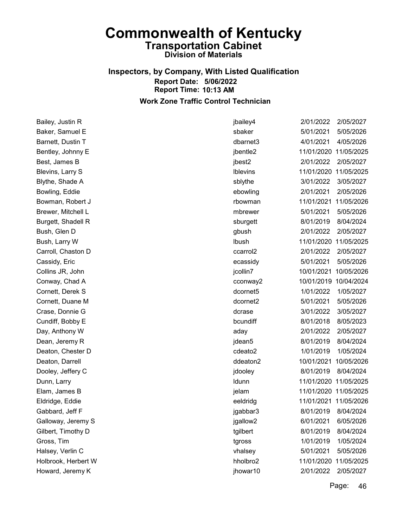### Inspectors, by Company, With Listed Qualification Report Date: 5/06/2022 Report Time: 10:13 AM Work Zone Traffic Control Technician

Bailey, Justin R jbailey4 2/01/2022 2/05/2027 Baker, Samuel E sbaker 5/01/2021 5/05/2026 Barnett, Dustin T dbarnet3 4/01/2021 4/05/2026 Bentley, Johnny E **ibentle2** 11/01/2020 11/05/2025 Best, James B jbest2 2/01/2022 2/05/2027 Blevins, Larry S lblevins 11/01/2020 11/05/2025 Blythe, Shade A sblythe 3/01/2022 3/05/2027 Bowling, Eddie ebowling 2/01/2021 2/05/2026 Bowman, Robert J rbowman 11/01/2021 11/05/2026 Brewer, Mitchell L mbrewer 5/01/2021 5/05/2026 Burgett, Shadell R sburgett 8/01/2019 8/04/2024 Bush, Glen D gbush 2/01/2022 2/05/2027 Bush, Larry W lbush 11/01/2020 11/05/2025 Carroll, Chaston D ccarrol2 2/01/2022 2/05/2027 Cassidy, Eric ecassidy 5/01/2021 5/05/2026 Collins JR, John jcollin7 10/01/2021 10/05/2026 Conway, Chad A cconway2 10/01/2019 10/04/2024 Cornett, Derek S dcornet5 1/01/2022 1/05/2027 Cornett, Duane M dcornet2 5/01/2021 5/05/2026 Crase, Donnie G dcrase 3/01/2022 3/05/2027 Cundiff, Bobby E bcundiff 8/01/2018 8/05/2023 Day, Anthony W aday 2/01/2022 2/05/2027 Dean, Jeremy R jdean5 8/01/2019 8/04/2024 Deaton, Chester D cdeato2 1/01/2019 1/05/2024 Deaton, Darrell ddeaton2 10/01/2021 10/05/2026 Dooley, Jeffery C jdooley 8/01/2019 8/04/2024 Dunn, Larry ldunn 11/01/2020 11/05/2025 Elam, James B jelam 11/01/2020 11/05/2025 Eldridge, Eddie eeldridg 11/01/2021 11/05/2026 Gabbard, Jeff F **igabbar3** 8/01/2019 8/04/2024 Galloway, Jeremy S jgallow2 6/01/2021 6/05/2026 Gilbert, Timothy D **tgilbert** 8/01/2019 8/04/2024 Gross, Tim tgross 1/01/2019 1/05/2024 Halsey, Verlin C vhalsey 5/01/2021 5/05/2026 Holbrook, Herbert W hholbro2 11/01/2020 11/05/2025 Howard, Jeremy K jhowar10 2/01/2022 2/05/2027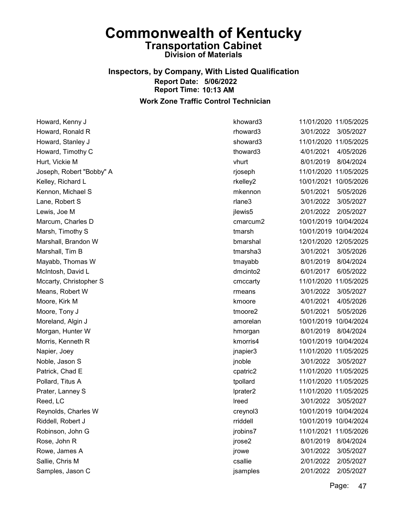### Inspectors, by Company, With Listed Qualification Report Date: 5/06/2022 Report Time: 10:13 AM Work Zone Traffic Control Technician

Howard, Kenny J khoward3 11/01/2020 11/05/2025 Howard, Ronald R rhoward3 3/01/2022 3/05/2027 Howard, Stanley J showard3 11/01/2020 11/05/2025 Howard, Timothy C thoward3 4/01/2021 4/05/2026 Hurt, Vickie M vhurt 8/01/2019 8/04/2024 Joseph, Robert "Bobby" A rjoseph 11/01/2020 11/05/2025 Kelley, Richard L rkelley2 10/01/2021 10/05/2026 Kennon, Michael S mkennon 5/01/2021 5/05/2026 Lane, Robert S rlane3 3/01/2022 3/05/2027 Lewis, Joe M jlewis5 2/01/2022 2/05/2027 Marcum, Charles D cmarcum2 10/01/2019 10/04/2024 Marsh, Timothy S tmarsh 10/01/2019 10/04/2024 Marshall, Brandon W bmarshal 12/01/2020 12/05/2025 Marshall, Tim B tmarsha3 3/01/2021 3/05/2026 Mayabb, Thomas W tmayabb 8/01/2019 8/04/2024 McIntosh, David L dmcinto2 6/01/2017 6/05/2022 Mccarty, Christopher S cmccarty 11/01/2020 11/05/2025 Means, Robert W rmeans 3/01/2022 3/05/2027 Moore, Kirk M kmoore 4/01/2021 4/05/2026 Moore, Tony J tmoore2 5/01/2021 5/05/2026 Moreland, Algin J amorelan 10/01/2019 10/04/2024 Morgan, Hunter W hmorgan 8/01/2019 8/04/2024 Morris, Kenneth R kmorris4 10/01/2019 10/04/2024 Napier, Joey jnapier3 11/01/2020 11/05/2025 Noble, Jason S jnoble 3/01/2022 3/05/2027 Patrick, Chad E cpatric2 11/01/2020 11/05/2025 Pollard, Titus A tpollard 11/01/2020 11/05/2025 Prater, Lanney S lprater2 11/01/2020 11/05/2025 Reed, LC lreed 3/01/2022 3/05/2027 Reynolds, Charles W creynol3 10/01/2019 10/04/2024 Riddell, Robert J rriddell 10/01/2019 10/04/2024 Robinson, John G jrobins7 11/01/2021 11/05/2026 Rose, John R jrose2 8/01/2019 8/04/2024 Rowe, James A jrowe 3/01/2022 3/05/2027 Sallie, Chris M csallie 2/01/2022 2/05/2027 Samples, Jason C jsamples 2/01/2022 2/05/2027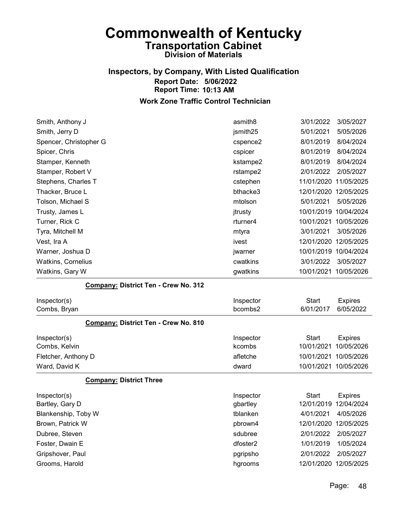### Inspectors, by Company, With Listed Qualification Report Date: 5/06/2022 Report Time: 10:13 AM Work Zone Traffic Control Technician

## Smith, Anthony J **3/01/2022** 3/05/2027 Smith, Jerry D jsmith25 5/01/2021 5/05/2026 Spencer, Christopher G cspence2 8/01/2019 8/04/2024 Spicer, Chris cspicer 8/01/2019 8/04/2024 Stamper, Kenneth kstampe2 8/01/2019 8/04/2024 Stamper, Robert V rstampe2 2/01/2022 2/05/2027 Stephens, Charles T **compared 11/01/2020** 11/05/2025 Thacker, Bruce L bthacke3 12/01/2020 12/05/2025 Tolson, Michael S mtolson 5/01/2021 5/05/2026 Trusty, James L **itrusty** 10/01/2019 10/04/2024 Turner, Rick C **rturner4** 10/01/2021 10/05/2026 Tyra, Mitchell M mtyra 3/01/2021 3/05/2026 Vest, Ira A ivest 12/01/2020 12/05/2025 Warner, Joshua D jwarner 10/01/2019 10/04/2024 Watkins, Cornelius cwatkins 3/01/2022 3/05/2027 Watkins, Gary W gwatkins 10/01/2021 10/05/2026

#### Company: District Ten - Crew No. 312

| Inspector(s)<br>Combs, Bryan                | Inspector<br>bcombs2 | Start<br>6/01/2017 | <b>Expires</b><br>6/05/2022 |
|---------------------------------------------|----------------------|--------------------|-----------------------------|
| <b>Company: District Ten - Crew No. 810</b> |                      |                    |                             |
| Inspector(s)                                | Inspector            | Start              | <b>Expires</b>              |
| Combs, Kelvin                               | kcombs               |                    | 10/01/2021 10/05/2026       |
| Fletcher, Anthony D                         | afletche             |                    | 10/01/2021 10/05/2026       |
| Ward, David K                               | dward                |                    | 10/01/2021 10/05/2026       |
| <b>Company: District Three</b>              |                      |                    |                             |

| Inspector(s)        | Inspector | Start                 | <b>Expires</b> |
|---------------------|-----------|-----------------------|----------------|
| Bartley, Gary D     | gbartley  | 12/01/2019 12/04/2024 |                |
| Blankenship, Toby W | tblanken  | 4/01/2021             | 4/05/2026      |
| Brown, Patrick W    | pbrown4   | 12/01/2020 12/05/2025 |                |
| Dubree, Steven      | sdubree   | 2/01/2022             | 2/05/2027      |
| Foster, Dwain E     | dfoster2  | 1/01/2019             | 1/05/2024      |
| Gripshover, Paul    | pgripsho  | 2/01/2022             | 2/05/2027      |
| Grooms, Harold      | hgrooms   | 12/01/2020 12/05/2025 |                |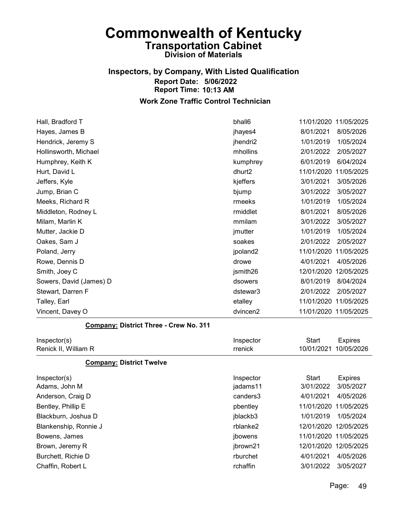# Inspectors, by Company, With Listed Qualification Report Date: 5/06/2022 Report Time: 10:13 AM

| Hall, Bradford T                       | bhall6    |              | 11/01/2020 11/05/2025 |
|----------------------------------------|-----------|--------------|-----------------------|
| Hayes, James B                         | jhayes4   | 8/01/2021    | 8/05/2026             |
| Hendrick, Jeremy S                     | jhendri2  | 1/01/2019    | 1/05/2024             |
| Hollinsworth, Michael                  | mhollins  | 2/01/2022    | 2/05/2027             |
| Humphrey, Keith K                      | kumphrey  | 6/01/2019    | 6/04/2024             |
| Hurt, David L                          | dhurt2    | 11/01/2020   | 11/05/2025            |
| Jeffers, Kyle                          | kjeffers  | 3/01/2021    | 3/05/2026             |
| Jump, Brian C                          | bjump     | 3/01/2022    | 3/05/2027             |
| Meeks, Richard R                       | rmeeks    | 1/01/2019    | 1/05/2024             |
| Middleton, Rodney L                    | rmiddlet  | 8/01/2021    | 8/05/2026             |
| Milam, Marlin K                        | mmilam    | 3/01/2022    | 3/05/2027             |
| Mutter, Jackie D                       | jmutter   | 1/01/2019    | 1/05/2024             |
| Oakes, Sam J                           | soakes    | 2/01/2022    | 2/05/2027             |
| Poland, Jerry                          | jpoland2  | 11/01/2020   | 11/05/2025            |
| Rowe, Dennis D                         | drowe     | 4/01/2021    | 4/05/2026             |
| Smith, Joey C                          | jsmith26  |              | 12/01/2020 12/05/2025 |
| Sowers, David (James) D                | dsowers   | 8/01/2019    | 8/04/2024             |
| Stewart, Darren F                      | dstewar3  | 2/01/2022    | 2/05/2027             |
| Talley, Earl                           | etalley   |              | 11/01/2020 11/05/2025 |
| Vincent, Davey O                       | dvincen2  |              | 11/01/2020 11/05/2025 |
| Company: District Three - Crew No. 311 |           |              |                       |
| Inspector(s)                           | Inspector | <b>Start</b> | <b>Expires</b>        |
| Renick II, William R                   | rrenick   | 10/01/2021   | 10/05/2026            |
| <b>Company: District Twelve</b>        |           |              |                       |
| Inspector(s)                           | Inspector | <b>Start</b> | <b>Expires</b>        |
| Adams, John M                          | jadams11  | 3/01/2022    | 3/05/2027             |
| Anderson, Craig D                      | canders3  | 4/01/2021    | 4/05/2026             |
| Bentley, Phillip E                     | pbentley  |              | 11/01/2020 11/05/2025 |
| Blackburn, Joshua D                    | jblackb3  |              | 1/01/2019 1/05/2024   |
| Blankenship, Ronnie J                  | rblanke2  |              | 12/01/2020 12/05/2025 |
| Bowens, James                          | jbowens   |              | 11/01/2020 11/05/2025 |
| Brown, Jeremy R                        | jbrown21  |              | 12/01/2020 12/05/2025 |
| Burchett, Richie D                     | rburchet  | 4/01/2021    | 4/05/2026             |
| Chaffin, Robert L                      | rchaffin  | 3/01/2022    | 3/05/2027             |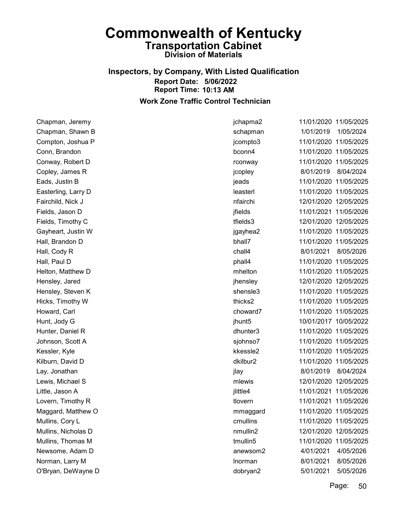### Inspectors, by Company, With Listed Qualification Report Date: 5/06/2022 Report Time: 10:13 AM Work Zone Traffic Control Technician

Chapman, Jeremy jchapma2 11/01/2020 11/05/2025 Chapman, Shawn B schapman 1/01/2019 1/05/2024 Compton, Joshua P jcompto3 11/01/2020 11/05/2025 Conn, Brandon bconn4 11/01/2020 11/05/2025 Conway, Robert D rconway 11/01/2020 11/05/2025 Copley, James R jcopley 8/01/2019 8/04/2024 Eads, Justin B jeads 11/01/2020 11/05/2025 Easterling, Larry D leasterl 11/01/2020 11/05/2025 Fairchild, Nick J nfairchi 12/01/2020 12/05/2025 Fields, Jason D jfields 11/01/2021 11/05/2026 Fields, Timothy C tfields3 12/01/2020 12/05/2025 Gayheart, Justin W jgayhea2 11/01/2020 11/05/2025 Hall, Brandon D bhall7 11/01/2020 11/05/2025 Hall, Cody R chall4 8/01/2021 8/05/2026 Hall, Paul D phall4 11/01/2020 11/05/2025 Helton, Matthew D mhelton 11/01/2020 11/05/2025 Hensley, Jared jhensley 12/01/2020 12/05/2025 Hensley, Steven K shensle3 11/01/2020 11/05/2025 Hicks, Timothy W thicks2 11/01/2020 11/05/2025 Howard, Carl choward7 11/01/2020 11/05/2025 Hunt, Jody G jhunt5 10/01/2017 10/05/2022 Hunter, Daniel R dhunter3 11/01/2020 11/05/2025 Johnson, Scott A sjohnso7 11/01/2020 11/05/2025 Kessler, Kyle kkessle2 11/01/2020 11/05/2025 Kilburn, David D dkilbur2 11/01/2020 11/05/2025 Lay, Jonathan jlay 8/01/2019 8/04/2024 Lewis, Michael S mlewis 12/01/2020 12/05/2025 Little, Jason A jlittle4 11/01/2021 11/05/2026 Lovern, Timothy R **tlovern** 11/01/2021 11/05/2026 Maggard, Matthew O mmaggard 11/01/2020 11/05/2025 Mullins, Cory L cmullins 11/01/2020 11/05/2025 Mullins, Nicholas D nmullin2 12/01/2020 12/05/2025 Mullins, Thomas M tmullin5 11/01/2020 11/05/2025 Newsome, Adam D anewsom2 4/01/2021 4/05/2026 Norman, Larry M lnorman 8/01/2021 8/05/2026 O'Bryan, DeWayne D dobryan2 5/01/2021 5/05/2026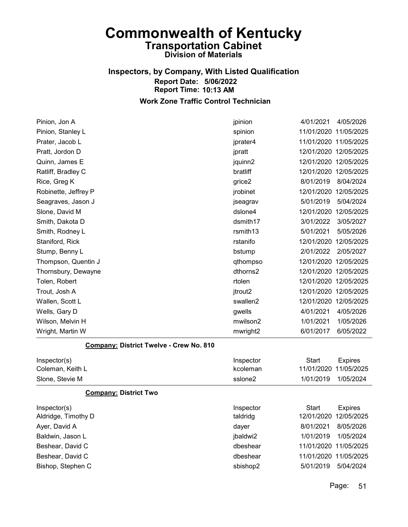### Inspectors, by Company, With Listed Qualification Report Date: 5/06/2022 Report Time: 10:13 AM Work Zone Traffic Control Technician

### Pinion, Jon A jpinion 4/01/2021 4/05/2026 Pinion, Stanley L spinion 11/01/2020 11/05/2025 Prater, Jacob L jprater4 11/01/2020 11/05/2025 Pratt, Jordon D **igratt** 12/01/2020 12/05/2025 Quinn, James E jquinn2 12/01/2020 12/05/2025 Ratliff, Bradley C bratliff 12/01/2020 12/05/2025 Rice, Greg K grice2 8/01/2019 8/04/2024 Robinette, Jeffrey P **implicity** in the settlement of the control of the settlement of the intervals in the theorem of the the settlement of the theorem in the theorem in the theorem in the theorem in the theorem in the th Seagraves, Jason J **Seagrav 5/01/2019** 5/04/2024 Slone, David M dslone4 12/01/2020 12/05/2025 Smith, Dakota D dsmith17 3/01/2022 3/05/2027 Smith, Rodney L rsmith13 5/01/2021 5/05/2026 Staniford, Rick rstanifo 12/01/2020 12/05/2025 Stump, Benny L bstump 2/01/2022 2/05/2027 Thompson, Quentin J qthompso 12/01/2020 12/05/2025 Thornsbury, Dewayne dthorns2 12/01/2020 12/05/2025 Tolen, Robert rtolen 12/01/2020 12/05/2025 Trout, Josh A jtrout2 12/01/2020 12/05/2025 Wallen, Scott L swallen2 12/01/2020 12/05/2025 Wells, Gary D gwells 4/01/2021 4/05/2026 Wilson, Melvin H mwilson2 1/01/2021 1/05/2026 Wright, Martin W mwright2 6/01/2017 6/05/2022

#### Company: District Twelve - Crew No. 810

| Inspector(s)     | Inspector | Start                 | Expires   |
|------------------|-----------|-----------------------|-----------|
| Coleman, Keith L | kcoleman  | 11/01/2020 11/05/2025 |           |
| Slone, Stevie M  | sslone2   | 1/01/2019             | 1/05/2024 |

#### Company: District Two

| Inspector(s)        | Inspector | Start                 | <b>Expires</b>        |
|---------------------|-----------|-----------------------|-----------------------|
| Aldridge, Timothy D | taldridg  |                       | 12/01/2020 12/05/2025 |
| Ayer, David A       | dayer     | 8/01/2021             | 8/05/2026             |
| Baldwin, Jason L    | jbaldwi2  | 1/01/2019             | 1/05/2024             |
| Beshear, David C    | dbeshear  | 11/01/2020 11/05/2025 |                       |
| Beshear, David C    | dbeshear  | 11/01/2020 11/05/2025 |                       |
| Bishop, Stephen C   | sbishop2  | 5/01/2019             | 5/04/2024             |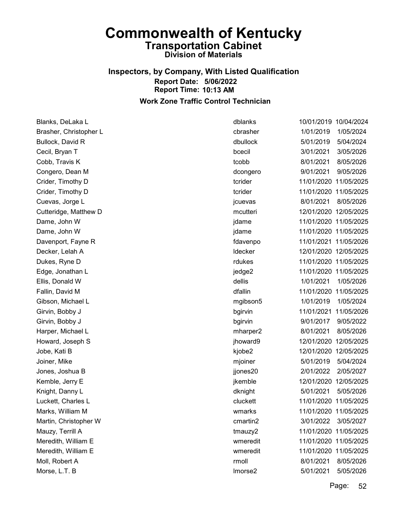### Inspectors, by Company, With Listed Qualification Report Date: 5/06/2022 Report Time: 10:13 AM Work Zone Traffic Control Technician

Blanks, DeLaka L dblanks 10/01/2019 10/04/2024 Brasher, Christopher L cbrasher 1/01/2019 1/05/2024 Bullock, David R dbullock 5/01/2019 5/04/2024 Cecil, Bryan T bcecil 3/01/2021 3/05/2026 Cobb, Travis K tcobb 8/01/2021 8/05/2026 Congero, Dean M dcongero 9/01/2021 9/05/2026 Crider, Timothy D tcrider 11/01/2020 11/05/2025 Crider, Timothy D tcrider 11/01/2020 11/05/2025 Cuevas, Jorge L jcuevas 8/01/2021 8/05/2026 Cutteridge, Matthew D mcutteri 12/01/2020 12/05/2025 Dame, John W jdame 11/01/2020 11/05/2025 Dame, John W jdame 11/01/2020 11/05/2025 Davenport, Fayne R fdavenpo 11/01/2021 11/05/2026 Decker, Lelah A ldecker 12/01/2020 12/05/2025 Dukes, Ryne D rdukes 11/01/2020 11/05/2025 Edge, Jonathan L jedge2 11/01/2020 11/05/2025 Ellis, Donald W dellis 1/01/2021 1/05/2026 Fallin, David M dfallin 11/01/2020 11/05/2025 Gibson, Michael L mgibson5 1/01/2019 1/05/2024 Girvin, Bobby J bgirvin 11/01/2021 11/05/2026 Girvin, Bobby J bgirvin 9/01/2017 9/05/2022 Harper, Michael L mharper2 8/01/2021 8/05/2026 Howard, Joseph S jhoward9 12/01/2020 12/05/2025 Jobe, Kati B kjobe2 12/01/2020 12/05/2025 Joiner, Mike mjoiner 5/01/2019 5/04/2024 Jones, Joshua B jjones20 2/01/2022 2/05/2027 Kemble, Jerry E **implement and the set of the set of the set of the intervals in the set of the set of the set o** Knight, Danny L **Matter 2018** 6/01/2021 5/05/2026 6/01/2021 5/05/2026 Luckett, Charles L cluckett 11/01/2020 11/05/2025 Marks, William M wmarks 11/01/2020 11/05/2025 Martin, Christopher W cmartin2 3/01/2022 3/05/2027 Mauzy, Terrill A tmauzy2 11/01/2020 11/05/2025 Meredith, William E wmeredit 11/01/2020 11/05/2025 Meredith, William E wmeredit 11/01/2020 11/05/2025 Moll, Robert A rmoll 8/01/2021 8/05/2026 Morse, L.T. B lmorse2 5/01/2021 5/05/2026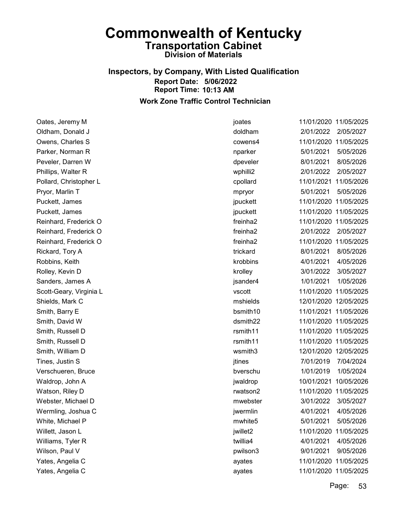### Inspectors, by Company, With Listed Qualification Report Date: 5/06/2022 Report Time: 10:13 AM Work Zone Traffic Control Technician

Oates, Jeremy M joates 11/01/2020 11/05/2025 Oldham, Donald J doldham 2/01/2022 2/05/2027 Owens, Charles S cowens4 11/01/2020 11/05/2025 Parker, Norman R nparker 5/01/2021 5/05/2026 Peveler, Darren W dpeveler 8/01/2021 8/05/2026 Phillips, Walter R wphilli2 2/01/2022 2/05/2027 Pollard, Christopher L cpollard 11/01/2021 11/05/2026 Pryor, Marlin T mpryor 5/01/2021 5/05/2026 Puckett, James jpuckett 11/01/2020 11/05/2025 Puckett, James jpuckett 11/01/2020 11/05/2025 Reinhard, Frederick O freinha2 11/01/2020 11/05/2025 Reinhard, Frederick O freinha2 2/01/2022 2/05/2027 Reinhard, Frederick O freinha2 11/01/2020 11/05/2025 Rickard, Tory A trickard 8/01/2021 8/05/2026 Robbins, Keith krobbins 4/01/2021 4/05/2026 Rolley, Kevin D krolley 3/01/2022 3/05/2027 Sanders, James A jsander4 1/01/2021 1/05/2026 Scott-Geary, Virginia L vscott 11/01/2020 11/05/2025 Shields, Mark C mshields 12/01/2020 12/05/2025 Smith, Barry E bsmith10 11/01/2021 11/05/2026 Smith, David W dsmith22 11/01/2020 11/05/2025 Smith, Russell D **rsmith11** 11/01/2020 11/05/2025 Smith, Russell D rsmith11 11/01/2020 11/05/2025 Smith, William D wsmith3 12/01/2020 12/05/2025 Tines, Justin S **interval and the Contract Contract Contract Contract Contract Contract Contract Contract Contract Contract Contract Contract Contract Contract Contract Contract Contract Contract Contract Contract Contract** Verschueren, Bruce bverschu 1/01/2019 1/05/2024 Waldrop, John A jwaldrop 10/01/2021 10/05/2026 Watson, Riley D rwatson2 11/01/2020 11/05/2025 Webster, Michael D mwebster 3/01/2022 3/05/2027 Wermling, Joshua C jwermlin 4/01/2021 4/05/2026 White, Michael P mwhite5 5/01/2021 5/05/2026 Willett, Jason L jwillet2 11/01/2020 11/05/2025 Williams, Tyler R twillia4 4/01/2021 4/05/2026 Wilson, Paul V pwilson3 9/01/2021 9/05/2026 Yates, Angelia C ayates 11/01/2020 11/05/2025 Yates, Angelia C ayates 11/01/2020 11/05/2025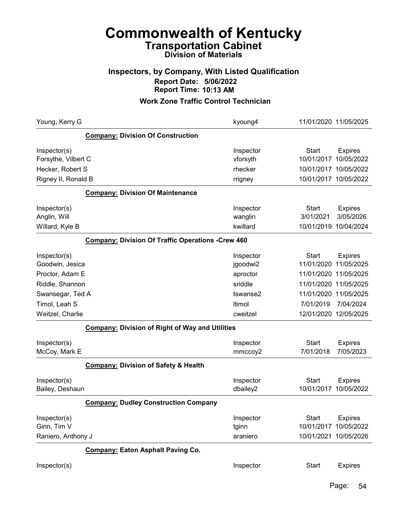### Inspectors, by Company, With Listed Qualification Report Date: 5/06/2022 Report Time: 10:13 AM

### Work Zone Traffic Control Technician

| Young, Kerry G                                    |                                                          | kyoung4                        | 11/01/2020 11/05/2025                               |                              |
|---------------------------------------------------|----------------------------------------------------------|--------------------------------|-----------------------------------------------------|------------------------------|
|                                                   | <b>Company: Division Of Construction</b>                 |                                |                                                     |                              |
| Inspector(s)<br>Forsythe, Vilbert C               |                                                          | Inspector<br>vforsyth          | <b>Start</b><br>10/01/2017                          | <b>Expires</b><br>10/05/2022 |
| Hecker, Robert S                                  |                                                          | rhecker                        | 10/01/2017 10/05/2022                               |                              |
| Rigney II, Ronald B                               |                                                          | rrigney                        | 10/01/2017 10/05/2022                               |                              |
|                                                   | <b>Company: Division Of Maintenance</b>                  |                                |                                                     |                              |
| Inspector(s)                                      |                                                          | Inspector                      | <b>Start</b>                                        | <b>Expires</b>               |
| Anglin, Will                                      |                                                          | wanglin                        | 3/01/2021                                           | 3/05/2026                    |
| Willard, Kyle B                                   |                                                          | kwillard                       | 10/01/2019 10/04/2024                               |                              |
|                                                   | <b>Company: Division Of Traffic Operations -Crew 460</b> |                                |                                                     |                              |
| Inspector(s)                                      |                                                          | Inspector                      | <b>Start</b>                                        | <b>Expires</b>               |
| Goodwin, Jesica                                   |                                                          | jgoodwi2                       | 11/01/2020                                          | 11/05/2025                   |
| Proctor, Adam E                                   |                                                          | aproctor                       | 11/01/2020 11/05/2025                               |                              |
| Riddle, Shannon                                   |                                                          | sriddle                        | 11/01/2020 11/05/2025                               |                              |
| Swansegar, Ted A                                  |                                                          | tswanse2                       | 11/01/2020 11/05/2025                               |                              |
| Timol, Leah S                                     |                                                          | Itimol                         | 7/01/2019                                           | 7/04/2024                    |
| Weitzel, Charlie                                  |                                                          | cweitzel                       | 12/01/2020 12/05/2025                               |                              |
|                                                   | <b>Company: Division of Right of Way and Utilities</b>   |                                |                                                     |                              |
| Inspector(s)<br>McCoy, Mark E                     |                                                          | Inspector<br>mmccoy2           | <b>Start</b><br>7/01/2018                           | <b>Expires</b><br>7/05/2023  |
|                                                   | <b>Company: Division of Safety &amp; Health</b>          |                                |                                                     |                              |
| Inspector(s)<br>Bailey, Deshaun                   |                                                          | Inspector<br>dbailey2          | <b>Start</b><br>10/01/2017                          | <b>Expires</b><br>10/05/2022 |
|                                                   | <b>Company: Dudley Construction Company</b>              |                                |                                                     |                              |
| Inspector(s)<br>Ginn, Tim V<br>Raniero, Anthony J |                                                          | Inspector<br>tginn<br>araniero | <b>Start</b><br>10/01/2017<br>10/01/2021 10/05/2026 | <b>Expires</b><br>10/05/2022 |
|                                                   | <b>Company: Eaton Asphalt Paving Co.</b>                 |                                |                                                     |                              |
| Inspector(s)                                      |                                                          | Inspector                      | <b>Start</b>                                        | <b>Expires</b>               |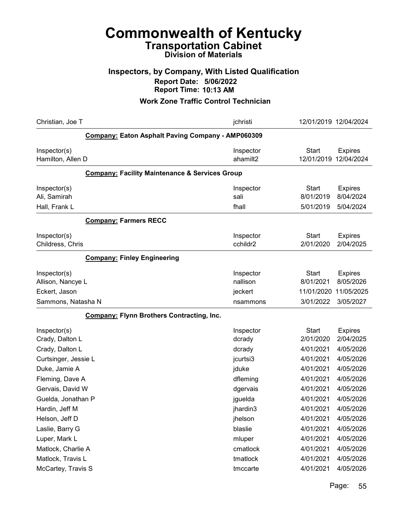### Inspectors, by Company, With Listed Qualification Report Date: 5/06/2022 Report Time: 10:13 AM

| Christian, Joe T                                                         |                                                           | jchristi                                     | 12/01/2019 12/04/2024                                |                                                        |
|--------------------------------------------------------------------------|-----------------------------------------------------------|----------------------------------------------|------------------------------------------------------|--------------------------------------------------------|
|                                                                          | <b>Company: Eaton Asphalt Paving Company - AMP060309</b>  |                                              |                                                      |                                                        |
| Inspector(s)<br>Hamilton, Allen D                                        |                                                           | Inspector<br>ahamilt2                        | <b>Start</b><br>12/01/2019                           | <b>Expires</b><br>12/04/2024                           |
|                                                                          | <b>Company: Facility Maintenance &amp; Services Group</b> |                                              |                                                      |                                                        |
| Inspector(s)<br>Ali, Samirah                                             |                                                           | Inspector<br>sali                            | <b>Start</b><br>8/01/2019                            | <b>Expires</b><br>8/04/2024                            |
| Hall, Frank L                                                            | <b>Company: Farmers RECC</b>                              | fhall                                        | 5/01/2019                                            | 5/04/2024                                              |
| Inspector(s)<br>Childress, Chris                                         |                                                           | Inspector<br>cchildr2                        | <b>Start</b><br>2/01/2020                            | <b>Expires</b><br>2/04/2025                            |
|                                                                          | <b>Company: Finley Engineering</b>                        |                                              |                                                      |                                                        |
| Inspector(s)<br>Allison, Nancye L<br>Eckert, Jason<br>Sammons, Natasha N |                                                           | Inspector<br>nallison<br>jeckert<br>nsammons | <b>Start</b><br>8/01/2021<br>11/01/2020<br>3/01/2022 | <b>Expires</b><br>8/05/2026<br>11/05/2025<br>3/05/2027 |
|                                                                          | <b>Company: Flynn Brothers Contracting, Inc.</b>          |                                              |                                                      |                                                        |
| Inspector(s)<br>Crady, Dalton L<br>Crady, Dalton L                       |                                                           | Inspector<br>dcrady<br>dcrady                | <b>Start</b><br>2/01/2020<br>4/01/2021               | <b>Expires</b><br>2/04/2025<br>4/05/2026               |
| Curtsinger, Jessie L<br>Duke, Jamie A                                    |                                                           | jcurtsi3<br>jduke                            | 4/01/2021<br>4/01/2021                               | 4/05/2026<br>4/05/2026                                 |
| Fleming, Dave A<br>Gervais, David W<br>Guelda, Jonathan P                |                                                           | dfleming<br>dgervais                         | 4/01/2021<br>4/01/2021<br>4/01/2021                  | 4/05/2026<br>4/05/2026<br>4/05/2026                    |
| Hardin, Jeff M<br>Helson, Jeff D                                         |                                                           | jguelda<br>jhardin3<br>jhelson               | 4/01/2021<br>4/01/2021                               | 4/05/2026<br>4/05/2026                                 |
| Laslie, Barry G<br>Luper, Mark L                                         |                                                           | blaslie<br>mluper                            | 4/01/2021<br>4/01/2021                               | 4/05/2026<br>4/05/2026                                 |
| Matlock, Charlie A<br>Matlock, Travis L                                  |                                                           | cmatlock<br>tmatlock                         | 4/01/2021<br>4/01/2021                               | 4/05/2026<br>4/05/2026                                 |
| McCartey, Travis S                                                       |                                                           | tmccarte                                     | 4/01/2021                                            | 4/05/2026                                              |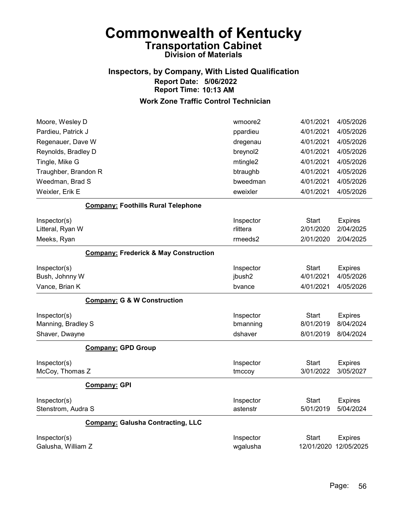### Inspectors, by Company, With Listed Qualification Report Date: 5/06/2022 Report Time: 10:13 AM

| Moore, Wesley D      |                                                  | wmoore2   | 4/01/2021    | 4/05/2026      |
|----------------------|--------------------------------------------------|-----------|--------------|----------------|
| Pardieu, Patrick J   |                                                  | ppardieu  | 4/01/2021    | 4/05/2026      |
| Regenauer, Dave W    |                                                  | dregenau  | 4/01/2021    | 4/05/2026      |
| Reynolds, Bradley D  |                                                  | breynol2  | 4/01/2021    | 4/05/2026      |
| Tingle, Mike G       |                                                  | mtingle2  | 4/01/2021    | 4/05/2026      |
| Traughber, Brandon R |                                                  | btraughb  | 4/01/2021    | 4/05/2026      |
| Weedman, Brad S      |                                                  | bweedman  | 4/01/2021    | 4/05/2026      |
| Weixler, Erik E      |                                                  | eweixler  | 4/01/2021    | 4/05/2026      |
|                      | <b>Company: Foothills Rural Telephone</b>        |           |              |                |
| Inspector(s)         |                                                  | Inspector | <b>Start</b> | <b>Expires</b> |
| Litteral, Ryan W     |                                                  | rlittera  | 2/01/2020    | 2/04/2025      |
| Meeks, Ryan          |                                                  | rmeeds2   | 2/01/2020    | 2/04/2025      |
|                      | <b>Company: Frederick &amp; May Construction</b> |           |              |                |
| Inspector(s)         |                                                  | Inspector | <b>Start</b> | <b>Expires</b> |
| Bush, Johnny W       |                                                  | jbush2    | 4/01/2021    | 4/05/2026      |
| Vance, Brian K       |                                                  | bvance    | 4/01/2021    | 4/05/2026      |
|                      | <b>Company: G &amp; W Construction</b>           |           |              |                |
| Inspector(s)         |                                                  | Inspector | Start        | <b>Expires</b> |
| Manning, Bradley S   |                                                  | bmanning  | 8/01/2019    | 8/04/2024      |
| Shaver, Dwayne       |                                                  | dshaver   | 8/01/2019    | 8/04/2024      |
|                      | <b>Company: GPD Group</b>                        |           |              |                |
| Inspector(s)         |                                                  | Inspector | <b>Start</b> | <b>Expires</b> |
| McCoy, Thomas Z      |                                                  | tmccoy    | 3/01/2022    | 3/05/2027      |
|                      | <b>Company: GPI</b>                              |           |              |                |
| Inspector(s)         |                                                  | Inspector | <b>Start</b> | <b>Expires</b> |
| Stenstrom, Audra S   |                                                  | astenstr  | 5/01/2019    | 5/04/2024      |
|                      | <b>Company: Galusha Contracting, LLC</b>         |           |              |                |
| Inspector(s)         |                                                  | Inspector | <b>Start</b> | <b>Expires</b> |
| Galusha, William Z   |                                                  | wgalusha  | 12/01/2020   | 12/05/2025     |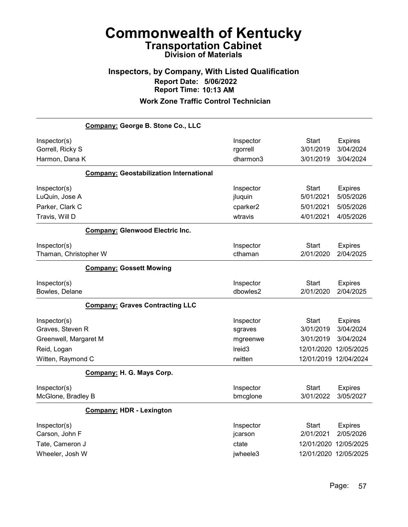## Inspectors, by Company, With Listed Qualification Report Date: 5/06/2022 Report Time: 10:13 AM

| Company: George B. Stone Co., LLC                                                             |                                                                   |                                                                                          |                                                       |
|-----------------------------------------------------------------------------------------------|-------------------------------------------------------------------|------------------------------------------------------------------------------------------|-------------------------------------------------------|
| Inspector(s)<br>Gorrell, Ricky S<br>Harmon, Dana K                                            | Inspector<br>rgorrell<br>dharmon3                                 | Start<br>3/01/2019<br>3/01/2019                                                          | <b>Expires</b><br>3/04/2024<br>3/04/2024              |
| <b>Company: Geostabilization International</b>                                                |                                                                   |                                                                                          |                                                       |
| Inspector(s)<br>LuQuin, Jose A<br>Parker, Clark C<br>Travis, Will D                           | Inspector<br>jluquin<br>cparker2<br>wtravis                       | Start<br>5/01/2021<br>5/01/2021<br>4/01/2021                                             | <b>Expires</b><br>5/05/2026<br>5/05/2026<br>4/05/2026 |
| <b>Company: Glenwood Electric Inc.</b>                                                        |                                                                   |                                                                                          |                                                       |
| Inspector(s)<br>Thaman, Christopher W                                                         | Inspector<br>cthaman                                              | Start<br>2/01/2020                                                                       | <b>Expires</b><br>2/04/2025                           |
| <b>Company: Gossett Mowing</b>                                                                |                                                                   |                                                                                          |                                                       |
| Inspector(s)<br>Bowles, Delane                                                                | Inspector<br>dbowles2                                             | <b>Start</b><br>2/01/2020                                                                | <b>Expires</b><br>2/04/2025                           |
| <b>Company: Graves Contracting LLC</b>                                                        |                                                                   |                                                                                          |                                                       |
| Inspector(s)<br>Graves, Steven R<br>Greenwell, Margaret M<br>Reid, Logan<br>Witten, Raymond C | Inspector<br>sgraves<br>mgreenwe<br>Ireid <sub>3</sub><br>rwitten | <b>Start</b><br>3/01/2019<br>3/01/2019<br>12/01/2020 12/05/2025<br>12/01/2019 12/04/2024 | <b>Expires</b><br>3/04/2024<br>3/04/2024              |
| Company: H. G. Mays Corp.                                                                     |                                                                   |                                                                                          |                                                       |
| Inspector(s)<br>McGlone, Bradley B                                                            | Inspector<br>bmcglone                                             | Start<br>3/01/2022                                                                       | <b>Expires</b><br>3/05/2027                           |
| <b>Company: HDR - Lexington</b>                                                               |                                                                   |                                                                                          |                                                       |
| Inspector(s)<br>Carson, John F<br>Tate, Cameron J<br>Wheeler, Josh W                          | Inspector<br>jcarson<br>ctate<br>jwheele3                         | Start<br>2/01/2021<br>12/01/2020<br>12/01/2020 12/05/2025                                | <b>Expires</b><br>2/05/2026<br>12/05/2025             |
|                                                                                               |                                                                   |                                                                                          |                                                       |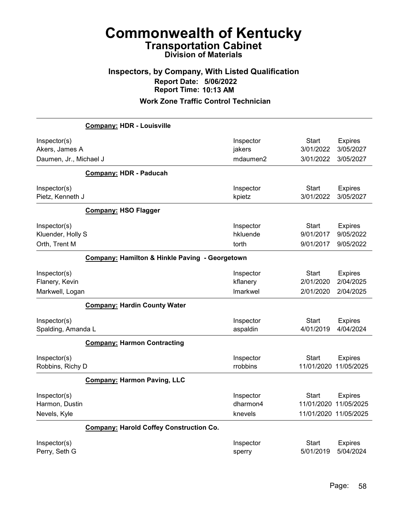### Inspectors, by Company, With Listed Qualification Report Date: 5/06/2022 Report Time: 10:13 AM

|                                                    | <b>Company: HDR - Louisville</b>               |                                  |                                        |                                                                  |
|----------------------------------------------------|------------------------------------------------|----------------------------------|----------------------------------------|------------------------------------------------------------------|
| Inspector(s)<br>Akers, James A                     |                                                | Inspector<br>jakers<br>mdaumen2  | <b>Start</b><br>3/01/2022<br>3/01/2022 | <b>Expires</b><br>3/05/2027<br>3/05/2027                         |
| Daumen, Jr., Michael J                             |                                                |                                  |                                        |                                                                  |
|                                                    | <b>Company: HDR - Paducah</b>                  |                                  |                                        |                                                                  |
| Inspector(s)<br>Pietz, Kenneth J                   |                                                | Inspector<br>kpietz              | <b>Start</b><br>3/01/2022              | <b>Expires</b><br>3/05/2027                                      |
|                                                    | <b>Company: HSO Flagger</b>                    |                                  |                                        |                                                                  |
| Inspector(s)<br>Kluender, Holly S<br>Orth, Trent M |                                                | Inspector<br>hkluende<br>torth   | <b>Start</b><br>9/01/2017<br>9/01/2017 | <b>Expires</b><br>9/05/2022<br>9/05/2022                         |
|                                                    | Company: Hamilton & Hinkle Paving - Georgetown |                                  |                                        |                                                                  |
| Inspector(s)<br>Flanery, Kevin                     |                                                | Inspector<br>kflanery            | Start<br>2/01/2020                     | <b>Expires</b><br>2/04/2025                                      |
| Markwell, Logan                                    |                                                | Imarkwel                         | 2/01/2020                              | 2/04/2025                                                        |
|                                                    | <b>Company: Hardin County Water</b>            |                                  |                                        |                                                                  |
| Inspector(s)<br>Spalding, Amanda L                 |                                                | Inspector<br>aspaldin            | Start<br>4/01/2019                     | <b>Expires</b><br>4/04/2024                                      |
|                                                    | <b>Company: Harmon Contracting</b>             |                                  |                                        |                                                                  |
| Inspector(s)<br>Robbins, Richy D                   |                                                | Inspector<br>rrobbins            | Start                                  | <b>Expires</b><br>11/01/2020 11/05/2025                          |
|                                                    | <b>Company: Harmon Paving, LLC</b>             |                                  |                                        |                                                                  |
| Inspector(s)<br>Harmon, Dustin<br>Nevels, Kyle     |                                                | Inspector<br>dharmon4<br>knevels | Start                                  | <b>Expires</b><br>11/01/2020 11/05/2025<br>11/01/2020 11/05/2025 |
|                                                    | <b>Company: Harold Coffey Construction Co.</b> |                                  |                                        |                                                                  |
| Inspector(s)<br>Perry, Seth G                      |                                                | Inspector<br>sperry              | Start<br>5/01/2019                     | <b>Expires</b><br>5/04/2024                                      |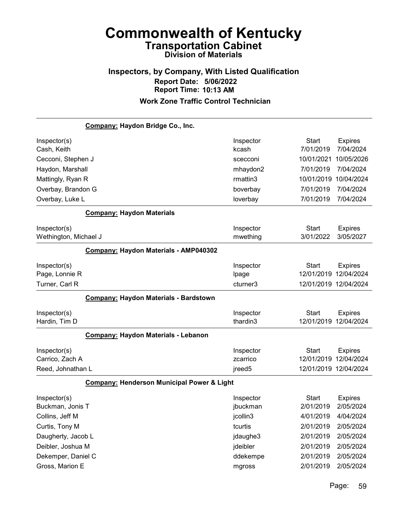# Inspectors, by Company, With Listed Qualification Report Date: 5/06/2022 Report Time: 10:13 AM

|                       | Company: Haydon Bridge Co., Inc.           |                    |                       |                |
|-----------------------|--------------------------------------------|--------------------|-----------------------|----------------|
| Inspector(s)          |                                            | Inspector          | <b>Start</b>          | <b>Expires</b> |
| Cash, Keith           |                                            | kcash              | 7/01/2019             | 7/04/2024      |
| Cecconi, Stephen J    |                                            | scecconi           | 10/01/2021            | 10/05/2026     |
| Haydon, Marshall      |                                            | mhaydon2           | 7/01/2019             | 7/04/2024      |
| Mattingly, Ryan R     |                                            | rmattin3           | 10/01/2019            | 10/04/2024     |
| Overbay, Brandon G    |                                            | boverbay           | 7/01/2019             | 7/04/2024      |
| Overbay, Luke L       |                                            | loverbay           | 7/01/2019             | 7/04/2024      |
|                       | <b>Company: Haydon Materials</b>           |                    |                       |                |
| Inspector(s)          |                                            | Inspector          | <b>Start</b>          | <b>Expires</b> |
| Wethington, Michael J |                                            | mwething           | 3/01/2022             | 3/05/2027      |
|                       | Company: Haydon Materials - AMP040302      |                    |                       |                |
| Inspector(s)          |                                            | Inspector          | <b>Start</b>          | <b>Expires</b> |
| Page, Lonnie R        |                                            | Ipage              | 12/01/2019            | 12/04/2024     |
| Turner, Carl R        |                                            | cturner3           | 12/01/2019 12/04/2024 |                |
|                       | Company: Haydon Materials - Bardstown      |                    |                       |                |
| Inspector(s)          |                                            | Inspector          | <b>Start</b>          | <b>Expires</b> |
| Hardin, Tim D         |                                            | thardin3           | 12/01/2019            | 12/04/2024     |
|                       | Company: Haydon Materials - Lebanon        |                    |                       |                |
| Inspector(s)          |                                            | Inspector          | <b>Start</b>          | <b>Expires</b> |
| Carrico, Zach A       |                                            | zcarrico           | 12/01/2019 12/04/2024 |                |
| Reed, Johnathan L     |                                            | jreed <sub>5</sub> | 12/01/2019 12/04/2024 |                |
|                       | Company: Henderson Municipal Power & Light |                    |                       |                |
| Inspector(s)          |                                            | Inspector          | <b>Start</b>          | <b>Expires</b> |
| Buckman, Jonis T      |                                            | jbuckman           | 2/01/2019             | 2/05/2024      |
| Collins, Jeff M       |                                            | jcollin3           | 4/01/2019             | 4/04/2024      |
| Curtis, Tony M        |                                            | tcurtis            | 2/01/2019             | 2/05/2024      |
| Daugherty, Jacob L    |                                            | jdaughe3           | 2/01/2019             | 2/05/2024      |
| Deibler, Joshua M     |                                            | jdeibler           | 2/01/2019             | 2/05/2024      |
| Dekemper, Daniel C    |                                            | ddekempe           | 2/01/2019             | 2/05/2024      |
| Gross, Marion E       |                                            | mgross             | 2/01/2019             | 2/05/2024      |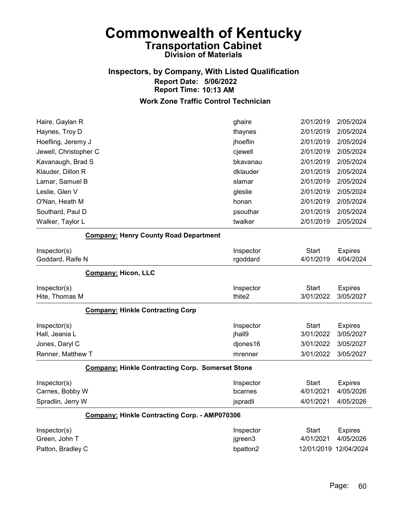# Inspectors, by Company, With Listed Qualification Report Date: 5/06/2022 Report Time: 10:13 AM

| Haire, Gaylan R                                         | ghaire    | 2/01/2019             | 2/05/2024      |
|---------------------------------------------------------|-----------|-----------------------|----------------|
| Haynes, Troy D                                          | thaynes   | 2/01/2019             | 2/05/2024      |
| Hoefling, Jeremy J                                      | jhoeflin  | 2/01/2019             | 2/05/2024      |
| Jewell, Christopher C                                   | cjewell   | 2/01/2019             | 2/05/2024      |
| Kavanaugh, Brad S                                       | bkavanau  | 2/01/2019             | 2/05/2024      |
| Klauder, Dillon R                                       | dklauder  | 2/01/2019             | 2/05/2024      |
| Lamar, Samuel B                                         | slamar    | 2/01/2019             | 2/05/2024      |
| Leslie, Glen V                                          | gleslie   | 2/01/2019             | 2/05/2024      |
| O'Nan, Heath M                                          | honan     | 2/01/2019             | 2/05/2024      |
| Southard, Paul D                                        | psouthar  | 2/01/2019             | 2/05/2024      |
| Walker, Taylor L                                        | twalker   | 2/01/2019             | 2/05/2024      |
| <b>Company: Henry County Road Department</b>            |           |                       |                |
| Inspector(s)                                            | Inspector | Start                 | <b>Expires</b> |
| Goddard, Raife N                                        | rgoddard  | 4/01/2019             | 4/04/2024      |
| <b>Company: Hicon, LLC</b>                              |           |                       |                |
| Inspector(s)                                            | Inspector | <b>Start</b>          | <b>Expires</b> |
| Hite, Thomas M                                          | thite2    | 3/01/2022             | 3/05/2027      |
| <b>Company: Hinkle Contracting Corp</b>                 |           |                       |                |
| Inspector(s)                                            | Inspector | <b>Start</b>          | <b>Expires</b> |
| Hall, Jeania L                                          | jhall9    | 3/01/2022             | 3/05/2027      |
| Jones, Daryl C                                          | djones16  | 3/01/2022             | 3/05/2027      |
| Renner, Matthew T                                       | mrenner   | 3/01/2022             | 3/05/2027      |
| <b>Company: Hinkle Contracting Corp. Somerset Stone</b> |           |                       |                |
| Inspector(s)                                            | Inspector | <b>Start</b>          | <b>Expires</b> |
| Carnes, Bobby W                                         | bcarnes   | 4/01/2021             | 4/05/2026      |
| Spradlin, Jerry W                                       | jspradli  | 4/01/2021             | 4/05/2026      |
| Company: Hinkle Contracting Corp. - AMP070306           |           |                       |                |
| Inspector(s)                                            | Inspector | Start                 | <b>Expires</b> |
| Green, John T                                           | jgreen3   | 4/01/2021             | 4/05/2026      |
| Patton, Bradley C                                       | bpatton2  | 12/01/2019 12/04/2024 |                |
|                                                         |           |                       |                |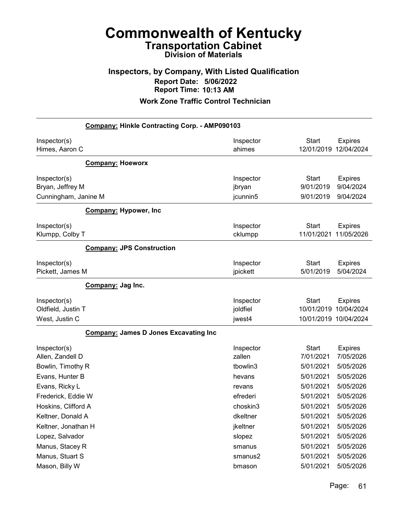### Inspectors, by Company, With Listed Qualification Report Date: 5/06/2022 Report Time: 10:13 AM

| Company: Hinkle Contracting Corp. - AMP090103        |                       |                                        |                                          |
|------------------------------------------------------|-----------------------|----------------------------------------|------------------------------------------|
| Inspector(s)<br>Himes, Aaron C                       | Inspector<br>ahimes   | <b>Start</b><br>12/01/2019 12/04/2024  | <b>Expires</b>                           |
| <b>Company: Hoeworx</b>                              |                       |                                        |                                          |
| Inspector(s)<br>Bryan, Jeffrey M                     | Inspector<br>jbryan   | <b>Start</b><br>9/01/2019<br>9/01/2019 | <b>Expires</b><br>9/04/2024<br>9/04/2024 |
| Cunningham, Janine M<br><b>Company: Hypower, Inc</b> | jcunnin5              |                                        |                                          |
|                                                      |                       |                                        |                                          |
| Inspector(s)<br>Klumpp, Colby T                      | Inspector<br>cklumpp  | <b>Start</b><br>11/01/2021             | <b>Expires</b><br>11/05/2026             |
| <b>Company: JPS Construction</b>                     |                       |                                        |                                          |
| Inspector(s)<br>Pickett, James M                     | Inspector<br>jpickett | <b>Start</b><br>5/01/2019              | <b>Expires</b><br>5/04/2024              |
| Company: Jag Inc.                                    |                       |                                        |                                          |
| Inspector(s)<br>Oldfield, Justin T                   | Inspector<br>joldfiel | <b>Start</b><br>10/01/2019             | <b>Expires</b><br>10/04/2024             |
| West, Justin C                                       | jwest4                | 10/01/2019 10/04/2024                  |                                          |
| <b>Company: James D Jones Excavating Inc</b>         |                       |                                        |                                          |
| Inspector(s)<br>Allen, Zandell D                     | Inspector<br>zallen   | <b>Start</b><br>7/01/2021              | <b>Expires</b><br>7/05/2026              |
| Bowlin, Timothy R                                    | tbowlin3              | 5/01/2021                              | 5/05/2026                                |
| Evans, Hunter B                                      | hevans                | 5/01/2021                              | 5/05/2026                                |
| Evans, Ricky L                                       | revans                | 5/01/2021                              | 5/05/2026                                |
| Frederick, Eddie W                                   | efrederi              | 5/01/2021                              | 5/05/2026                                |
| Hoskins, Clifford A                                  | choskin3              | 5/01/2021                              | 5/05/2026                                |
| Keltner, Donald A                                    | dkeltner              | 5/01/2021                              | 5/05/2026                                |
| Keltner, Jonathan H                                  | jkeltner              | 5/01/2021                              | 5/05/2026                                |
| Lopez, Salvador                                      | slopez                | 5/01/2021                              | 5/05/2026                                |
| Manus, Stacey R                                      | smanus                | 5/01/2021                              | 5/05/2026                                |
| Manus, Stuart S                                      | smanus2               | 5/01/2021                              | 5/05/2026                                |
| Mason, Billy W                                       | bmason                | 5/01/2021                              | 5/05/2026                                |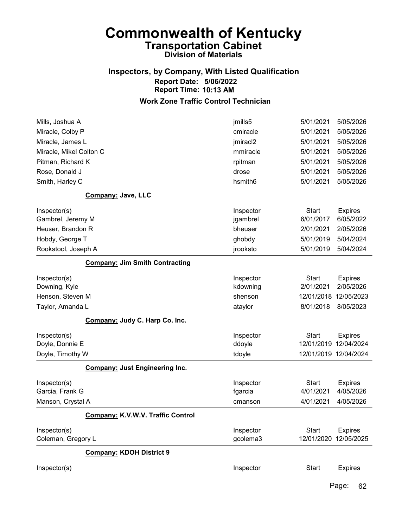### Inspectors, by Company, With Listed Qualification Report Date: 5/06/2022 Report Time: 10:13 AM

#### Work Zone Traffic Control Technician

| Mills, Joshua A                       | 5/01/2021<br>jmills5             | 5/05/2026             |
|---------------------------------------|----------------------------------|-----------------------|
| Miracle, Colby P                      | 5/01/2021<br>cmiracle            | 5/05/2026             |
| Miracle, James L                      | jmiracl2<br>5/01/2021            | 5/05/2026             |
| Miracle, Mikel Colton C               | 5/01/2021<br>mmiracle            | 5/05/2026             |
| Pitman, Richard K                     | 5/01/2021<br>rpitman             | 5/05/2026             |
| Rose, Donald J                        | 5/01/2021<br>drose               | 5/05/2026             |
| Smith, Harley C                       | 5/01/2021<br>hsmith <sub>6</sub> | 5/05/2026             |
| Company: Jave, LLC                    |                                  |                       |
| Inspector(s)                          | <b>Start</b><br>Inspector        | <b>Expires</b>        |
| Gambrel, Jeremy M                     | 6/01/2017<br>jgambrel            | 6/05/2022             |
| Heuser, Brandon R                     | bheuser<br>2/01/2021             | 2/05/2026             |
| Hobdy, George T                       | 5/01/2019<br>ghobdy              | 5/04/2024             |
| Rookstool, Joseph A                   | 5/01/2019<br>jrooksto            | 5/04/2024             |
| <b>Company: Jim Smith Contracting</b> |                                  |                       |
| Inspector(s)                          | Inspector<br><b>Start</b>        | <b>Expires</b>        |
| Downing, Kyle                         | 2/01/2021<br>kdowning            | 2/05/2026             |
| Henson, Steven M                      | shenson<br>12/01/2018            | 12/05/2023            |
| Taylor, Amanda L                      | 8/01/2018<br>ataylor             | 8/05/2023             |
| Company: Judy C. Harp Co. Inc.        |                                  |                       |
| Inspector(s)                          | Inspector<br><b>Start</b>        | <b>Expires</b>        |
| Doyle, Donnie E                       | ddoyle<br>12/01/2019             | 12/04/2024            |
| Doyle, Timothy W                      | tdoyle                           | 12/01/2019 12/04/2024 |
| <b>Company: Just Engineering Inc.</b> |                                  |                       |
| Inspector(s)                          | Inspector<br><b>Start</b>        | <b>Expires</b>        |
| Garcia, Frank G                       | 4/01/2021<br>fgarcia             | 4/05/2026             |
| Manson, Crystal A                     | 4/01/2021<br>cmanson             | 4/05/2026             |
| Company: K.V.W.V. Traffic Control     |                                  |                       |
| Inspector(s)                          | <b>Start</b><br>Inspector        | <b>Expires</b>        |
| Coleman, Gregory L                    | gcolema3<br>12/01/2020           | 12/05/2025            |
| <b>Company: KDOH District 9</b>       |                                  |                       |
| Inspector(s)                          | <b>Start</b><br>Inspector        | <b>Expires</b>        |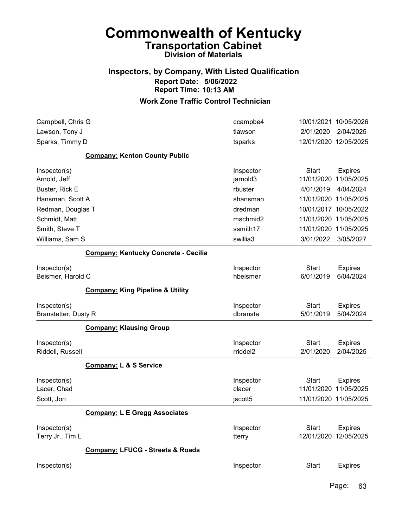### Inspectors, by Company, With Listed Qualification Report Date: 5/06/2022 Report Time: 10:13 AM

| Campbell, Chris G                         |                                             | ccampbe4                       |                            | 10/01/2021 10/05/2026                                 |
|-------------------------------------------|---------------------------------------------|--------------------------------|----------------------------|-------------------------------------------------------|
| Lawson, Tony J                            |                                             | tlawson                        | 2/01/2020                  | 2/04/2025                                             |
| Sparks, Timmy D                           |                                             | tsparks                        |                            | 12/01/2020 12/05/2025                                 |
|                                           | <b>Company: Kenton County Public</b>        |                                |                            |                                                       |
| Inspector(s)                              |                                             | Inspector                      | <b>Start</b>               | <b>Expires</b>                                        |
| Arnold, Jeff                              |                                             | jarnold3                       | 11/01/2020                 | 11/05/2025                                            |
| Buster, Rick E                            |                                             | rbuster                        | 4/01/2019                  | 4/04/2024                                             |
| Hansman, Scott A                          |                                             | shansman                       |                            | 11/01/2020 11/05/2025                                 |
| Redman, Douglas T                         |                                             | dredman                        |                            | 10/01/2017 10/05/2022                                 |
| Schmidt, Matt                             |                                             | mschmid2                       |                            | 11/01/2020 11/05/2025                                 |
| Smith, Steve T                            |                                             | ssmith17                       |                            | 11/01/2020 11/05/2025                                 |
| Williams, Sam S                           |                                             | swillia3                       | 3/01/2022                  | 3/05/2027                                             |
|                                           | Company: Kentucky Concrete - Cecilia        |                                |                            |                                                       |
| Inspector(s)                              |                                             | Inspector                      | <b>Start</b>               | <b>Expires</b>                                        |
| Beismer, Harold C                         |                                             | hbeismer                       | 6/01/2019                  | 6/04/2024                                             |
|                                           | <b>Company: King Pipeline &amp; Utility</b> |                                |                            |                                                       |
| Inspector(s)                              |                                             | Inspector                      | <b>Start</b>               | <b>Expires</b>                                        |
| Branstetter, Dusty R                      |                                             | dbranste                       | 5/01/2019                  | 5/04/2024                                             |
|                                           | <b>Company: Klausing Group</b>              |                                |                            |                                                       |
| Inspector(s)<br>Riddell, Russell          |                                             | Inspector<br>rriddel2          | <b>Start</b><br>2/01/2020  | <b>Expires</b><br>2/04/2025                           |
|                                           | <b>Company: L &amp; S Service</b>           |                                |                            |                                                       |
| Inspector(s)<br>Lacer, Chad<br>Scott, Jon |                                             | Inspector<br>clacer<br>jscott5 | <b>Start</b><br>11/01/2020 | <b>Expires</b><br>11/05/2025<br>11/01/2020 11/05/2025 |
|                                           | <b>Company: L E Gregg Associates</b>        |                                |                            |                                                       |
| Inspector(s)<br>Terry Jr., Tim L          |                                             | Inspector<br>tterry            | <b>Start</b><br>12/01/2020 | <b>Expires</b><br>12/05/2025                          |
|                                           | <b>Company: LFUCG - Streets &amp; Roads</b> |                                |                            |                                                       |
| Inspector(s)                              |                                             | Inspector                      | <b>Start</b>               | <b>Expires</b>                                        |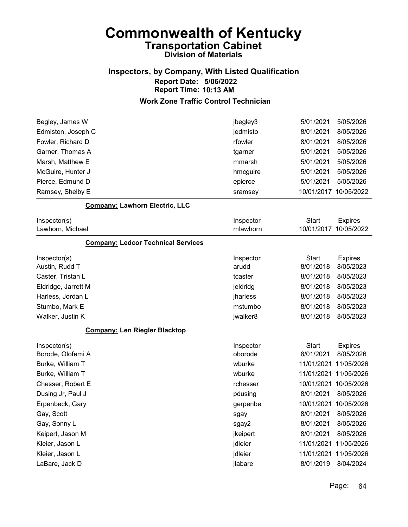## Inspectors, by Company, With Listed Qualification Report Date: 5/06/2022 Report Time: 10:13 AM

| Begley, James W                           | jbegley3  | 5/01/2021    | 5/05/2026      |
|-------------------------------------------|-----------|--------------|----------------|
| Edmiston, Joseph C                        | jedmisto  | 8/01/2021    | 8/05/2026      |
| Fowler, Richard D                         | rfowler   | 8/01/2021    | 8/05/2026      |
| Garner, Thomas A                          | tgarner   | 5/01/2021    | 5/05/2026      |
| Marsh, Matthew E                          | mmarsh    | 5/01/2021    | 5/05/2026      |
| McGuire, Hunter J                         | hmcguire  | 5/01/2021    | 5/05/2026      |
| Pierce, Edmund D                          | epierce   | 5/01/2021    | 5/05/2026      |
| Ramsey, Shelby E                          | sramsey   | 10/01/2017   | 10/05/2022     |
| <b>Company: Lawhorn Electric, LLC</b>     |           |              |                |
| Inspector(s)                              | Inspector | <b>Start</b> | <b>Expires</b> |
| Lawhorn, Michael                          | mlawhorn  | 10/01/2017   | 10/05/2022     |
| <b>Company: Ledcor Technical Services</b> |           |              |                |
| Inspector(s)                              | Inspector | <b>Start</b> | <b>Expires</b> |
| Austin, Rudd T                            | arudd     | 8/01/2018    | 8/05/2023      |
| Caster, Tristan L                         | tcaster   | 8/01/2018    | 8/05/2023      |
| Eldridge, Jarrett M                       | jeldridg  | 8/01/2018    | 8/05/2023      |
| Harless, Jordan L                         | jharless  | 8/01/2018    | 8/05/2023      |
| Stumbo, Mark E                            | mstumbo   | 8/01/2018    | 8/05/2023      |
| Walker, Justin K                          | jwalker8  | 8/01/2018    | 8/05/2023      |
| <b>Company: Len Riegler Blacktop</b>      |           |              |                |
| Inspector(s)                              | Inspector | <b>Start</b> | <b>Expires</b> |
| Borode, Olofemi A                         | oborode   | 8/01/2021    | 8/05/2026      |
| Burke, William T                          | wburke    | 11/01/2021   | 11/05/2026     |
| Burke, William T                          | wburke    | 11/01/2021   | 11/05/2026     |
| Chesser, Robert E                         | rchesser  | 10/01/2021   | 10/05/2026     |
| Dusing Jr, Paul J                         | pdusing   | 8/01/2021    | 8/05/2026      |
| Erpenbeck, Gary                           | gerpenbe  | 10/01/2021   | 10/05/2026     |
| Gay, Scott                                | sgay      | 8/01/2021    | 8/05/2026      |
| Gay, Sonny L                              | sgay2     | 8/01/2021    | 8/05/2026      |
| Keipert, Jason M                          | jkeipert  | 8/01/2021    | 8/05/2026      |
| Kleier, Jason L                           | jdleier   | 11/01/2021   | 11/05/2026     |
| Kleier, Jason L                           | jdleier   | 11/01/2021   | 11/05/2026     |
| LaBare, Jack D                            | jlabare   | 8/01/2019    | 8/04/2024      |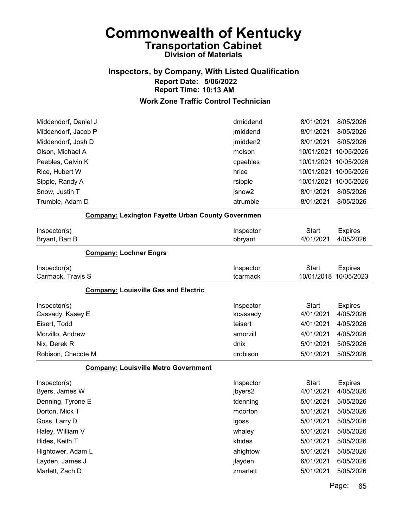# Inspectors, by Company, With Listed Qualification Report Date: 5/06/2022 Report Time: 10:13 AM

### Work Zone Traffic Control Technician

| Middendorf, Daniel J                                                  | dmiddend                                    | 8/01/2021                                           | 8/05/2026                                             |
|-----------------------------------------------------------------------|---------------------------------------------|-----------------------------------------------------|-------------------------------------------------------|
| Middendorf, Jacob P                                                   | jmiddend                                    | 8/01/2021                                           | 8/05/2026                                             |
| Middendorf, Josh D                                                    | jmidden2                                    | 8/01/2021                                           | 8/05/2026                                             |
| Olson, Michael A                                                      | molson                                      | 10/01/2021                                          | 10/05/2026                                            |
| Peebles, Calvin K                                                     | cpeebles                                    | 10/01/2021                                          | 10/05/2026                                            |
| Rice, Hubert W                                                        | hrice                                       | 10/01/2021                                          | 10/05/2026                                            |
| Sipple, Randy A                                                       | rsipple                                     | 10/01/2021                                          | 10/05/2026                                            |
| Snow, Justin T                                                        | jsnow <sub>2</sub>                          | 8/01/2021                                           | 8/05/2026                                             |
| Trumble, Adam D                                                       | atrumble                                    | 8/01/2021                                           | 8/05/2026                                             |
| <b>Company: Lexington Fayette Urban County Governmen</b>              |                                             |                                                     |                                                       |
| Inspector(s)<br>Bryant, Bart B                                        | Inspector<br>bbryant                        | <b>Start</b><br>4/01/2021                           | <b>Expires</b><br>4/05/2026                           |
| <b>Company: Lochner Engrs</b>                                         |                                             |                                                     |                                                       |
| Inspector(s)                                                          | Inspector                                   | <b>Start</b>                                        | <b>Expires</b>                                        |
| Carmack, Travis S                                                     | tcarmack                                    | 10/01/2018                                          | 10/05/2023                                            |
| <b>Company: Louisville Gas and Electric</b>                           |                                             |                                                     |                                                       |
| Inspector(s)<br>Cassady, Kasey E                                      | Inspector<br>kcassady                       | <b>Start</b><br>4/01/2021                           | <b>Expires</b><br>4/05/2026                           |
| Eisert, Todd                                                          | teisert                                     | 4/01/2021                                           | 4/05/2026                                             |
| Morzillo, Andrew                                                      | amorzill                                    | 4/01/2021                                           | 4/05/2026                                             |
| Nix, Derek R                                                          | dnix                                        | 5/01/2021                                           | 5/05/2026                                             |
| Robison, Checote M                                                    | crobison                                    | 5/01/2021                                           | 5/05/2026                                             |
| <b>Company: Louisville Metro Government</b>                           |                                             |                                                     |                                                       |
| Inspector(s)<br>Byers, James W<br>Denning, Tyrone E<br>Dorton, Mick T | Inspector<br>jbyers2<br>tdenning<br>mdorton | <b>Start</b><br>4/01/2021<br>5/01/2021<br>5/01/2021 | <b>Expires</b><br>4/05/2026<br>5/05/2026<br>5/05/2026 |
| Goss, Larry D                                                         | Igoss                                       | 5/01/2021                                           | 5/05/2026                                             |
| Haley, William V                                                      | whaley                                      | 5/01/2021                                           | 5/05/2026                                             |
| Hides, Keith T                                                        | khides                                      | 5/01/2021                                           | 5/05/2026                                             |
| Hightower, Adam L                                                     | ahightow                                    | 5/01/2021                                           | 5/05/2026                                             |
| Layden, James J                                                       | jlayden                                     | 6/01/2021                                           | 6/05/2026                                             |
| Marlett, Zach D                                                       | zmarlett                                    | 5/01/2021                                           | 5/05/2026                                             |
|                                                                       |                                             |                                                     |                                                       |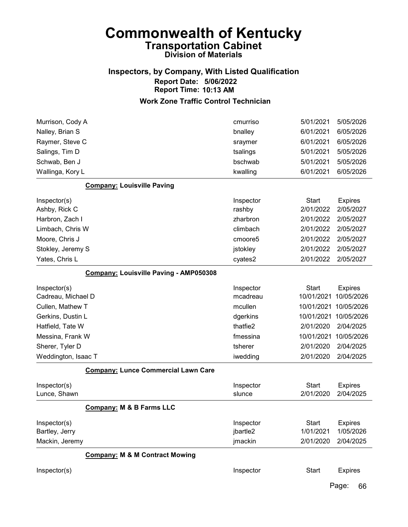### Inspectors, by Company, With Listed Qualification Report Date: 5/06/2022 Report Time: 10:13 AM

| Murrison, Cody A                              | cmurriso  | 5/01/2021    | 5/05/2026      |
|-----------------------------------------------|-----------|--------------|----------------|
| Nalley, Brian S                               | bnalley   | 6/01/2021    | 6/05/2026      |
| Raymer, Steve C                               | sraymer   | 6/01/2021    | 6/05/2026      |
| Salings, Tim D                                | tsalings  | 5/01/2021    | 5/05/2026      |
| Schwab, Ben J                                 | bschwab   | 5/01/2021    | 5/05/2026      |
| Wallinga, Kory L                              | kwalling  | 6/01/2021    | 6/05/2026      |
| <b>Company: Louisville Paving</b>             |           |              |                |
| Inspector(s)                                  | Inspector | <b>Start</b> | <b>Expires</b> |
| Ashby, Rick C                                 | rashby    | 2/01/2022    | 2/05/2027      |
| Harbron, Zach I                               | zharbron  | 2/01/2022    | 2/05/2027      |
| Limbach, Chris W                              | climbach  | 2/01/2022    | 2/05/2027      |
| Moore, Chris J                                | cmoore5   | 2/01/2022    | 2/05/2027      |
| Stokley, Jeremy S                             | jstokley  | 2/01/2022    | 2/05/2027      |
| Yates, Chris L                                | cyates2   | 2/01/2022    | 2/05/2027      |
| <b>Company: Louisville Paving - AMP050308</b> |           |              |                |
| Inspector(s)                                  | Inspector | <b>Start</b> | <b>Expires</b> |
| Cadreau, Michael D                            | mcadreau  | 10/01/2021   | 10/05/2026     |
| Cullen, Mathew T                              | mcullen   | 10/01/2021   | 10/05/2026     |
| Gerkins, Dustin L                             | dgerkins  | 10/01/2021   | 10/05/2026     |
| Hatfield, Tate W                              | thatfie2  | 2/01/2020    | 2/04/2025      |
| Messina, Frank W                              | fmessina  | 10/01/2021   | 10/05/2026     |
| Sherer, Tyler D                               | tsherer   | 2/01/2020    | 2/04/2025      |
| Weddington, Isaac T                           | iwedding  | 2/01/2020    | 2/04/2025      |
| <b>Company: Lunce Commercial Lawn Care</b>    |           |              |                |
| Inspector(s)                                  | Inspector | <b>Start</b> | <b>Expires</b> |
| Lunce, Shawn                                  | slunce    | 2/01/2020    | 2/04/2025      |
| <b>Company: M &amp; B Farms LLC</b>           |           |              |                |
| Inspector(s)                                  | Inspector | <b>Start</b> | <b>Expires</b> |
| Bartley, Jerry                                | jbartle2  | 1/01/2021    | 1/05/2026      |
| Mackin, Jeremy                                | jmackin   | 2/01/2020    | 2/04/2025      |
| <b>Company: M &amp; M Contract Mowing</b>     |           |              |                |
| Inspector(s)                                  | Inspector | <b>Start</b> | <b>Expires</b> |
|                                               |           |              | Page:<br>66    |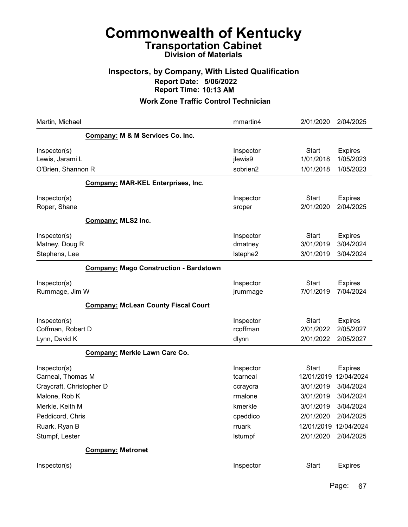### Inspectors, by Company, With Listed Qualification Report Date: 5/06/2022 Report Time: 10:13 AM

| Martin, Michael                                               |                                               | mmartin4                          | 2/01/2020                               | 2/04/2025                                 |
|---------------------------------------------------------------|-----------------------------------------------|-----------------------------------|-----------------------------------------|-------------------------------------------|
|                                                               | Company: M & M Services Co. Inc.              |                                   |                                         |                                           |
| Inspector(s)<br>Lewis, Jarami L<br>O'Brien, Shannon R         |                                               | Inspector<br>jlewis9<br>sobrien2  | <b>Start</b><br>1/01/2018<br>1/01/2018  | <b>Expires</b><br>1/05/2023<br>1/05/2023  |
|                                                               | <b>Company: MAR-KEL Enterprises, Inc.</b>     |                                   |                                         |                                           |
| Inspector(s)<br>Roper, Shane                                  |                                               | Inspector<br>sroper               | <b>Start</b><br>2/01/2020               | <b>Expires</b><br>2/04/2025               |
|                                                               | <b>Company: MLS2 Inc.</b>                     |                                   |                                         |                                           |
| Inspector(s)<br>Matney, Doug R<br>Stephens, Lee               |                                               | Inspector<br>dmatney<br>Istephe2  | <b>Start</b><br>3/01/2019<br>3/01/2019  | <b>Expires</b><br>3/04/2024<br>3/04/2024  |
|                                                               | <b>Company: Mago Construction - Bardstown</b> |                                   |                                         |                                           |
| Inspector(s)<br>Rummage, Jim W                                |                                               | Inspector<br>jrummage             | <b>Start</b><br>7/01/2019               | <b>Expires</b><br>7/04/2024               |
|                                                               | <b>Company: McLean County Fiscal Court</b>    |                                   |                                         |                                           |
| Inspector(s)<br>Coffman, Robert D<br>Lynn, David K            |                                               | Inspector<br>rcoffman<br>dlynn    | <b>Start</b><br>2/01/2022<br>2/01/2022  | <b>Expires</b><br>2/05/2027<br>2/05/2027  |
|                                                               | Company: Merkle Lawn Care Co.                 |                                   |                                         |                                           |
| Inspector(s)<br>Carneal, Thomas M<br>Craycraft, Christopher D |                                               | Inspector<br>tcarneal<br>ccraycra | <b>Start</b><br>12/01/2019<br>3/01/2019 | <b>Expires</b><br>12/04/2024<br>3/04/2024 |
| Malone, Rob K                                                 |                                               | rmalone                           | 3/01/2019                               | 3/04/2024                                 |
| Merkle, Keith M                                               |                                               | kmerkle                           | 3/01/2019                               | 3/04/2024                                 |
| Peddicord, Chris                                              |                                               | cpeddico                          | 2/01/2020                               | 2/04/2025                                 |
| Ruark, Ryan B<br>Stumpf, Lester                               |                                               | rruark<br>Istumpf                 | 12/01/2019 12/04/2024<br>2/01/2020      | 2/04/2025                                 |
|                                                               | <b>Company: Metronet</b>                      |                                   |                                         |                                           |
| Inspector(s)                                                  |                                               | Inspector                         | <b>Start</b>                            | <b>Expires</b>                            |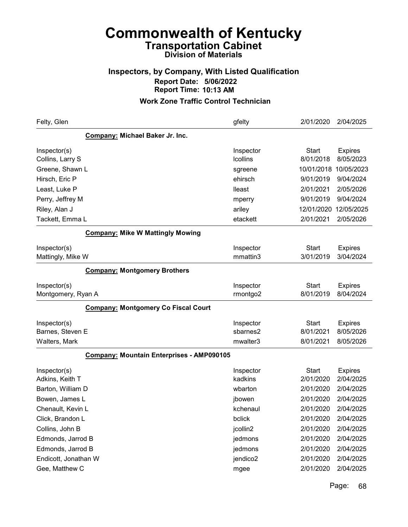### Inspectors, by Company, With Listed Qualification Report Date: 5/06/2022 Report Time: 10:13 AM

#### Work Zone Traffic Control Technician

| Felty, Glen                        |                                                  | gfelty                       | 2/01/2020                 | 2/04/2025                   |
|------------------------------------|--------------------------------------------------|------------------------------|---------------------------|-----------------------------|
|                                    | Company: Michael Baker Jr. Inc.                  |                              |                           |                             |
| Inspector(s)<br>Collins, Larry S   |                                                  | Inspector<br><b>Icollins</b> | <b>Start</b><br>8/01/2018 | <b>Expires</b><br>8/05/2023 |
| Greene, Shawn L                    |                                                  | sgreene                      | 10/01/2018                | 10/05/2023                  |
| Hirsch, Eric P                     |                                                  | ehirsch                      | 9/01/2019                 | 9/04/2024                   |
| Least, Luke P                      |                                                  | lleast                       | 2/01/2021                 | 2/05/2026                   |
| Perry, Jeffrey M                   |                                                  | mperry                       | 9/01/2019                 | 9/04/2024                   |
| Riley, Alan J                      |                                                  | ariley                       | 12/01/2020                | 12/05/2025                  |
| Tackett, Emma L                    |                                                  | etackett                     | 2/01/2021                 | 2/05/2026                   |
|                                    | <b>Company: Mike W Mattingly Mowing</b>          |                              |                           |                             |
| Inspector(s)                       |                                                  | Inspector                    | <b>Start</b>              | <b>Expires</b>              |
| Mattingly, Mike W                  |                                                  | mmattin3                     | 3/01/2019                 | 3/04/2024                   |
|                                    | <b>Company: Montgomery Brothers</b>              |                              |                           |                             |
| Inspector(s)<br>Montgomery, Ryan A |                                                  | Inspector<br>rmontgo2        | <b>Start</b><br>8/01/2019 | <b>Expires</b><br>8/04/2024 |
|                                    | <b>Company: Montgomery Co Fiscal Court</b>       |                              |                           |                             |
| Inspector(s)                       |                                                  | Inspector                    | <b>Start</b>              | <b>Expires</b>              |
| Barnes, Steven E                   |                                                  | sbarnes2                     | 8/01/2021                 | 8/05/2026                   |
| Walters, Mark                      |                                                  | mwalter3                     | 8/01/2021                 | 8/05/2026                   |
|                                    | <b>Company: Mountain Enterprises - AMP090105</b> |                              |                           |                             |
| Inspector(s)<br>Adkins, Keith T    |                                                  | Inspector<br>kadkins         | <b>Start</b><br>2/01/2020 | <b>Expires</b><br>2/04/2025 |
| Barton, William D                  |                                                  | wbarton                      | 2/01/2020                 | 2/04/2025                   |
| Bowen, James L                     |                                                  | jbowen                       | 2/01/2020                 | 2/04/2025                   |
| Chenault, Kevin L                  |                                                  | kchenaul                     | 2/01/2020                 | 2/04/2025                   |
| Click, Brandon L                   |                                                  | bclick                       | 2/01/2020                 | 2/04/2025                   |
| Collins, John B                    |                                                  | jcollin2                     | 2/01/2020                 | 2/04/2025                   |
| Edmonds, Jarrod B                  |                                                  | jedmons                      | 2/01/2020                 | 2/04/2025                   |
| Edmonds, Jarrod B                  |                                                  | jedmons                      | 2/01/2020                 | 2/04/2025                   |
| Endicott, Jonathan W               |                                                  | jendico2                     | 2/01/2020                 | 2/04/2025                   |
| Gee, Matthew C                     |                                                  | mgee                         | 2/01/2020                 | 2/04/2025                   |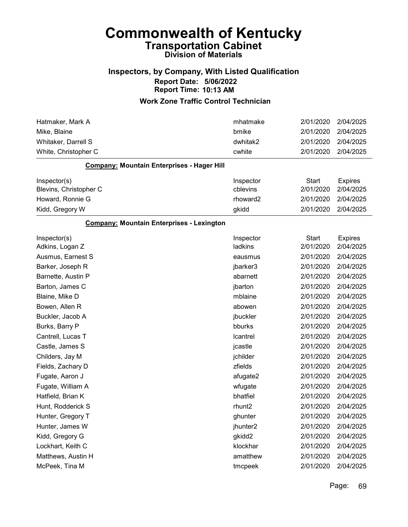### Inspectors, by Company, With Listed Qualification Report Date: 5/06/2022 Report Time: 10:13 AM

| Hatmaker, Mark A                                 | mhatmake              | 2/01/2020                 | 2/04/2025                   |
|--------------------------------------------------|-----------------------|---------------------------|-----------------------------|
| Mike, Blaine                                     | bmike                 | 2/01/2020                 | 2/04/2025                   |
| Whitaker, Darrell S                              | dwhitak2              | 2/01/2020                 | 2/04/2025                   |
| White, Christopher C                             | cwhite                | 2/01/2020                 | 2/04/2025                   |
| Company: Mountain Enterprises - Hager Hill       |                       |                           |                             |
| Inspector(s)<br>Blevins, Christopher C           | Inspector<br>cblevins | <b>Start</b><br>2/01/2020 | <b>Expires</b><br>2/04/2025 |
| Howard, Ronnie G                                 | rhoward2              | 2/01/2020                 | 2/04/2025                   |
| Kidd, Gregory W                                  | gkidd                 | 2/01/2020                 | 2/04/2025                   |
| <b>Company: Mountain Enterprises - Lexington</b> |                       |                           |                             |
| Inspector(s)<br>Adkins, Logan Z                  | Inspector<br>ladkins  | <b>Start</b><br>2/01/2020 | <b>Expires</b><br>2/04/2025 |
| Ausmus, Earnest S                                | eausmus               | 2/01/2020                 | 2/04/2025                   |
| Barker, Joseph R                                 | jbarker3              | 2/01/2020                 | 2/04/2025                   |
| Barnette, Austin P                               | abarnett              | 2/01/2020                 | 2/04/2025                   |
| Barton, James C                                  | jbarton               | 2/01/2020                 | 2/04/2025                   |
| Blaine, Mike D                                   | mblaine               | 2/01/2020                 | 2/04/2025                   |
| Bowen, Allen R                                   | abowen                | 2/01/2020                 | 2/04/2025                   |
| Buckler, Jacob A                                 | jbuckler              | 2/01/2020                 | 2/04/2025                   |
| Burks, Barry P                                   | bburks                | 2/01/2020                 | 2/04/2025                   |
| Cantrell, Lucas T                                | Icantrel              | 2/01/2020                 | 2/04/2025                   |
| Castle, James S                                  | jcastle               | 2/01/2020                 | 2/04/2025                   |
| Childers, Jay M                                  | jchilder              | 2/01/2020                 | 2/04/2025                   |
| Fields, Zachary D                                | zfields               | 2/01/2020                 | 2/04/2025                   |
| Fugate, Aaron J                                  | afugate2              | 2/01/2020                 | 2/04/2025                   |
| Fugate, William A                                | wfugate               | 2/01/2020                 | 2/04/2025                   |
| Hatfield, Brian K                                | bhatfiel              | 2/01/2020                 | 2/04/2025                   |
| Hunt, Rodderick S                                | rhunt2                | 2/01/2020                 | 2/04/2025                   |
| Hunter, Gregory T                                | ghunter               | 2/01/2020                 | 2/04/2025                   |
| Hunter, James W                                  | jhunter <sub>2</sub>  | 2/01/2020                 | 2/04/2025                   |
| Kidd, Gregory G                                  | gkidd2                | 2/01/2020                 | 2/04/2025                   |
| Lockhart, Keith C                                | klockhar              | 2/01/2020                 | 2/04/2025                   |
| Matthews, Austin H                               | amatthew              | 2/01/2020                 | 2/04/2025                   |
| McPeek, Tina M                                   | tmcpeek               | 2/01/2020                 | 2/04/2025                   |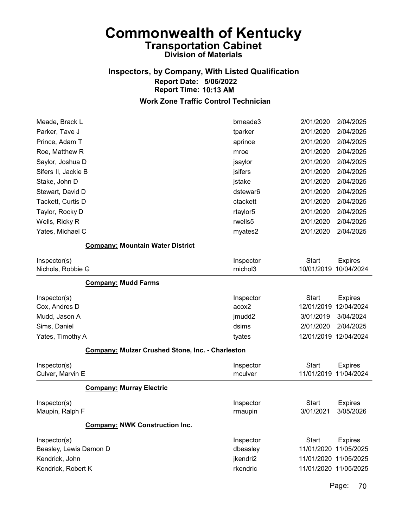## Inspectors, by Company, With Listed Qualification Report Date: 5/06/2022 Report Time: 10:13 AM

#### Work Zone Traffic Control Technician

| Meade, Brack L                                          | bmeade3   | 2/01/2020             | 2/04/2025             |
|---------------------------------------------------------|-----------|-----------------------|-----------------------|
| Parker, Tave J                                          | tparker   | 2/01/2020             | 2/04/2025             |
| Prince, Adam T                                          | aprince   | 2/01/2020             | 2/04/2025             |
| Roe, Matthew R                                          | mroe      | 2/01/2020             | 2/04/2025             |
| Saylor, Joshua D                                        | jsaylor   | 2/01/2020             | 2/04/2025             |
| Sifers II, Jackie B                                     | jsifers   | 2/01/2020             | 2/04/2025             |
| Stake, John D                                           | jstake    | 2/01/2020             | 2/04/2025             |
| Stewart, David D                                        | dstewar6  | 2/01/2020             | 2/04/2025             |
| Tackett, Curtis D                                       | ctackett  | 2/01/2020             | 2/04/2025             |
| Taylor, Rocky D                                         | rtaylor5  | 2/01/2020             | 2/04/2025             |
| Wells, Ricky R                                          | rwells5   | 2/01/2020             | 2/04/2025             |
| Yates, Michael C                                        | myates2   | 2/01/2020             | 2/04/2025             |
| <b>Company: Mountain Water District</b>                 |           |                       |                       |
| Inspector(s)                                            | Inspector | <b>Start</b>          | <b>Expires</b>        |
| Nichols, Robbie G                                       | rnichol3  | 10/01/2019            | 10/04/2024            |
| <b>Company: Mudd Farms</b>                              |           |                       |                       |
| Inspector(s)                                            | Inspector | <b>Start</b>          | <b>Expires</b>        |
| Cox, Andres D                                           | acox2     | 12/01/2019            | 12/04/2024            |
| Mudd, Jason A                                           | jmudd2    | 3/01/2019             | 3/04/2024             |
| Sims, Daniel                                            | dsims     | 2/01/2020             | 2/04/2025             |
| Yates, Timothy A                                        | tyates    | 12/01/2019 12/04/2024 |                       |
| <b>Company: Mulzer Crushed Stone, Inc. - Charleston</b> |           |                       |                       |
| Inspector(s)                                            | Inspector | <b>Start</b>          | <b>Expires</b>        |
| Culver, Marvin E                                        | mculver   | 11/01/2019            | 11/04/2024            |
| <b>Company: Murray Electric</b>                         |           |                       |                       |
| Inspector(s)                                            | Inspector | <b>Start</b>          | <b>Expires</b>        |
| Maupin, Ralph F                                         | rmaupin   | 3/01/2021             | 3/05/2026             |
| <b>Company: NWK Construction Inc.</b>                   |           |                       |                       |
| Inspector(s)                                            | Inspector | <b>Start</b>          | <b>Expires</b>        |
| Beasley, Lewis Damon D                                  | dbeasley  | 11/01/2020 11/05/2025 |                       |
| Kendrick, John                                          | jkendri2  |                       | 11/01/2020 11/05/2025 |
| Kendrick, Robert K                                      | rkendric  |                       | 11/01/2020 11/05/2025 |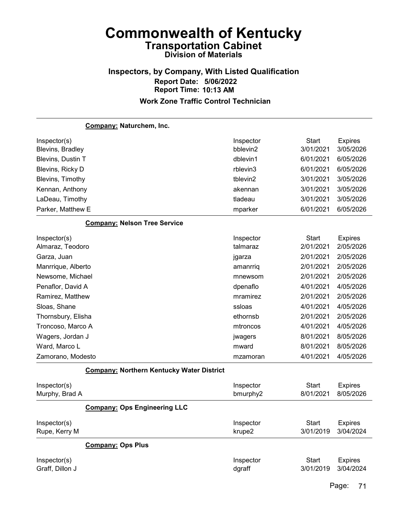### Inspectors, by Company, With Listed Qualification Report Date: 5/06/2022 Report Time: 10:13 AM Work Zone Traffic Control Technician

Company: Naturchem, Inc. Inspector(s) **Inspector** Start Expires Blevins, Bradley bblevin2 3/01/2021 3/05/2026 Blevins, Dustin T dblevin1 6/01/2021 6/05/2026 Blevins, Ricky D rblevin3 6/01/2021 6/05/2026 Blevins, Timothy tblevin2 3/01/2021 3/05/2026 Kennan, Anthony akennan 3/01/2021 3/05/2026 LaDeau, Timothy tladeau 3/01/2021 3/05/2026 Parker, Matthew E mparker 6/01/2021 6/05/2026 Company: Nelson Tree Service Inspector(s) **Inspector** Start Expires Almaraz, Teodoro talmaraz 2/01/2021 2/05/2026 Garza, Juan jgarza 2/01/2021 2/05/2026 Manrrique, Alberto amanrriq 2/01/2021 2/05/2026 Newsome, Michael mnewsom 2/01/2021 2/05/2026 Penaflor, David A dpenaflo 4/01/2021 4/05/2026 Ramirez, Matthew mramirez 2/01/2021 2/05/2026 Sloas, Shane ssloas 4/01/2021 4/05/2026 Thornsbury, Elisha ethornsb 2/01/2021 2/05/2026 Troncoso, Marco A mtroncos 4/01/2021 4/05/2026 Wagers, Jordan J **Wagers** 8/01/2021 8/05/2026 Ward, Marco L mward 8/01/2021 8/05/2026 Zamorano, Modesto mzamoran 4/01/2021 4/05/2026 Company: Northern Kentucky Water District Inspector(s) **Inspector** Start Expires Murphy, Brad A bmurphy2 8/01/2021 8/05/2026 Company: Ops Engineering LLC Inspector(s) **Inspector** Start Expires Rupe, Kerry M krupe2 3/01/2019 3/04/2024

#### Company: Ops Plus

| Inspector(s)    | Inspector | Start               | Expires |
|-----------------|-----------|---------------------|---------|
| Graff, Dillon J | dgraff    | 3/01/2019 3/04/2024 |         |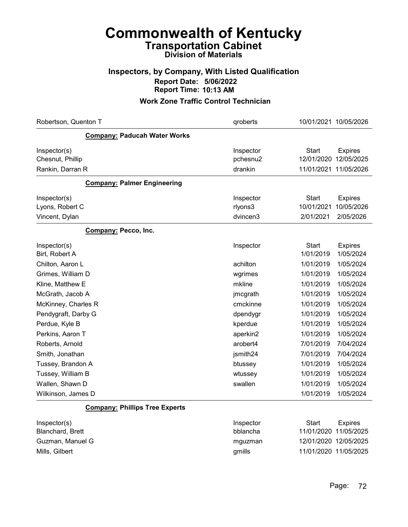### Inspectors, by Company, With Listed Qualification Report Date: 5/06/2022 Report Time: 10:13 AM

| Robertson, Quenton T                  | qroberts              | 10/01/2021 10/05/2026                                      |
|---------------------------------------|-----------------------|------------------------------------------------------------|
| <b>Company: Paducah Water Works</b>   |                       |                                                            |
| Inspector(s)<br>Chesnut, Phillip      | Inspector<br>pchesnu2 | <b>Start</b><br><b>Expires</b><br>12/01/2020<br>12/05/2025 |
| Rankin, Darran R                      | drankin               | 11/01/2021 11/05/2026                                      |
| <b>Company: Palmer Engineering</b>    |                       |                                                            |
| Inspector(s)                          | Inspector             | <b>Start</b><br><b>Expires</b>                             |
| Lyons, Robert C                       | rlyons3               | 10/01/2021<br>10/05/2026                                   |
| Vincent, Dylan                        | dvincen3              | 2/01/2021<br>2/05/2026                                     |
| Company: Pecco, Inc.                  |                       |                                                            |
| Inspector(s)<br>Birt, Robert A        | Inspector             | <b>Start</b><br><b>Expires</b><br>1/01/2019<br>1/05/2024   |
| Chilton, Aaron L                      | achilton              | 1/01/2019<br>1/05/2024                                     |
| Grimes, William D                     | wgrimes               | 1/01/2019<br>1/05/2024                                     |
| Kline, Matthew E                      | mkline                | 1/01/2019<br>1/05/2024                                     |
| McGrath, Jacob A                      | jmcgrath              | 1/05/2024<br>1/01/2019                                     |
| McKinney, Charles R                   | cmckinne              | 1/05/2024<br>1/01/2019                                     |
| Pendygraft, Darby G                   | dpendygr              | 1/01/2019<br>1/05/2024                                     |
| Perdue, Kyle B                        | kperdue               | 1/01/2019<br>1/05/2024                                     |
| Perkins, Aaron T                      | aperkin2              | 1/01/2019<br>1/05/2024                                     |
| Roberts, Arnold                       | arobert4              | 7/04/2024<br>7/01/2019                                     |
| Smith, Jonathan                       | jsmith24              | 7/01/2019<br>7/04/2024                                     |
| Tussey, Brandon A                     | btussey               | 1/05/2024<br>1/01/2019                                     |
| Tussey, William B                     | wtussey               | 1/01/2019<br>1/05/2024                                     |
| Wallen, Shawn D                       | swallen               | 1/01/2019<br>1/05/2024                                     |
| Wilkinson, James D                    |                       | 1/01/2019<br>1/05/2024                                     |
| <b>Company: Phillips Tree Experts</b> |                       |                                                            |
| Inspector(s)                          | Inspector             | <b>Start</b><br><b>Expires</b>                             |
| Blanchard, Brett                      | bblancha              | 11/01/2020<br>11/05/2025                                   |
| Guzman, Manuel G                      | mguzman               | 12/01/2020 12/05/2025                                      |
| Mills, Gilbert                        | gmills                | 11/01/2020 11/05/2025                                      |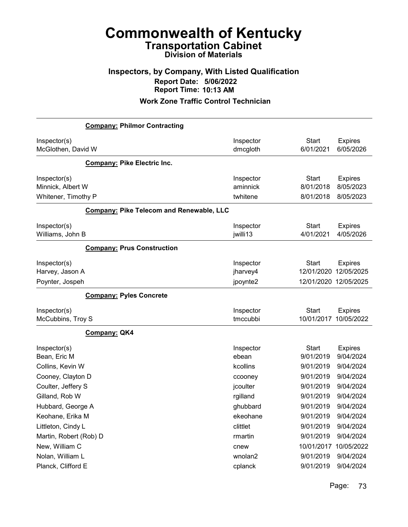### Inspectors, by Company, With Listed Qualification Report Date: 5/06/2022 Report Time: 10:13 AM

| Inspector<br>dmcgloth             | <b>Start</b><br>6/01/2021                                                                                          | <b>Expires</b><br>6/05/2026                                                                          |
|-----------------------------------|--------------------------------------------------------------------------------------------------------------------|------------------------------------------------------------------------------------------------------|
|                                   |                                                                                                                    |                                                                                                      |
| Inspector<br>aminnick<br>twhitene | <b>Start</b><br>8/01/2018<br>8/01/2018                                                                             | <b>Expires</b><br>8/05/2023<br>8/05/2023                                                             |
|                                   |                                                                                                                    |                                                                                                      |
| Inspector<br>jwilli13             | <b>Start</b><br>4/01/2021                                                                                          | <b>Expires</b><br>4/05/2026                                                                          |
|                                   |                                                                                                                    |                                                                                                      |
| Inspector<br>jharvey4<br>jpoynte2 | <b>Start</b><br>12/01/2020                                                                                         | <b>Expires</b><br>12/05/2025                                                                         |
|                                   |                                                                                                                    |                                                                                                      |
| Inspector<br>tmccubbi             | <b>Start</b><br>10/01/2017                                                                                         | <b>Expires</b><br>10/05/2022                                                                         |
|                                   |                                                                                                                    |                                                                                                      |
| Inspector<br>ebean                | <b>Start</b><br>9/01/2019                                                                                          | <b>Expires</b><br>9/04/2024<br>9/04/2024                                                             |
| ccooney                           | 9/01/2019                                                                                                          | 9/04/2024<br>9/04/2024                                                                               |
| rgilland                          | 9/01/2019                                                                                                          | 9/04/2024                                                                                            |
| ekeohane                          | 9/01/2019                                                                                                          | 9/04/2024<br>9/04/2024                                                                               |
| rmartin                           | 9/01/2019                                                                                                          | 9/04/2024<br>9/04/2024<br>10/05/2022                                                                 |
| wnolan2                           | 9/01/2019                                                                                                          | 9/04/2024<br>9/04/2024                                                                               |
|                                   | <b>Company: Pike Telecom and Renewable, LLC</b><br>kcollins<br>jcoulter<br>ghubbard<br>clittlet<br>cnew<br>cplanck | 12/01/2020 12/05/2025<br>9/01/2019<br>9/01/2019<br>9/01/2019<br>9/01/2019<br>10/01/2017<br>9/01/2019 |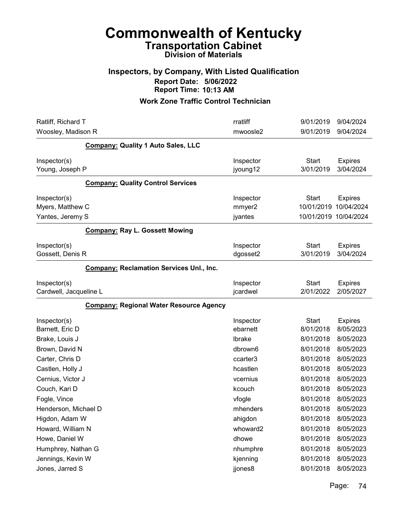# Commonwealth of Kentucky Transportation Cabinet

### Division of Materials

### Inspectors, by Company, With Listed Qualification Report Date: 5/06/2022 Report Time: 10:13 AM

| Ratliff, Richard T<br>Woosley, Madison R                                     | rratliff<br>mwoosle2                     | 9/01/2019<br>9/04/2024<br>9/01/2019<br>9/04/2024                                                     |  |
|------------------------------------------------------------------------------|------------------------------------------|------------------------------------------------------------------------------------------------------|--|
| <b>Company: Quality 1 Auto Sales, LLC</b>                                    |                                          |                                                                                                      |  |
| Inspector(s)<br>Young, Joseph P                                              | Inspector<br>jyoung12                    | <b>Start</b><br><b>Expires</b><br>3/01/2019<br>3/04/2024                                             |  |
| <b>Company: Quality Control Services</b>                                     |                                          |                                                                                                      |  |
| Inspector(s)<br>Myers, Matthew C<br>Yantes, Jeremy S                         | Inspector<br>mmyer2<br>jyantes           | <b>Start</b><br><b>Expires</b><br>10/01/2019<br>10/04/2024<br>10/01/2019 10/04/2024                  |  |
| <b>Company: Ray L. Gossett Mowing</b>                                        |                                          |                                                                                                      |  |
| Inspector(s)<br>Gossett, Denis R                                             | Inspector<br>dgosset2                    | <b>Start</b><br><b>Expires</b><br>3/04/2024<br>3/01/2019                                             |  |
| <b>Company: Reclamation Services Unl., Inc.</b>                              |                                          |                                                                                                      |  |
| Inspector(s)<br>Cardwell, Jacqueline L                                       | Inspector<br>jcardwel                    | <b>Start</b><br><b>Expires</b><br>2/01/2022<br>2/05/2027                                             |  |
| <b>Company: Regional Water Resource Agency</b>                               |                                          |                                                                                                      |  |
| Inspector(s)<br>Barnett, Eric D<br>Brake, Louis J                            | Inspector<br>ebarnett<br>Ibrake          | <b>Start</b><br><b>Expires</b><br>8/01/2018<br>8/05/2023<br>8/05/2023<br>8/01/2018                   |  |
| Brown, David N<br>Carter, Chris D<br>Castlen, Holly J                        | dbrown6<br>ccarter3<br>hcastlen          | 8/01/2018<br>8/05/2023<br>8/01/2018<br>8/05/2023<br>8/01/2018<br>8/05/2023                           |  |
| Cernius, Victor J<br>Couch, Kari D<br>Fogle, Vince                           | vcernius<br>kcouch<br>vfogle             | 8/01/2018<br>8/05/2023<br>8/01/2018<br>8/05/2023<br>8/01/2018<br>8/05/2023                           |  |
| Henderson, Michael D<br>Higdon, Adam W<br>Howard, William N                  | mhenders<br>ahigdon<br>whoward2          | 8/01/2018<br>8/05/2023<br>8/01/2018<br>8/05/2023<br>8/01/2018<br>8/05/2023                           |  |
| Howe, Daniel W<br>Humphrey, Nathan G<br>Jennings, Kevin W<br>Jones, Jarred S | dhowe<br>nhumphre<br>kjenning<br>jjones8 | 8/01/2018<br>8/05/2023<br>8/01/2018<br>8/05/2023<br>8/01/2018<br>8/05/2023<br>8/01/2018<br>8/05/2023 |  |
|                                                                              |                                          |                                                                                                      |  |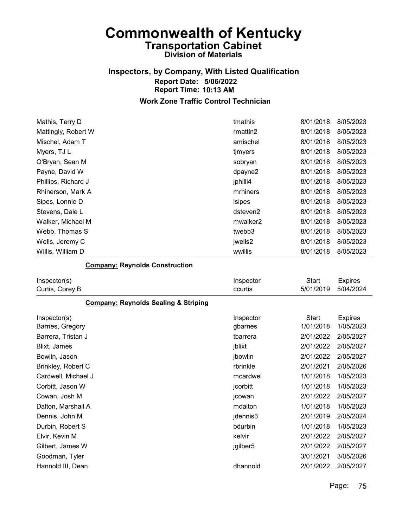# Inspectors, by Company, With Listed Qualification Report Date: 5/06/2022 Report Time: 10:13 AM

#### Work Zone Traffic Control Technician

| Mathis, Terry D     | tmathis              | 8/01/2018 | 8/05/2023 |
|---------------------|----------------------|-----------|-----------|
| Mattingly, Robert W | rmattin2             | 8/01/2018 | 8/05/2023 |
| Mischel, Adam T     | amischel             | 8/01/2018 | 8/05/2023 |
| Myers, TJ L         | tjmyers              | 8/01/2018 | 8/05/2023 |
| O'Bryan, Sean M     | sobryan              | 8/01/2018 | 8/05/2023 |
| Payne, David W      | dpayne2              | 8/01/2018 | 8/05/2023 |
| Phillips, Richard J | jphilli4             | 8/01/2018 | 8/05/2023 |
| Rhinerson, Mark A   | mrhiners             | 8/01/2018 | 8/05/2023 |
| Sipes, Lonnie D     | <b>Isipes</b>        | 8/01/2018 | 8/05/2023 |
| Stevens, Dale L     | dsteven2             | 8/01/2018 | 8/05/2023 |
| Walker, Michael M   | mwalker <sub>2</sub> | 8/01/2018 | 8/05/2023 |
| Webb, Thomas S      | twebb3               | 8/01/2018 | 8/05/2023 |
| Wells, Jeremy C     | jwells2              | 8/01/2018 | 8/05/2023 |
| Willis, William D   | wwillis              | 8/01/2018 | 8/05/2023 |

#### Company: Reynolds Construction

| Inspector(s)<br>Curtis, Corey B                 | Inspector<br>ccurtis | Start<br>5/01/2019 | <b>Expires</b><br>5/04/2024 |
|-------------------------------------------------|----------------------|--------------------|-----------------------------|
| <b>Company: Reynolds Sealing &amp; Striping</b> |                      |                    |                             |
| Inspector(s)                                    | Inspector            | <b>Start</b>       | <b>Expires</b>              |
| Barnes, Gregory                                 | gbarnes              | 1/01/2018          | 1/05/2023                   |
| Barrera, Tristan J                              | tbarrera             | 2/01/2022          | 2/05/2027                   |
| Blixt, James                                    | jblixt               | 2/01/2022          | 2/05/2027                   |
| Bowlin, Jason                                   | jbowlin              | 2/01/2022          | 2/05/2027                   |
| Brinkley, Robert C                              | rbrinkle             | 2/01/2021          | 2/05/2026                   |
| Cardwell, Michael J                             | mcardwel             | 1/01/2018          | 1/05/2023                   |
| Corbitt, Jason W                                | jcorbitt             | 1/01/2018          | 1/05/2023                   |
| Cowan, Josh M                                   | jcowan               | 2/01/2022          | 2/05/2027                   |
| Dalton, Marshall A                              | mdalton              | 1/01/2018          | 1/05/2023                   |
| Dennis, John M                                  | jdennis3             | 2/01/2019          | 2/05/2024                   |
| Durbin, Robert S                                | bdurbin              | 1/01/2018          | 1/05/2023                   |
| Elvir, Kevin M                                  | kelvir               | 2/01/2022          | 2/05/2027                   |
| Gilbert, James W                                | jgilber5             | 2/01/2022          | 2/05/2027                   |
| Goodman, Tyler                                  |                      | 3/01/2021          | 3/05/2026                   |
| Hannold III, Dean                               | dhannold             | 2/01/2022          | 2/05/2027                   |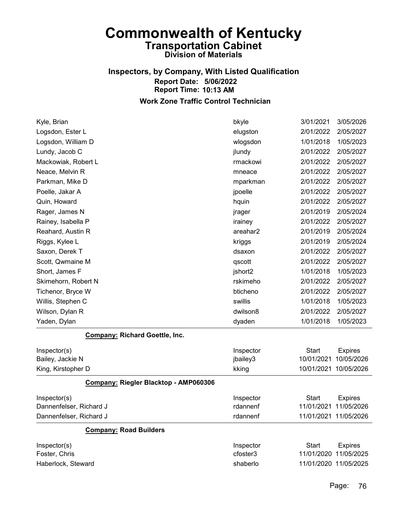## Inspectors, by Company, With Listed Qualification Report Date: 5/06/2022 Report Time: 10:13 AM

| Kyle, Brian                           | bkyle     | 3/01/2021    | 3/05/2026             |
|---------------------------------------|-----------|--------------|-----------------------|
| Logsdon, Ester L                      | elugston  | 2/01/2022    | 2/05/2027             |
| Logsdon, William D                    | wlogsdon  | 1/01/2018    | 1/05/2023             |
| Lundy, Jacob C                        | jlundy    | 2/01/2022    | 2/05/2027             |
| Mackowiak, Robert L                   | rmackowi  | 2/01/2022    | 2/05/2027             |
| Neace, Melvin R                       | mneace    | 2/01/2022    | 2/05/2027             |
| Parkman, Mike D                       | mparkman  | 2/01/2022    | 2/05/2027             |
| Poelle, Jakar A                       | jpoelle   | 2/01/2022    | 2/05/2027             |
| Quin, Howard                          | hquin     | 2/01/2022    | 2/05/2027             |
| Rager, James N                        | jrager    | 2/01/2019    | 2/05/2024             |
| Rainey, Isabella P                    | irainey   | 2/01/2022    | 2/05/2027             |
| Reahard, Austin R                     | areahar2  | 2/01/2019    | 2/05/2024             |
| Riggs, Kylee L                        | kriggs    | 2/01/2019    | 2/05/2024             |
| Saxon, Derek T                        | dsaxon    | 2/01/2022    | 2/05/2027             |
| Scott, Qwmaine M                      | qscott    | 2/01/2022    | 2/05/2027             |
| Short, James F                        | jshort2   | 1/01/2018    | 1/05/2023             |
| Skimehorn, Robert N                   | rskimeho  | 2/01/2022    | 2/05/2027             |
| Tichenor, Bryce W                     | bticheno  | 2/01/2022    | 2/05/2027             |
| Willis, Stephen C                     | swillis   | 1/01/2018    | 1/05/2023             |
| Wilson, Dylan R                       | dwilson8  | 2/01/2022    | 2/05/2027             |
| Yaden, Dylan                          | dyaden    | 1/01/2018    | 1/05/2023             |
| <b>Company: Richard Goettle, Inc.</b> |           |              |                       |
| Inspector(s)                          | Inspector | <b>Start</b> | <b>Expires</b>        |
| Bailey, Jackie N                      | jbailey3  | 10/01/2021   | 10/05/2026            |
| King, Kirstopher D                    | kking     |              | 10/01/2021 10/05/2026 |
| Company: Riegler Blacktop - AMP060306 |           |              |                       |
| Inspector(s)                          | Inspector | <b>Start</b> | <b>Expires</b>        |
| Dannenfelser, Richard J               | rdannenf  | 11/01/2021   | 11/05/2026            |
| Dannenfelser, Richard J               | rdannenf  |              | 11/01/2021 11/05/2026 |
| <b>Company: Road Builders</b>         |           |              |                       |
| Inspector(s)                          | Inspector | <b>Start</b> | <b>Expires</b>        |
| Foster, Chris                         | cfoster3  |              | 11/01/2020 11/05/2025 |
| Haberlock, Steward                    | shaberlo  |              | 11/01/2020 11/05/2025 |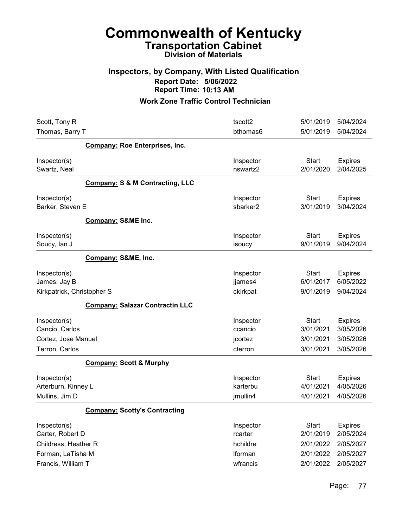### Inspectors, by Company, With Listed Qualification Report Date: 5/06/2022 Report Time: 10:13 AM

| Scott, Tony R              |                                            | tscott2   | 5/01/2019    | 5/04/2024      |
|----------------------------|--------------------------------------------|-----------|--------------|----------------|
| Thomas, Barry T            |                                            | bthomas6  | 5/01/2019    | 5/04/2024      |
|                            | <b>Company: Roe Enterprises, Inc.</b>      |           |              |                |
| Inspector(s)               |                                            | Inspector | <b>Start</b> | <b>Expires</b> |
| Swartz, Neal               |                                            | nswartz2  | 2/01/2020    | 2/04/2025      |
|                            | <b>Company: S &amp; M Contracting, LLC</b> |           |              |                |
| Inspector(s)               |                                            | Inspector | <b>Start</b> | <b>Expires</b> |
| Barker, Steven E           |                                            | sbarker2  | 3/01/2019    | 3/04/2024      |
|                            | <b>Company: S&amp;ME Inc.</b>              |           |              |                |
| Inspector(s)               |                                            | Inspector | Start        | <b>Expires</b> |
| Soucy, lan J               |                                            | isoucy    | 9/01/2019    | 9/04/2024      |
|                            | Company: S&ME, Inc.                        |           |              |                |
| Inspector(s)               |                                            | Inspector | <b>Start</b> | <b>Expires</b> |
| James, Jay B               |                                            | jjames4   | 6/01/2017    | 6/05/2022      |
| Kirkpatrick, Christopher S |                                            | ckirkpat  | 9/01/2019    | 9/04/2024      |
|                            | <b>Company: Salazar Contractin LLC</b>     |           |              |                |
| Inspector(s)               |                                            | Inspector | <b>Start</b> | <b>Expires</b> |
| Cancio, Carlos             |                                            | ccancio   | 3/01/2021    | 3/05/2026      |
| Cortez, Jose Manuel        |                                            | jcortez   | 3/01/2021    | 3/05/2026      |
| Terron, Carlos             |                                            | cterron   | 3/01/2021    | 3/05/2026      |
|                            | <b>Company: Scott &amp; Murphy</b>         |           |              |                |
| Inspector(s)               |                                            | Inspector | <b>Start</b> | <b>Expires</b> |
| Arterburn, Kinney L        |                                            | karterbu  | 4/01/2021    | 4/05/2026      |
| Mullins, Jim D             |                                            | jmullin4  | 4/01/2021    | 4/05/2026      |
|                            | <b>Company: Scotty's Contracting</b>       |           |              |                |
| Inspector(s)               |                                            | Inspector | <b>Start</b> | <b>Expires</b> |
| Carter, Robert D           |                                            | rcarter   | 2/01/2019    | 2/05/2024      |
| Childress, Heather R       |                                            | hchildre  | 2/01/2022    | 2/05/2027      |
| Forman, LaTisha M          |                                            | Iforman   | 2/01/2022    | 2/05/2027      |
| Francis, William T         |                                            | wfrancis  | 2/01/2022    | 2/05/2027      |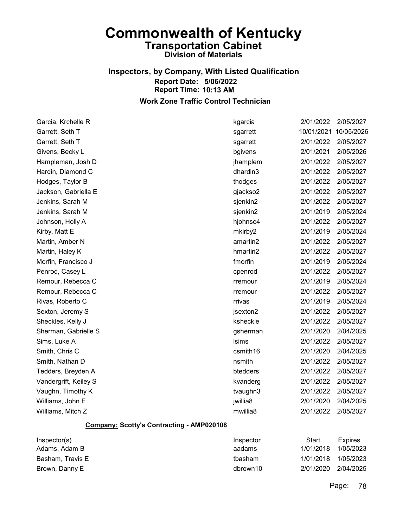# Inspectors, by Company, With Listed Qualification Report Date: 5/06/2022 Report Time: 10:13 AM

Work Zone Traffic Control Technician

| Garcia, Krchelle R    | kgarcia      | 2/01/2022  | 2/05/2027  |
|-----------------------|--------------|------------|------------|
| Garrett, Seth T       | sgarrett     | 10/01/2021 | 10/05/2026 |
| Garrett, Seth T       | sgarrett     | 2/01/2022  | 2/05/2027  |
| Givens, Becky L       | bgivens      | 2/01/2021  | 2/05/2026  |
| Hampleman, Josh D     | jhamplem     | 2/01/2022  | 2/05/2027  |
| Hardin, Diamond C     | dhardin3     | 2/01/2022  | 2/05/2027  |
| Hodges, Taylor B      | thodges      | 2/01/2022  | 2/05/2027  |
| Jackson, Gabriella E  | gjackso2     | 2/01/2022  | 2/05/2027  |
| Jenkins, Sarah M      | sjenkin2     | 2/01/2022  | 2/05/2027  |
| Jenkins, Sarah M      | sjenkin2     | 2/01/2019  | 2/05/2024  |
| Johnson, Holly A      | hjohnso4     | 2/01/2022  | 2/05/2027  |
| Kirby, Matt E         | mkirby2      | 2/01/2019  | 2/05/2024  |
| Martin, Amber N       | amartin2     | 2/01/2022  | 2/05/2027  |
| Martin, Haley K       | hmartin2     | 2/01/2022  | 2/05/2027  |
| Morfin, Francisco J   | fmorfin      | 2/01/2019  | 2/05/2024  |
| Penrod, Casey L       | cpenrod      | 2/01/2022  | 2/05/2027  |
| Remour, Rebecca C     | rremour      | 2/01/2019  | 2/05/2024  |
| Remour, Rebecca C     | rremour      | 2/01/2022  | 2/05/2027  |
| Rivas, Roberto C      | rrivas       | 2/01/2019  | 2/05/2024  |
| Sexton, Jeremy S      | jsexton2     | 2/01/2022  | 2/05/2027  |
| Sheckles, Kelly J     | ksheckle     | 2/01/2022  | 2/05/2027  |
| Sherman, Gabrielle S  | gsherman     | 2/01/2020  | 2/04/2025  |
| Sims, Luke A          | <b>Isims</b> | 2/01/2022  | 2/05/2027  |
| Smith, Chris C        | csmith16     | 2/01/2020  | 2/04/2025  |
| Smith, Nathan D       | nsmith       | 2/01/2022  | 2/05/2027  |
| Tedders, Breyden A    | btedders     | 2/01/2022  | 2/05/2027  |
| Vandergrift, Keiley S | kvanderg     | 2/01/2022  | 2/05/2027  |
| Vaughn, Timothy K     | tvaughn3     | 2/01/2022  | 2/05/2027  |
| Williams, John E      | jwillia8     | 2/01/2020  | 2/04/2025  |
| Williams, Mitch Z     | mwillia8     | 2/01/2022  | 2/05/2027  |

#### Company: Scotty's Contracting - AMP020108

| Inspector(s)     | Inspector | Start               | <b>Expires</b> |
|------------------|-----------|---------------------|----------------|
| Adams, Adam B    | aadams    | 1/01/2018           | 1/05/2023      |
| Basham. Travis E | tbasham   | 1/01/2018 1/05/2023 |                |
| Brown, Danny E   | dbrown10  | 2/01/2020 2/04/2025 |                |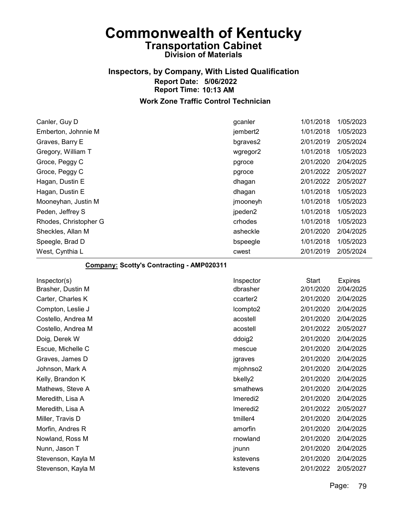## Inspectors, by Company, With Listed Qualification Report Date: 5/06/2022 Report Time: 10:13 AM

#### Work Zone Traffic Control Technician

| Canler, Guy D         | gcanler              | 1/01/2018 | 1/05/2023 |
|-----------------------|----------------------|-----------|-----------|
| Emberton, Johnnie M   | jembert <sub>2</sub> | 1/01/2018 | 1/05/2023 |
| Graves, Barry E       | bgraves2             | 2/01/2019 | 2/05/2024 |
| Gregory, William T    | wgregor2             | 1/01/2018 | 1/05/2023 |
| Groce, Peggy C        | pgroce               | 2/01/2020 | 2/04/2025 |
| Groce, Peggy C        | pgroce               | 2/01/2022 | 2/05/2027 |
| Hagan, Dustin E       | dhagan               | 2/01/2022 | 2/05/2027 |
| Hagan, Dustin E       | dhagan               | 1/01/2018 | 1/05/2023 |
| Mooneyhan, Justin M   | jmooneyh             | 1/01/2018 | 1/05/2023 |
| Peden, Jeffrey S      | jpeden2              | 1/01/2018 | 1/05/2023 |
| Rhodes, Christopher G | crhodes              | 1/01/2018 | 1/05/2023 |
| Sheckles, Allan M     | asheckle             | 2/01/2020 | 2/04/2025 |
| Speegle, Brad D       | bspeegle             | 1/01/2018 | 1/05/2023 |
| West, Cynthia L       | cwest                | 2/01/2019 | 2/05/2024 |

#### Company: Scotty's Contracting - AMP020311

| Inspector            | <b>Start</b> | <b>Expires</b> |
|----------------------|--------------|----------------|
| dbrasher             | 2/01/2020    | 2/04/2025      |
| ccarter <sub>2</sub> | 2/01/2020    | 2/04/2025      |
| Icompto2             | 2/01/2020    | 2/04/2025      |
| acostell             | 2/01/2020    | 2/04/2025      |
| acostell             | 2/01/2022    | 2/05/2027      |
| ddoig2               | 2/01/2020    | 2/04/2025      |
| mescue               | 2/01/2020    | 2/04/2025      |
| jgraves              | 2/01/2020    | 2/04/2025      |
| mjohnso2             | 2/01/2020    | 2/04/2025      |
| bkelly2              | 2/01/2020    | 2/04/2025      |
| smathews             | 2/01/2020    | 2/04/2025      |
| Imeredi <sub>2</sub> | 2/01/2020    | 2/04/2025      |
| Imeredi <sub>2</sub> | 2/01/2022    | 2/05/2027      |
| tmiller4             | 2/01/2020    | 2/04/2025      |
| amorfin              | 2/01/2020    | 2/04/2025      |
| rnowland             | 2/01/2020    | 2/04/2025      |
| jnunn                | 2/01/2020    | 2/04/2025      |
| kstevens             | 2/01/2020    | 2/04/2025      |
| kstevens             | 2/01/2022    | 2/05/2027      |
|                      |              |                |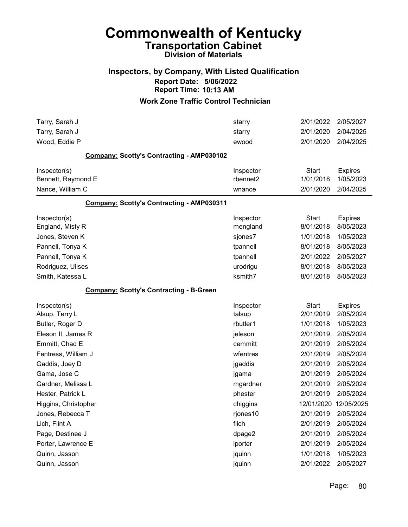### Inspectors, by Company, With Listed Qualification Report Date: 5/06/2022 Report Time: 10:13 AM

| Tarry, Sarah J                                   | starry    | 2/01/2022             | 2/05/2027      |
|--------------------------------------------------|-----------|-----------------------|----------------|
| Tarry, Sarah J                                   | starry    | 2/01/2020             | 2/04/2025      |
| Wood, Eddie P                                    | ewood     | 2/01/2020             | 2/04/2025      |
| Company: Scotty's Contracting - AMP030102        |           |                       |                |
| Inspector(s)                                     | Inspector | <b>Start</b>          | <b>Expires</b> |
| Bennett, Raymond E                               | rbennet2  | 1/01/2018             | 1/05/2023      |
| Nance, William C                                 | wnance    | 2/01/2020             | 2/04/2025      |
| <b>Company: Scotty's Contracting - AMP030311</b> |           |                       |                |
| Inspector(s)                                     | Inspector | <b>Start</b>          | <b>Expires</b> |
| England, Misty R                                 | mengland  | 8/01/2018             | 8/05/2023      |
| Jones, Steven K                                  | sjones7   | 1/01/2018             | 1/05/2023      |
| Pannell, Tonya K                                 | tpannell  | 8/01/2018             | 8/05/2023      |
| Pannell, Tonya K                                 | tpannell  | 2/01/2022             | 2/05/2027      |
| Rodriguez, Ulises                                | urodrigu  | 8/01/2018             | 8/05/2023      |
| Smith, Katessa L                                 | ksmith7   | 8/01/2018             | 8/05/2023      |
| <b>Company: Scotty's Contracting - B-Green</b>   |           |                       |                |
| Inspector(s)                                     | Inspector | <b>Start</b>          | <b>Expires</b> |
| Alsup, Terry L                                   | talsup    | 2/01/2019             | 2/05/2024      |
| Butler, Roger D                                  | rbutler1  | 1/01/2018             | 1/05/2023      |
| Eleson II, James R                               | jeleson   | 2/01/2019             | 2/05/2024      |
| Emmitt, Chad E                                   | cemmitt   | 2/01/2019             | 2/05/2024      |
| Fentress, William J                              | wfentres  | 2/01/2019             | 2/05/2024      |
| Gaddis, Joey D                                   | jgaddis   | 2/01/2019             | 2/05/2024      |
| Gama, Jose C                                     | jgama     | 2/01/2019             | 2/05/2024      |
| Gardner, Melissa L                               | mgardner  | 2/01/2019             | 2/05/2024      |
| Hester, Patrick L                                | phester   | 2/01/2019             | 2/05/2024      |
| Higgins, Christopher                             | chiggins  | 12/01/2020 12/05/2025 |                |
| Jones, Rebecca T                                 | rjones10  | 2/01/2019             | 2/05/2024      |
| Lich, Flint A                                    | flich     | 2/01/2019             | 2/05/2024      |
| Page, Destinee J                                 | dpage2    | 2/01/2019             | 2/05/2024      |
| Porter, Lawrence E                               | Iporter   | 2/01/2019             | 2/05/2024      |
| Quinn, Jasson                                    | jquinn    | 1/01/2018             | 1/05/2023      |
| Quinn, Jasson                                    | jquinn    | 2/01/2022             | 2/05/2027      |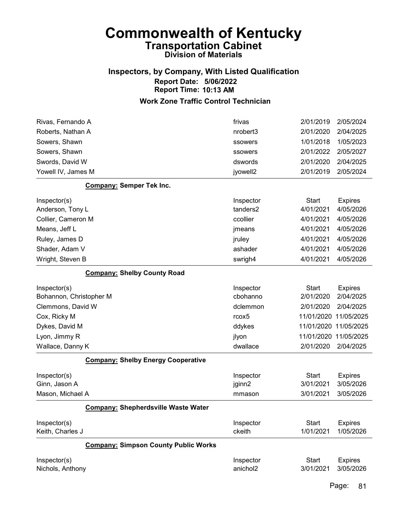### Inspectors, by Company, With Listed Qualification Report Date: 5/06/2022 Report Time: 10:13 AM

| Rivas, Fernando A                           | frivas            | 2/01/2019    | 2/05/2024             |
|---------------------------------------------|-------------------|--------------|-----------------------|
| Roberts, Nathan A                           | nrobert3          | 2/01/2020    | 2/04/2025             |
| Sowers, Shawn                               | ssowers           | 1/01/2018    | 1/05/2023             |
| Sowers, Shawn                               | ssowers           | 2/01/2022    | 2/05/2027             |
| Swords, David W                             | dswords           | 2/01/2020    | 2/04/2025             |
| Yowell IV, James M                          | jyowell2          | 2/01/2019    | 2/05/2024             |
| Company: Semper Tek Inc.                    |                   |              |                       |
| Inspector(s)                                | Inspector         | <b>Start</b> | <b>Expires</b>        |
| Anderson, Tony L                            | tanders2          | 4/01/2021    | 4/05/2026             |
| Collier, Cameron M                          | ccollier          | 4/01/2021    | 4/05/2026             |
| Means, Jeff L                               | jmeans            | 4/01/2021    | 4/05/2026             |
| Ruley, James D                              | jruley            | 4/01/2021    | 4/05/2026             |
| Shader, Adam V                              | ashader           | 4/01/2021    | 4/05/2026             |
| Wright, Steven B                            | swrigh4           | 4/01/2021    | 4/05/2026             |
| <b>Company: Shelby County Road</b>          |                   |              |                       |
| Inspector(s)                                | Inspector         | <b>Start</b> | <b>Expires</b>        |
| Bohannon, Christopher M                     | cbohanno          | 2/01/2020    | 2/04/2025             |
| Clemmons, David W                           | dclemmon          | 2/01/2020    | 2/04/2025             |
| Cox, Ricky M                                | rcox <sub>5</sub> | 11/01/2020   | 11/05/2025            |
| Dykes, David M                              | ddykes            | 11/01/2020   | 11/05/2025            |
| Lyon, Jimmy R                               | jlyon             |              | 11/01/2020 11/05/2025 |
| Wallace, Danny K                            | dwallace          | 2/01/2020    | 2/04/2025             |
| <b>Company: Shelby Energy Cooperative</b>   |                   |              |                       |
| Inspector(s)                                | Inspector         | Start        | <b>Expires</b>        |
| Ginn, Jason A                               | jginn2            | 3/01/2021    | 3/05/2026             |
| Mason, Michael A                            | mmason            | 3/01/2021    | 3/05/2026             |
| <b>Company: Shepherdsville Waste Water</b>  |                   |              |                       |
| Inspector(s)                                | Inspector         | <b>Start</b> | <b>Expires</b>        |
| Keith, Charles J                            | ckeith            | 1/01/2021    | 1/05/2026             |
| <b>Company: Simpson County Public Works</b> |                   |              |                       |
| Inspector(s)                                | Inspector         | <b>Start</b> | <b>Expires</b>        |
| Nichols, Anthony                            | anichol2          | 3/01/2021    | 3/05/2026             |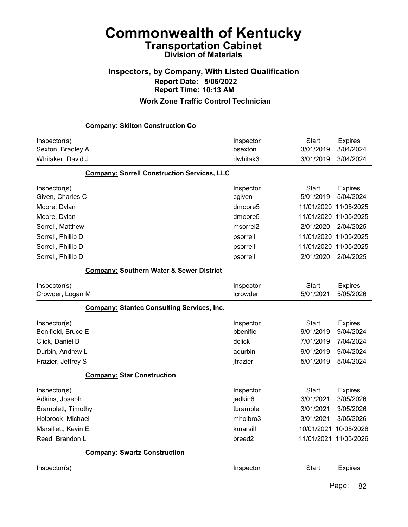### Inspectors, by Company, With Listed Qualification Report Date: 5/06/2022 Report Time: 10:13 AM

#### Work Zone Traffic Control Technician

|                     | <b>Company: Skilton Construction Co</b>             |                      |              |                       |
|---------------------|-----------------------------------------------------|----------------------|--------------|-----------------------|
| Inspector(s)        |                                                     | Inspector            | <b>Start</b> | <b>Expires</b>        |
| Sexton, Bradley A   |                                                     | bsexton              | 3/01/2019    | 3/04/2024             |
| Whitaker, David J   |                                                     | dwhitak3             | 3/01/2019    | 3/04/2024             |
|                     | <b>Company: Sorrell Construction Services, LLC</b>  |                      |              |                       |
| Inspector(s)        |                                                     | Inspector            | <b>Start</b> | <b>Expires</b>        |
| Given, Charles C    |                                                     | cgiven               | 5/01/2019    | 5/04/2024             |
| Moore, Dylan        |                                                     | dmoore5              | 11/01/2020   | 11/05/2025            |
| Moore, Dylan        |                                                     | dmoore <sub>5</sub>  | 11/01/2020   | 11/05/2025            |
| Sorrell, Matthew    |                                                     | msorrel <sub>2</sub> | 2/01/2020    | 2/04/2025             |
| Sorrell, Phillip D  |                                                     | psorrell             | 11/01/2020   | 11/05/2025            |
| Sorrell, Phillip D  |                                                     | psorrell             | 11/01/2020   | 11/05/2025            |
| Sorrell, Phillip D  |                                                     | psorrell             | 2/01/2020    | 2/04/2025             |
|                     | <b>Company: Southern Water &amp; Sewer District</b> |                      |              |                       |
| Inspector(s)        |                                                     | Inspector            | <b>Start</b> | <b>Expires</b>        |
| Crowder, Logan M    |                                                     | Icrowder             | 5/01/2021    | 5/05/2026             |
|                     | <b>Company: Stantec Consulting Services, Inc.</b>   |                      |              |                       |
| Inspector(s)        |                                                     | Inspector            | <b>Start</b> | <b>Expires</b>        |
| Benifield, Bruce E  |                                                     | bbenifie             | 9/01/2019    | 9/04/2024             |
| Click, Daniel B     |                                                     | dclick               | 7/01/2019    | 7/04/2024             |
| Durbin, Andrew L    |                                                     | adurbin              | 9/01/2019    | 9/04/2024             |
| Frazier, Jeffrey S  |                                                     | jfrazier             | 5/01/2019    | 5/04/2024             |
|                     | <b>Company: Star Construction</b>                   |                      |              |                       |
| Inspector(s)        |                                                     | Inspector            | <b>Start</b> | <b>Expires</b>        |
| Adkins, Joseph      |                                                     | jadkin6              | 3/01/2021    | 3/05/2026             |
| Bramblett, Timothy  |                                                     | tbramble             | 3/01/2021    | 3/05/2026             |
| Holbrook, Michael   |                                                     | mholbro3             | 3/01/2021    | 3/05/2026             |
| Marsillett, Kevin E |                                                     | kmarsill             | 10/01/2021   | 10/05/2026            |
| Reed, Brandon L     |                                                     | breed <sub>2</sub>   |              | 11/01/2021 11/05/2026 |
|                     | <b>Company: Swartz Construction</b>                 |                      |              |                       |
| Inspector(s)        |                                                     | Inspector            | <b>Start</b> | <b>Expires</b>        |
|                     |                                                     |                      |              |                       |

Page: 82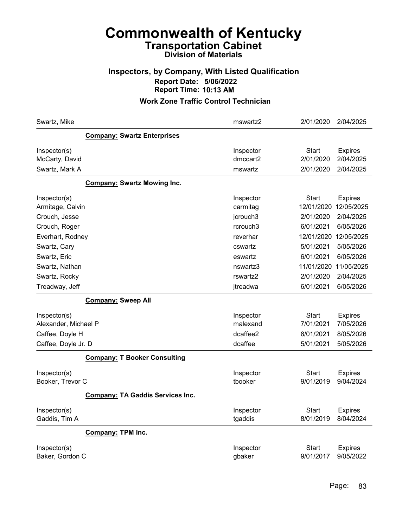### Inspectors, by Company, With Listed Qualification Report Date: 5/06/2022 Report Time: 10:13 AM

| Swartz, Mike                    |                                         | mswartz2             | 2/01/2020                 | 2/04/2025                   |
|---------------------------------|-----------------------------------------|----------------------|---------------------------|-----------------------------|
|                                 | <b>Company: Swartz Enterprises</b>      |                      |                           |                             |
| Inspector(s)                    |                                         | Inspector            | Start                     | <b>Expires</b>              |
| McCarty, David                  |                                         | dmccart2             | 2/01/2020                 | 2/04/2025                   |
| Swartz, Mark A                  |                                         | mswartz              | 2/01/2020                 | 2/04/2025                   |
|                                 | <b>Company: Swartz Mowing Inc.</b>      |                      |                           |                             |
| Inspector(s)                    |                                         | Inspector            | Start                     | <b>Expires</b>              |
| Armitage, Calvin                |                                         | carmitag             | 12/01/2020                | 12/05/2025                  |
| Crouch, Jesse                   |                                         | jcrouch3             | 2/01/2020                 | 2/04/2025                   |
| Crouch, Roger                   |                                         | rcrouch3             | 6/01/2021                 | 6/05/2026                   |
| Everhart, Rodney                |                                         | reverhar             | 12/01/2020                | 12/05/2025                  |
| Swartz, Cary                    |                                         | cswartz              | 5/01/2021                 | 5/05/2026                   |
| Swartz, Eric                    |                                         | eswartz              | 6/01/2021                 | 6/05/2026                   |
| Swartz, Nathan                  |                                         | nswartz3             | 11/01/2020                | 11/05/2025                  |
| Swartz, Rocky                   |                                         | rswartz2             | 2/01/2020                 | 2/04/2025                   |
| Treadway, Jeff                  |                                         | jtreadwa             | 6/01/2021                 | 6/05/2026                   |
|                                 | <b>Company: Sweep All</b>               |                      |                           |                             |
| Inspector(s)                    |                                         | Inspector            | Start                     | <b>Expires</b>              |
| Alexander, Michael P            |                                         | malexand             | 7/01/2021                 | 7/05/2026                   |
| Caffee, Doyle H                 |                                         | dcaffee2             | 8/01/2021                 | 8/05/2026                   |
| Caffee, Doyle Jr. D             |                                         | dcaffee              | 5/01/2021                 | 5/05/2026                   |
|                                 | <b>Company: T Booker Consulting</b>     |                      |                           |                             |
| Inspector(s)                    |                                         | Inspector            | <b>Start</b>              | <b>Expires</b>              |
| Booker, Trevor C                |                                         | tbooker              | 9/01/2019                 | 9/04/2024                   |
|                                 | <b>Company: TA Gaddis Services Inc.</b> |                      |                           |                             |
| Inspector(s)<br>Gaddis, Tim A   |                                         | Inspector<br>tgaddis | <b>Start</b><br>8/01/2019 | <b>Expires</b><br>8/04/2024 |
|                                 | <b>Company: TPM Inc.</b>                |                      |                           |                             |
| Inspector(s)<br>Baker, Gordon C |                                         | Inspector<br>gbaker  | <b>Start</b><br>9/01/2017 | <b>Expires</b><br>9/05/2022 |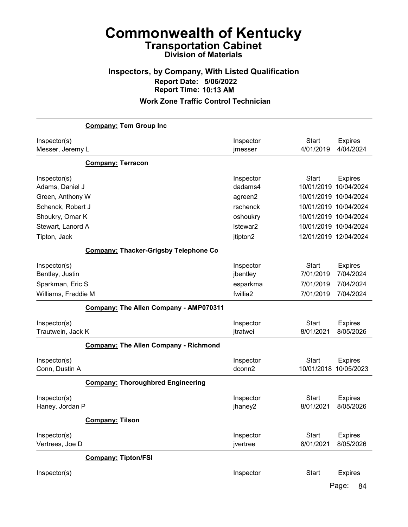### Inspectors, by Company, With Listed Qualification Report Date: 5/06/2022 Report Time: 10:13 AM

#### Work Zone Traffic Control Technician

|                                   | <b>Company: Tem Group Inc</b>                |                       |                                       |                              |
|-----------------------------------|----------------------------------------------|-----------------------|---------------------------------------|------------------------------|
| Inspector(s)<br>Messer, Jeremy L  |                                              | Inspector<br>jmesser  | <b>Start</b><br>4/01/2019             | <b>Expires</b><br>4/04/2024  |
|                                   | <b>Company: Terracon</b>                     |                       |                                       |                              |
| Inspector(s)<br>Adams, Daniel J   |                                              | Inspector<br>dadams4  | <b>Start</b><br>10/01/2019 10/04/2024 | <b>Expires</b>               |
| Green, Anthony W                  |                                              | agreen2               | 10/01/2019 10/04/2024                 |                              |
| Schenck, Robert J                 |                                              | rschenck              | 10/01/2019 10/04/2024                 |                              |
| Shoukry, Omar K                   |                                              | oshoukry              | 10/01/2019 10/04/2024                 |                              |
| Stewart, Lanord A                 |                                              | Istewar2              | 10/01/2019 10/04/2024                 |                              |
| Tipton, Jack                      |                                              | jtipton2              | 12/01/2019 12/04/2024                 |                              |
|                                   | <b>Company: Thacker-Grigsby Telephone Co</b> |                       |                                       |                              |
| Inspector(s)<br>Bentley, Justin   |                                              | Inspector<br>jbentley | <b>Start</b><br>7/01/2019             | <b>Expires</b><br>7/04/2024  |
| Sparkman, Eric S                  |                                              | esparkma              | 7/01/2019                             | 7/04/2024                    |
| Williams, Freddie M               |                                              | fwillia2              | 7/01/2019                             | 7/04/2024                    |
|                                   | Company: The Allen Company - AMP070311       |                       |                                       |                              |
| Inspector(s)<br>Trautwein, Jack K |                                              | Inspector<br>jtratwei | <b>Start</b><br>8/01/2021             | <b>Expires</b><br>8/05/2026  |
|                                   | <b>Company: The Allen Company - Richmond</b> |                       |                                       |                              |
| Inspector(s)<br>Conn, Dustin A    |                                              | Inspector<br>dconn2   | <b>Start</b><br>10/01/2018            | <b>Expires</b><br>10/05/2023 |
|                                   | <b>Company: Thoroughbred Engineering</b>     |                       |                                       |                              |
| Inspector(s)<br>Haney, Jordan P   |                                              | Inspector<br>jhaney2  | <b>Start</b><br>8/01/2021             | <b>Expires</b><br>8/05/2026  |
|                                   | <b>Company: Tilson</b>                       |                       |                                       |                              |
| Inspector(s)<br>Vertrees, Joe D   |                                              | Inspector<br>jvertree | <b>Start</b><br>8/01/2021             | <b>Expires</b><br>8/05/2026  |
|                                   | <b>Company: Tipton/FSI</b>                   |                       |                                       |                              |
| Inspector(s)                      |                                              | Inspector             | <b>Start</b>                          | <b>Expires</b>               |

Page: 84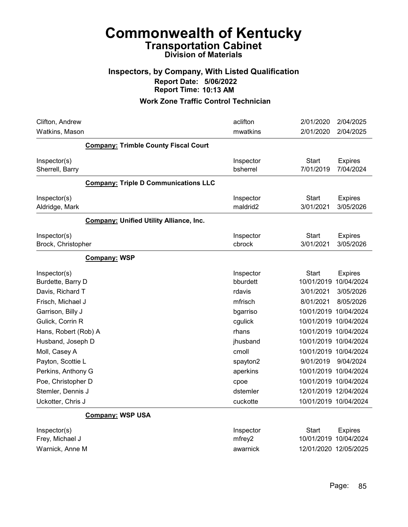### Inspectors, by Company, With Listed Qualification Report Date: 5/06/2022 Report Time: 10:13 AM

| Clifton, Andrew<br>Watkins, Mason              | aclifton<br>mwatkins  | 2/01/2020<br>2/01/2020 | 2/04/2025<br>2/04/2025      |
|------------------------------------------------|-----------------------|------------------------|-----------------------------|
| <b>Company: Trimble County Fiscal Court</b>    |                       |                        |                             |
|                                                |                       |                        |                             |
| Inspector(s)<br>Sherrell, Barry                | Inspector<br>bsherrel | Start<br>7/01/2019     | <b>Expires</b><br>7/04/2024 |
| <b>Company: Triple D Communications LLC</b>    |                       |                        |                             |
| Inspector(s)                                   | Inspector             | <b>Start</b>           | <b>Expires</b>              |
| Aldridge, Mark                                 | maldrid2              | 3/01/2021              | 3/05/2026                   |
| <b>Company: Unified Utility Alliance, Inc.</b> |                       |                        |                             |
| Inspector(s)                                   | Inspector             | <b>Start</b>           | <b>Expires</b>              |
| Brock, Christopher                             | cbrock                | 3/01/2021              | 3/05/2026                   |
| Company: WSP                                   |                       |                        |                             |
| Inspector(s)                                   | Inspector             | <b>Start</b>           | <b>Expires</b>              |
| Burdette, Barry D                              | bburdett              | 10/01/2019 10/04/2024  |                             |
| Davis, Richard T                               | rdavis                | 3/01/2021              | 3/05/2026                   |
| Frisch, Michael J                              | mfrisch               | 8/01/2021              | 8/05/2026                   |
| Garrison, Billy J                              | bgarriso              | 10/01/2019 10/04/2024  |                             |
| Gulick, Corrin R                               | cgulick               | 10/01/2019 10/04/2024  |                             |
| Hans, Robert (Rob) A                           | rhans                 | 10/01/2019 10/04/2024  |                             |
| Husband, Joseph D                              | jhusband              | 10/01/2019 10/04/2024  |                             |
| Moll, Casey A                                  | cmoll                 | 10/01/2019 10/04/2024  |                             |
| Payton, Scottie L                              | spayton2              | 9/01/2019              | 9/04/2024                   |
| Perkins, Anthony G                             | aperkins              | 10/01/2019 10/04/2024  |                             |
| Poe, Christopher D                             | cpoe                  | 10/01/2019 10/04/2024  |                             |
| Stemler, Dennis J                              | dstemler              | 12/01/2019 12/04/2024  |                             |
| Uckotter, Chris J                              | cuckotte              | 10/01/2019 10/04/2024  |                             |
| Company: WSP USA                               |                       |                        |                             |
| Inspector(s)                                   | Inspector             | Start                  | <b>Expires</b>              |
| Frey, Michael J                                | mfrey2                | 10/01/2019 10/04/2024  |                             |
| Warnick, Anne M                                | awarnick              | 12/01/2020 12/05/2025  |                             |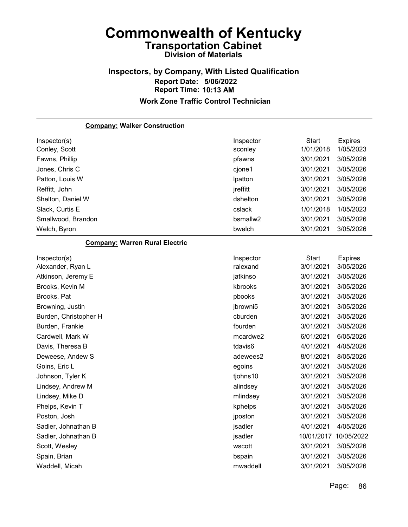#### Inspectors, by Company, With Listed Qualification Report Date: 5/06/2022 Report Time: 10:13 AM Work Zone Traffic Control Technician

Company: Walker Construction Inspector(s) **Inspector** Start Expires Conley, Scott sconley 1/01/2018 1/05/2023 Fawns, Phillip pfawns 3/01/2021 3/05/2026 Jones, Chris C cjone1 3/01/2021 3/05/2026 Patton, Louis W lpatton 3/01/2021 3/05/2026 Reffitt, John jreffitt 3/01/2021 3/05/2026 Shelton, Daniel W dshelton 3/01/2021 3/05/2026 Slack, Curtis E cslack 1/01/2018 1/05/2023 Smallwood, Brandon bsmallw2 3/01/2021 3/05/2026 Welch, Byron bwelch 3/01/2021 3/05/2026 Company: Warren Rural Electric Inspector(s) **Inspector** Start Expires Alexander, Ryan L ralexand 3/01/2021 3/05/2026 Atkinson, Jeremy E jatkinso 3/01/2021 3/05/2026 Brooks, Kevin M kbrooks 3/01/2021 3/05/2026 Brooks, Pat pbooks 3/01/2021 3/05/2026 Browning, Justin jbrowni5 3/01/2021 3/05/2026 Burden, Christopher H cburden 3/01/2021 3/05/2026 Burden, Frankie fburden 3/01/2021 3/05/2026 Cardwell, Mark W mcardwe2 6/01/2021 6/05/2026 Davis, Theresa B tdavis6 4/01/2021 4/05/2026 Deweese, Andew S adewees2 8/01/2021 8/05/2026 Goins, Eric L egoins 3/01/2021 3/05/2026 Johnson, Tyler K tjohns10 3/01/2021 3/05/2026 Lindsey, Andrew M alindsey 3/01/2021 3/05/2026 Lindsey, Mike D mlindsey 3/01/2021 3/05/2026 Phelps, Kevin T kphelps 3/01/2021 3/05/2026 Poston, Josh jposton 3/01/2021 3/05/2026 Sadler, Johnathan B jsadler 4/01/2021 4/05/2026 Sadler, Johnathan B **isadler** 10/01/2017 10/05/2022 Scott, Wesley wscott 3/01/2021 3/05/2026 Spain, Brian bspain 3/01/2021 3/05/2026 Waddell, Micah mwaddell 3/01/2021 3/05/2026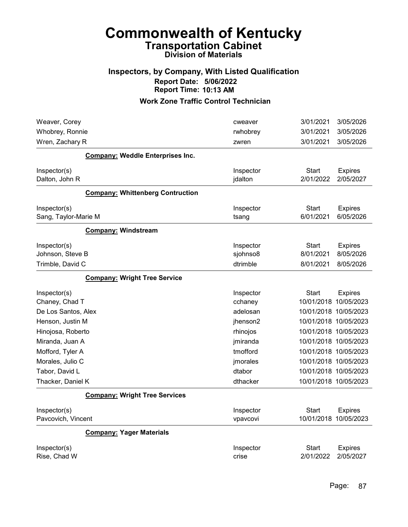### Inspectors, by Company, With Listed Qualification Report Date: 5/06/2022 Report Time: 10:13 AM

| Weaver, Corey                           | cweaver               | 3/01/2021          | 3/05/2026                               |
|-----------------------------------------|-----------------------|--------------------|-----------------------------------------|
| Whobrey, Ronnie                         | rwhobrey              | 3/01/2021          | 3/05/2026                               |
| Wren, Zachary R                         | zwren                 | 3/01/2021          | 3/05/2026                               |
| <b>Company: Weddle Enterprises Inc.</b> |                       |                    |                                         |
| Inspector(s)                            | Inspector             | Start              | <b>Expires</b>                          |
| Dalton, John R                          | jdalton               | 2/01/2022          | 2/05/2027                               |
| <b>Company: Whittenberg Contruction</b> |                       |                    |                                         |
| Inspector(s)                            | Inspector             | <b>Start</b>       | <b>Expires</b>                          |
| Sang, Taylor-Marie M                    | tsang                 | 6/01/2021          | 6/05/2026                               |
| <b>Company: Windstream</b>              |                       |                    |                                         |
| Inspector(s)                            | Inspector             | Start              | <b>Expires</b>                          |
| Johnson, Steve B                        | sjohnso8              | 8/01/2021          | 8/05/2026                               |
| Trimble, David C                        | dtrimble              | 8/01/2021          | 8/05/2026                               |
| <b>Company: Wright Tree Service</b>     |                       |                    |                                         |
| Inspector(s)                            | Inspector             | Start              | <b>Expires</b>                          |
| Chaney, Chad T                          | cchaney               |                    | 10/01/2018 10/05/2023                   |
| De Los Santos, Alex                     | adelosan              |                    | 10/01/2018 10/05/2023                   |
| Henson, Justin M                        | jhenson2              |                    | 10/01/2018 10/05/2023                   |
| Hinojosa, Roberto                       | rhinojos              |                    | 10/01/2018 10/05/2023                   |
| Miranda, Juan A                         | jmiranda              |                    | 10/01/2018 10/05/2023                   |
| Mofford, Tyler A                        | tmofford              |                    | 10/01/2018 10/05/2023                   |
| Morales, Julio C                        | jmorales              |                    | 10/01/2018 10/05/2023                   |
| Tabor, David L                          | dtabor                |                    | 10/01/2018 10/05/2023                   |
| Thacker, Daniel K                       | dthacker              |                    | 10/01/2018 10/05/2023                   |
| <b>Company: Wright Tree Services</b>    |                       |                    |                                         |
| Inspector(s)<br>Pavcovich, Vincent      | Inspector<br>vpavcovi | <b>Start</b>       | <b>Expires</b><br>10/01/2018 10/05/2023 |
| <b>Company: Yager Materials</b>         |                       |                    |                                         |
| Inspector(s)<br>Rise, Chad W            | Inspector<br>crise    | Start<br>2/01/2022 | <b>Expires</b><br>2/05/2027             |